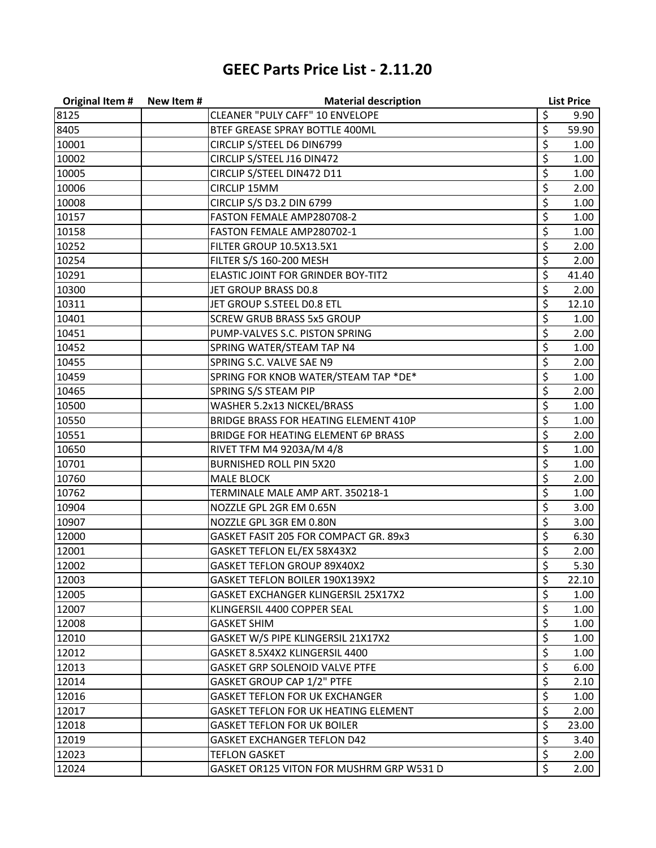## **GEEC Parts Price List - 2.11.20**

| <b>Original Item #</b> | New Item# | <b>Material description</b>                 |         | <b>List Price</b> |
|------------------------|-----------|---------------------------------------------|---------|-------------------|
| 8125                   |           | CLEANER "PULY CAFF" 10 ENVELOPE             | \$      | 9.90              |
| 8405                   |           | BTEF GREASE SPRAY BOTTLE 400ML              | \$      | 59.90             |
| 10001                  |           | CIRCLIP S/STEEL D6 DIN6799                  | \$      | 1.00              |
| 10002                  |           | CIRCLIP S/STEEL J16 DIN472                  | \$      | 1.00              |
| 10005                  |           | CIRCLIP S/STEEL DIN472 D11                  | \$      | 1.00              |
| 10006                  |           | <b>CIRCLIP 15MM</b>                         | \$      | 2.00              |
| 10008                  |           | CIRCLIP S/S D3.2 DIN 6799                   | \$      | 1.00              |
| 10157                  |           | FASTON FEMALE AMP280708-2                   | \$      | 1.00              |
| 10158                  |           | FASTON FEMALE AMP280702-1                   | \$      | 1.00              |
| 10252                  |           | FILTER GROUP 10.5X13.5X1                    | \$      | 2.00              |
| 10254                  |           | FILTER S/S 160-200 MESH                     | \$      | 2.00              |
| 10291                  |           | ELASTIC JOINT FOR GRINDER BOY-TIT2          | \$      | 41.40             |
| 10300                  |           | JET GROUP BRASS D0.8                        | \$      | 2.00              |
| 10311                  |           | JET GROUP S.STEEL DO.8 ETL                  | \$      | 12.10             |
| 10401                  |           | <b>SCREW GRUB BRASS 5x5 GROUP</b>           | \$      | 1.00              |
| 10451                  |           | PUMP-VALVES S.C. PISTON SPRING              | \$      | 2.00              |
| 10452                  |           | SPRING WATER/STEAM TAP N4                   | \$      | 1.00              |
| 10455                  |           | SPRING S.C. VALVE SAE N9                    | \$      | 2.00              |
| 10459                  |           | SPRING FOR KNOB WATER/STEAM TAP *DE*        | \$      | 1.00              |
| 10465                  |           | SPRING S/S STEAM PIP                        | \$      | 2.00              |
| 10500                  |           | WASHER 5.2x13 NICKEL/BRASS                  | \$      | 1.00              |
| 10550                  |           | BRIDGE BRASS FOR HEATING ELEMENT 410P       | \$      | 1.00              |
| 10551                  |           | BRIDGE FOR HEATING ELEMENT 6P BRASS         | \$      | 2.00              |
| 10650                  |           | RIVET TFM M4 9203A/M 4/8                    | \$      | 1.00              |
| 10701                  |           | <b>BURNISHED ROLL PIN 5X20</b>              | \$      | 1.00              |
| 10760                  |           | <b>MALE BLOCK</b>                           | \$      | 2.00              |
| 10762                  |           | TERMINALE MALE AMP ART. 350218-1            | \$      | 1.00              |
| 10904                  |           | NOZZLE GPL 2GR EM 0.65N                     | \$      | 3.00              |
| 10907                  |           | NOZZLE GPL 3GR EM 0.80N                     | \$      | 3.00              |
| 12000                  |           | GASKET FASIT 205 FOR COMPACT GR. 89x3       | \$      | 6.30              |
| 12001                  |           | GASKET TEFLON EL/EX 58X43X2                 | \$      | 2.00              |
| 12002                  |           | GASKET TEFLON GROUP 89X40X2                 | \$      | 5.30              |
| 12003                  |           | GASKET TEFLON BOILER 190X139X2              | Ş       | 22.10             |
| 12005                  |           | GASKET EXCHANGER KLINGERSIL 25X17X2         | \$      | $1.00\,$          |
| 12007                  |           | KLINGERSIL 4400 COPPER SEAL                 | \$      | 1.00              |
| 12008                  |           | <b>GASKET SHIM</b>                          | \$      | 1.00              |
| 12010                  |           | GASKET W/S PIPE KLINGERSIL 21X17X2          | \$      | 1.00              |
| 12012                  |           | GASKET 8.5X4X2 KLINGERSIL 4400              | \$      | 1.00              |
| 12013                  |           | <b>GASKET GRP SOLENOID VALVE PTFE</b>       | \$      | 6.00              |
| 12014                  |           | GASKET GROUP CAP 1/2" PTFE                  | \$      | 2.10              |
| 12016                  |           | <b>GASKET TEFLON FOR UK EXCHANGER</b>       | \$      | 1.00              |
| 12017                  |           | <b>GASKET TEFLON FOR UK HEATING ELEMENT</b> | \$      | 2.00              |
| 12018                  |           | <b>GASKET TEFLON FOR UK BOILER</b>          | \$      | 23.00             |
| 12019                  |           | <b>GASKET EXCHANGER TEFLON D42</b>          | \$      | 3.40              |
| 12023                  |           | <b>TEFLON GASKET</b>                        | \$      | 2.00              |
| 12024                  |           | GASKET OR125 VITON FOR MUSHRM GRP W531 D    | $\zeta$ | 2.00              |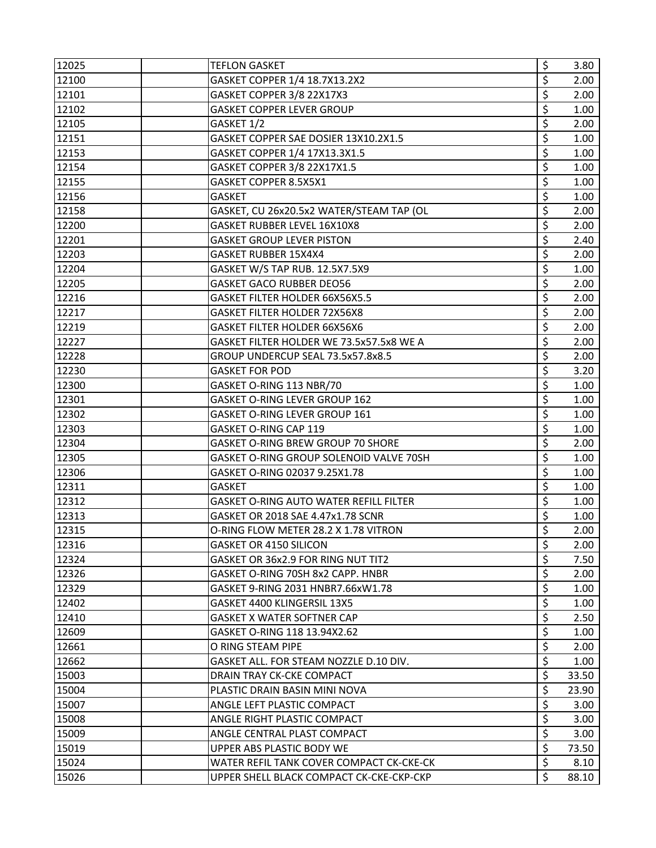| 12025 | <b>TEFLON GASKET</b>                          | \$               | 3.80              |
|-------|-----------------------------------------------|------------------|-------------------|
| 12100 | GASKET COPPER 1/4 18.7X13.2X2                 | \$               | 2.00              |
| 12101 | GASKET COPPER 3/8 22X17X3                     | \$               | 2.00              |
| 12102 | <b>GASKET COPPER LEVER GROUP</b>              | \$               | 1.00              |
| 12105 | GASKET 1/2                                    | \$               | 2.00              |
| 12151 | GASKET COPPER SAE DOSIER 13X10.2X1.5          | \$               | 1.00              |
| 12153 | GASKET COPPER 1/4 17X13.3X1.5                 | \$               | 1.00              |
| 12154 | GASKET COPPER 3/8 22X17X1.5                   | \$               | 1.00              |
| 12155 | GASKET COPPER 8.5X5X1                         | \$               | 1.00              |
| 12156 | <b>GASKET</b>                                 | \$               | 1.00              |
| 12158 | GASKET, CU 26x20.5x2 WATER/STEAM TAP (OL      | \$               | 2.00              |
| 12200 | GASKET RUBBER LEVEL 16X10X8                   | \$               | 2.00              |
| 12201 | <b>GASKET GROUP LEVER PISTON</b>              | \$               | 2.40              |
| 12203 | GASKET RUBBER 15X4X4                          | \$               | 2.00              |
| 12204 | GASKET W/S TAP RUB. 12.5X7.5X9                | \$               | 1.00              |
| 12205 | <b>GASKET GACO RUBBER DEO56</b>               | \$               | 2.00              |
| 12216 | GASKET FILTER HOLDER 66X56X5.5                | \$               | 2.00              |
| 12217 | GASKET FILTER HOLDER 72X56X8                  | \$               | 2.00              |
| 12219 | GASKET FILTER HOLDER 66X56X6                  | \$               | 2.00              |
| 12227 | GASKET FILTER HOLDER WE 73.5x57.5x8 WE A      | \$               | 2.00              |
| 12228 | GROUP UNDERCUP SEAL 73.5x57.8x8.5             | \$               | 2.00              |
| 12230 | <b>GASKET FOR POD</b>                         | \$               | 3.20              |
| 12300 | GASKET O-RING 113 NBR/70                      | \$               | 1.00              |
| 12301 | GASKET O-RING LEVER GROUP 162                 | \$               | 1.00              |
| 12302 | GASKET O-RING LEVER GROUP 161                 | \$               | 1.00              |
| 12303 | GASKET O-RING CAP 119                         | \$               | 1.00              |
| 12304 | GASKET O-RING BREW GROUP 70 SHORE             | \$               | 2.00              |
| 12305 | GASKET O-RING GROUP SOLENOID VALVE 70SH       | \$               | 1.00              |
| 12306 | GASKET O-RING 02037 9.25X1.78                 | \$               | 1.00              |
| 12311 | <b>GASKET</b>                                 | \$               | 1.00              |
| 12312 | <b>GASKET O-RING AUTO WATER REFILL FILTER</b> | $\overline{\xi}$ | 1.00              |
| 12313 | GASKET OR 2018 SAE 4.47x1.78 SCNR             | \$               | 1.00              |
| 12315 | O-RING FLOW METER 28.2 X 1.78 VITRON          | \$               | 2.00              |
| 12316 | <b>GASKET OR 4150 SILICON</b>                 | \$               | 2.00              |
| 12324 | GASKET OR 36x2.9 FOR RING NUT TIT2            | \$               | 7.50              |
| 12326 | GASKET O-RING 70SH 8x2 CAPP. HNBR             | \$               | 2.00              |
| 12329 | GASKET 9-RING 2031 HNBR7.66xW1.78             | \$               | 1.00              |
| 12402 | GASKET 4400 KLINGERSIL 13X5                   | \$               | 1.00              |
| 12410 | <b>GASKET X WATER SOFTNER CAP</b>             | \$               | 2.50              |
| 12609 | GASKET O-RING 118 13.94X2.62                  | \$               | 1.00              |
| 12661 | O RING STEAM PIPE                             | \$               | 2.00              |
| 12662 | GASKET ALL. FOR STEAM NOZZLE D.10 DIV.        | \$               | 1.00 <sub>1</sub> |
| 15003 | DRAIN TRAY CK-CKE COMPACT                     | \$               | 33.50             |
| 15004 | PLASTIC DRAIN BASIN MINI NOVA                 | \$               | 23.90             |
| 15007 | ANGLE LEFT PLASTIC COMPACT                    | \$               | 3.00              |
| 15008 | ANGLE RIGHT PLASTIC COMPACT                   | \$               | 3.00              |
| 15009 | ANGLE CENTRAL PLAST COMPACT                   | $\overline{\xi}$ | 3.00              |
| 15019 | UPPER ABS PLASTIC BODY WE                     | \$               | 73.50             |
| 15024 | WATER REFIL TANK COVER COMPACT CK-CKE-CK      | \$               | 8.10              |
| 15026 | UPPER SHELL BLACK COMPACT CK-CKE-CKP-CKP      | \$               | 88.10             |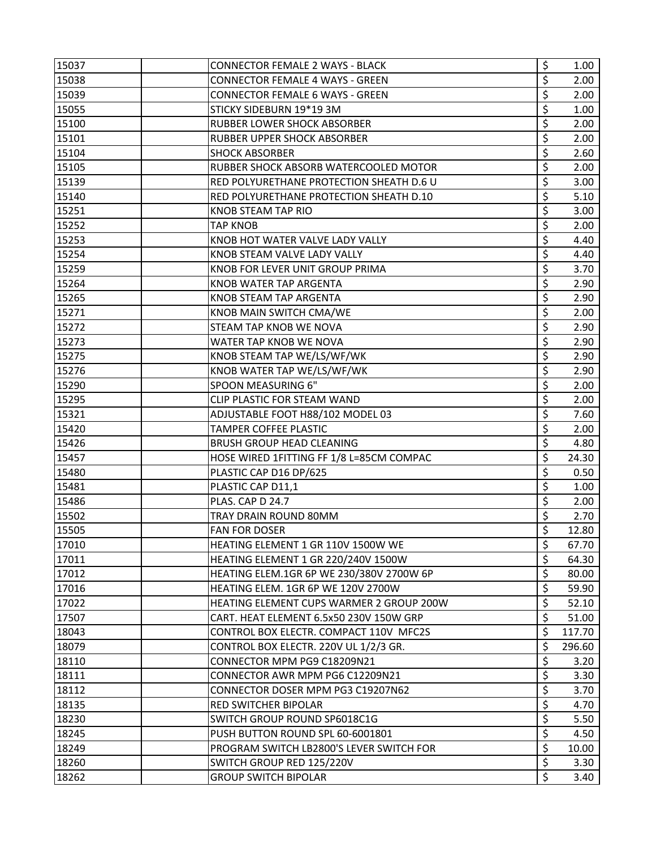| 15037 | <b>CONNECTOR FEMALE 2 WAYS - BLACK</b>          | \$<br>1.00              |
|-------|-------------------------------------------------|-------------------------|
| 15038 | <b>CONNECTOR FEMALE 4 WAYS - GREEN</b>          | \$<br>2.00              |
| 15039 | <b>CONNECTOR FEMALE 6 WAYS - GREEN</b>          | \$<br>2.00              |
| 15055 | STICKY SIDEBURN 19*19 3M                        | \$<br>1.00              |
| 15100 | <b>RUBBER LOWER SHOCK ABSORBER</b>              | \$<br>2.00              |
| 15101 | <b>RUBBER UPPER SHOCK ABSORBER</b>              | \$<br>2.00              |
| 15104 | <b>SHOCK ABSORBER</b>                           | \$<br>2.60              |
| 15105 | RUBBER SHOCK ABSORB WATERCOOLED MOTOR           | \$<br>2.00              |
| 15139 | RED POLYURETHANE PROTECTION SHEATH D.6 U        | \$<br>3.00              |
| 15140 | RED POLYURETHANE PROTECTION SHEATH D.10         | \$<br>5.10              |
| 15251 | <b>KNOB STEAM TAP RIO</b>                       | \$<br>3.00              |
| 15252 | <b>TAP KNOB</b>                                 | \$<br>2.00 <sub>1</sub> |
| 15253 | KNOB HOT WATER VALVE LADY VALLY                 | \$<br>4.40              |
| 15254 | KNOB STEAM VALVE LADY VALLY                     | \$<br>4.40              |
| 15259 | KNOB FOR LEVER UNIT GROUP PRIMA                 | \$<br>3.70              |
| 15264 | <b>KNOB WATER TAP ARGENTA</b>                   | \$<br>2.90              |
| 15265 | <b>KNOB STEAM TAP ARGENTA</b>                   | \$<br>2.90              |
| 15271 | KNOB MAIN SWITCH CMA/WE                         | \$<br>2.00              |
| 15272 | <b>STEAM TAP KNOB WE NOVA</b>                   | \$<br>2.90              |
| 15273 | WATER TAP KNOB WE NOVA                          | \$<br>2.90              |
| 15275 | KNOB STEAM TAP WE/LS/WF/WK                      | \$<br>2.90              |
| 15276 | KNOB WATER TAP WE/LS/WF/WK                      | \$<br>2.90              |
| 15290 | SPOON MEASURING 6"                              | \$<br>2.00              |
| 15295 | CLIP PLASTIC FOR STEAM WAND                     | \$<br>2.00              |
| 15321 | ADJUSTABLE FOOT H88/102 MODEL 03                | \$<br>7.60              |
| 15420 | TAMPER COFFEE PLASTIC                           | \$<br>2.00              |
| 15426 | <b>BRUSH GROUP HEAD CLEANING</b>                | \$<br>4.80              |
| 15457 | HOSE WIRED 1FITTING FF 1/8 L=85CM COMPAC        | \$<br>24.30             |
| 15480 | PLASTIC CAP D16 DP/625                          | \$<br>0.50              |
| 15481 | PLASTIC CAP D11,1                               | \$<br>1.00              |
| 15486 | PLAS. CAP D 24.7                                | \$<br>2.00              |
| 15502 | TRAY DRAIN ROUND 80MM                           | \$<br>2.70              |
| 15505 | <b>FAN FOR DOSER</b>                            | \$<br>12.80             |
| 17010 | HEATING ELEMENT 1 GR 110V 1500W WE              | \$<br>67.70             |
| 17011 | HEATING ELEMENT 1 GR 220/240V 1500W             | \$<br>64.30             |
| 17012 | <b>HEATING ELEM.1GR 6P WE 230/380V 2700W 6P</b> | \$<br>80.00             |
| 17016 | HEATING ELEM. 1GR 6P WE 120V 2700W              | \$<br>59.90             |
| 17022 | HEATING ELEMENT CUPS WARMER 2 GROUP 200W        | \$<br>52.10             |
| 17507 | CART. HEAT ELEMENT 6.5x50 230V 150W GRP         | \$<br>51.00             |
| 18043 | CONTROL BOX ELECTR. COMPACT 110V MFC2S          | \$<br>117.70            |
| 18079 | CONTROL BOX ELECTR. 220V UL 1/2/3 GR.           | \$<br>296.60            |
| 18110 | CONNECTOR MPM PG9 C18209N21                     | \$<br>3.20              |
| 18111 | CONNECTOR AWR MPM PG6 C12209N21                 | \$<br>3.30              |
| 18112 | CONNECTOR DOSER MPM PG3 C19207N62               | \$<br>3.70              |
| 18135 | <b>RED SWITCHER BIPOLAR</b>                     | \$<br>4.70              |
| 18230 | SWITCH GROUP ROUND SP6018C1G                    | \$<br>5.50              |
| 18245 | PUSH BUTTON ROUND SPL 60-6001801                | \$<br>4.50              |
| 18249 | PROGRAM SWITCH LB2800'S LEVER SWITCH FOR        | \$<br>10.00             |
| 18260 | SWITCH GROUP RED 125/220V                       | \$<br>3.30              |
| 18262 | <b>GROUP SWITCH BIPOLAR</b>                     | \$<br>3.40              |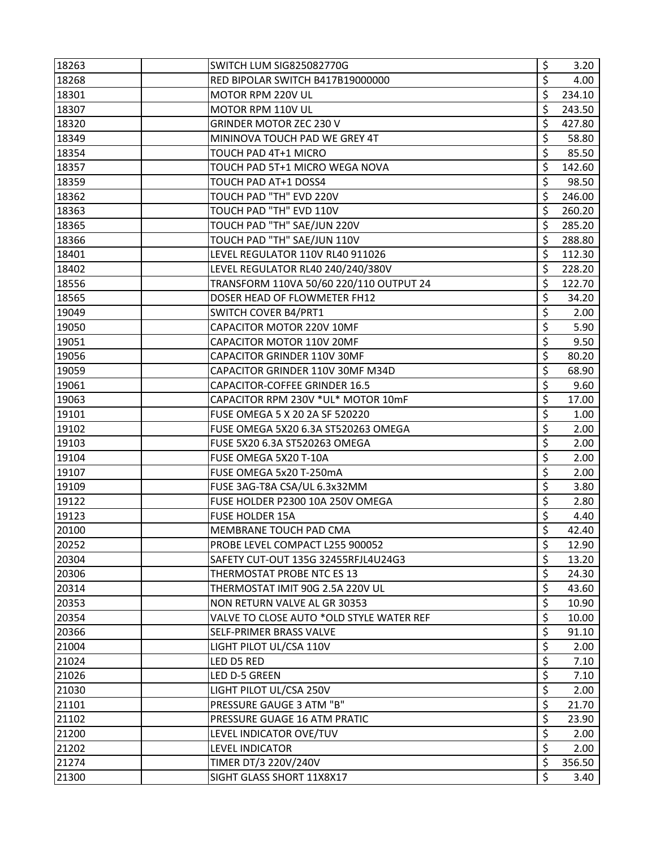| 18263 | SWITCH LUM SIG825082770G                 | \$               | 3.20   |
|-------|------------------------------------------|------------------|--------|
| 18268 | RED BIPOLAR SWITCH B417B19000000         | \$               | 4.00   |
| 18301 | MOTOR RPM 220V UL                        | \$               | 234.10 |
| 18307 | MOTOR RPM 110V UL                        | \$               | 243.50 |
| 18320 | GRINDER MOTOR ZEC 230 V                  | \$               | 427.80 |
| 18349 | MININOVA TOUCH PAD WE GREY 4T            | \$               | 58.80  |
| 18354 | TOUCH PAD 4T+1 MICRO                     | \$               | 85.50  |
| 18357 | TOUCH PAD 5T+1 MICRO WEGA NOVA           | \$               | 142.60 |
| 18359 | TOUCH PAD AT+1 DOSS4                     | \$               | 98.50  |
| 18362 | TOUCH PAD "TH" EVD 220V                  | \$               | 246.00 |
| 18363 | TOUCH PAD "TH" EVD 110V                  | \$               | 260.20 |
| 18365 | TOUCH PAD "TH" SAE/JUN 220V              | \$               | 285.20 |
| 18366 | TOUCH PAD "TH" SAE/JUN 110V              | \$               | 288.80 |
| 18401 | LEVEL REGULATOR 110V RL40 911026         | \$               | 112.30 |
| 18402 | LEVEL REGULATOR RL40 240/240/380V        | \$               | 228.20 |
| 18556 | TRANSFORM 110VA 50/60 220/110 OUTPUT 24  | \$               | 122.70 |
| 18565 | DOSER HEAD OF FLOWMETER FH12             | \$               | 34.20  |
| 19049 | <b>SWITCH COVER B4/PRT1</b>              | \$               | 2.00   |
| 19050 | CAPACITOR MOTOR 220V 10MF                | \$               | 5.90   |
| 19051 | CAPACITOR MOTOR 110V 20MF                | \$               | 9.50   |
| 19056 | CAPACITOR GRINDER 110V 30MF              | \$               | 80.20  |
| 19059 | CAPACITOR GRINDER 110V 30MF M34D         | \$               | 68.90  |
| 19061 | CAPACITOR-COFFEE GRINDER 16.5            | \$               | 9.60   |
| 19063 | CAPACITOR RPM 230V *UL* MOTOR 10mF       | \$               | 17.00  |
| 19101 | <b>FUSE OMEGA 5 X 20 2A SF 520220</b>    | \$               | 1.00   |
| 19102 | FUSE OMEGA 5X20 6.3A ST520263 OMEGA      | \$               | 2.00   |
| 19103 | FUSE 5X20 6.3A ST520263 OMEGA            | \$               | 2.00   |
| 19104 | FUSE OMEGA 5X20 T-10A                    | \$               | 2.00   |
| 19107 | FUSE OMEGA 5x20 T-250mA                  | \$               | 2.00   |
| 19109 | FUSE 3AG-T8A CSA/UL 6.3x32MM             | \$               | 3.80   |
| 19122 | FUSE HOLDER P2300 10A 250V OMEGA         | \$               | 2.80   |
| 19123 | <b>FUSE HOLDER 15A</b>                   | \$               | 4.40   |
| 20100 | MEMBRANE TOUCH PAD CMA                   | \$               | 42.40  |
| 20252 | PROBE LEVEL COMPACT L255 900052          | \$               | 12.90  |
| 20304 | SAFETY CUT-OUT 135G 32455RFJL4U24G3      | \$               | 13.20  |
| 20306 | THERMOSTAT PROBE NTC ES 13               | \$               | 24.30  |
| 20314 | THERMOSTAT IMIT 90G 2.5A 220V UL         | \$               | 43.60  |
| 20353 | NON RETURN VALVE AL GR 30353             | \$               | 10.90  |
| 20354 | VALVE TO CLOSE AUTO *OLD STYLE WATER REF | \$               | 10.00  |
| 20366 | SELF-PRIMER BRASS VALVE                  | \$               | 91.10  |
| 21004 | LIGHT PILOT UL/CSA 110V                  | \$               | 2.00   |
| 21024 | LED D5 RED                               | \$               | 7.10   |
| 21026 | LED D-5 GREEN                            | $\overline{\xi}$ | 7.10   |
| 21030 | LIGHT PILOT UL/CSA 250V                  | \$               | 2.00   |
| 21101 | PRESSURE GAUGE 3 ATM "B"                 | \$               | 21.70  |
| 21102 | PRESSURE GUAGE 16 ATM PRATIC             | \$               | 23.90  |
| 21200 | LEVEL INDICATOR OVE/TUV                  | \$               | 2.00   |
| 21202 | <b>LEVEL INDICATOR</b>                   | \$               | 2.00   |
| 21274 | TIMER DT/3 220V/240V                     | \$               | 356.50 |
| 21300 | SIGHT GLASS SHORT 11X8X17                | Ś                | 3.40   |
|       |                                          |                  |        |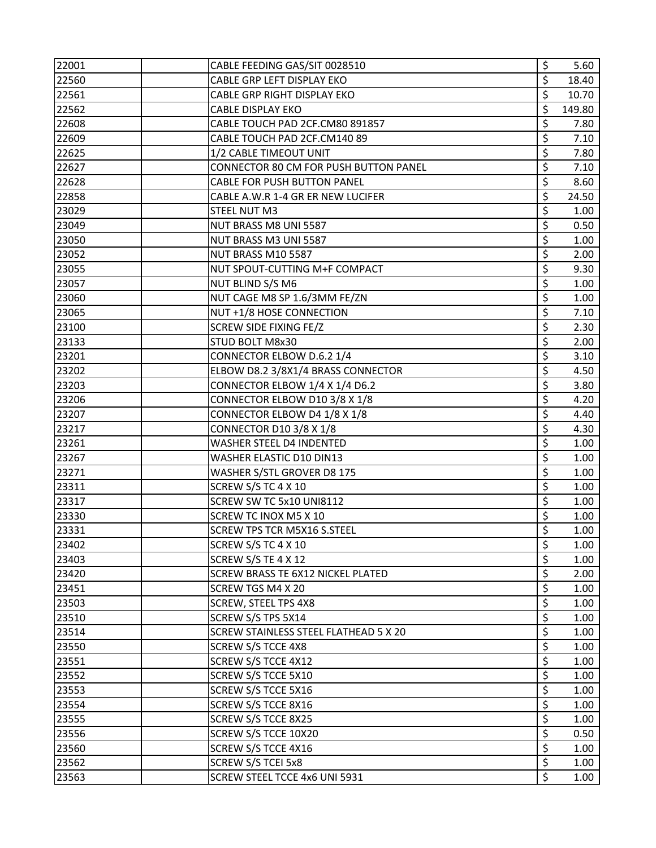| 22001 | CABLE FEEDING GAS/SIT 0028510                | \$                              | 5.60   |
|-------|----------------------------------------------|---------------------------------|--------|
| 22560 | CABLE GRP LEFT DISPLAY EKO                   | \$                              | 18.40  |
| 22561 | CABLE GRP RIGHT DISPLAY EKO                  | \$                              | 10.70  |
| 22562 | <b>CABLE DISPLAY EKO</b>                     | \$                              | 149.80 |
| 22608 | CABLE TOUCH PAD 2CF.CM80 891857              | \$                              | 7.80   |
| 22609 | CABLE TOUCH PAD 2CF.CM140 89                 | \$                              | 7.10   |
| 22625 | 1/2 CABLE TIMEOUT UNIT                       | \$                              | 7.80   |
| 22627 | CONNECTOR 80 CM FOR PUSH BUTTON PANEL        | \$                              | 7.10   |
| 22628 | <b>CABLE FOR PUSH BUTTON PANEL</b>           | \$                              | 8.60   |
| 22858 | CABLE A.W.R 1-4 GR ER NEW LUCIFER            | \$                              | 24.50  |
| 23029 | STEEL NUT M3                                 | \$                              | 1.00   |
| 23049 | NUT BRASS M8 UNI 5587                        | \$                              | 0.50   |
| 23050 | NUT BRASS M3 UNI 5587                        | \$                              | 1.00   |
| 23052 | NUT BRASS M10 5587                           | \$                              | 2.00   |
| 23055 | NUT SPOUT-CUTTING M+F COMPACT                | \$                              | 9.30   |
| 23057 | NUT BLIND S/S M6                             | \$                              | 1.00   |
| 23060 | NUT CAGE M8 SP 1.6/3MM FE/ZN                 | \$                              | 1.00   |
| 23065 | NUT +1/8 HOSE CONNECTION                     | \$                              | 7.10   |
| 23100 | SCREW SIDE FIXING FE/Z                       | \$                              | 2.30   |
| 23133 | STUD BOLT M8x30                              | $\overline{\xi}$                | 2.00   |
| 23201 | CONNECTOR ELBOW D.6.2 1/4                    | \$                              | 3.10   |
| 23202 | ELBOW D8.2 3/8X1/4 BRASS CONNECTOR           | \$                              | 4.50   |
| 23203 | CONNECTOR ELBOW 1/4 X 1/4 D6.2               | \$                              | 3.80   |
| 23206 | CONNECTOR ELBOW D10 3/8 X 1/8                | \$                              | 4.20   |
| 23207 | CONNECTOR ELBOW D4 1/8 X 1/8                 | \$                              | 4.40   |
| 23217 | <b>CONNECTOR D10 3/8 X 1/8</b>               | \$                              | 4.30   |
| 23261 | WASHER STEEL D4 INDENTED                     | \$                              | 1.00   |
| 23267 | WASHER ELASTIC D10 DIN13                     | $\overline{\boldsymbol{\zeta}}$ | 1.00   |
| 23271 | WASHER S/STL GROVER D8 175                   | \$                              | 1.00   |
| 23311 | SCREW S/S TC 4 X 10                          | \$                              | 1.00   |
| 23317 | SCREW SW TC 5x10 UNI8112                     | \$                              | 1.00   |
| 23330 | SCREW TC INOX M5 X 10                        | \$                              | 1.00   |
| 23331 | <b>SCREW TPS TCR M5X16 S.STEEL</b>           | \$                              | 1.00   |
| 23402 | SCREW S/S TC 4 X 10                          | \$                              | 1.00   |
| 23403 | SCREW S/S TE 4 X 12                          | $\overline{\xi}$                | 1.00   |
| 23420 | SCREW BRASS TE 6X12 NICKEL PLATED            | \$                              | 2.00   |
| 23451 | SCREW TGS M4 X 20                            | \$                              | 1.00   |
| 23503 | <b>SCREW, STEEL TPS 4X8</b>                  | \$                              | 1.00   |
| 23510 | SCREW S/S TPS 5X14                           | \$                              | 1.00   |
| 23514 | <b>SCREW STAINLESS STEEL FLATHEAD 5 X 20</b> | \$                              | 1.00   |
| 23550 | <b>SCREW S/S TCCE 4X8</b>                    | \$                              | 1.00   |
| 23551 | SCREW S/S TCCE 4X12                          | \$                              | 1.00   |
| 23552 | SCREW S/S TCCE 5X10                          | $\overline{\xi}$                | 1.00   |
| 23553 | SCREW S/S TCCE 5X16                          | \$                              | 1.00   |
| 23554 | SCREW S/S TCCE 8X16                          | \$                              | 1.00   |
| 23555 | SCREW S/S TCCE 8X25                          | \$                              | 1.00   |
| 23556 | SCREW S/S TCCE 10X20                         | \$                              | 0.50   |
| 23560 | SCREW S/S TCCE 4X16                          | \$                              | 1.00   |
| 23562 | <b>SCREW S/S TCEI 5x8</b>                    | $\overline{\xi}$                | 1.00   |
| 23563 | SCREW STEEL TCCE 4x6 UNI 5931                | \$                              | 1.00   |
|       |                                              |                                 |        |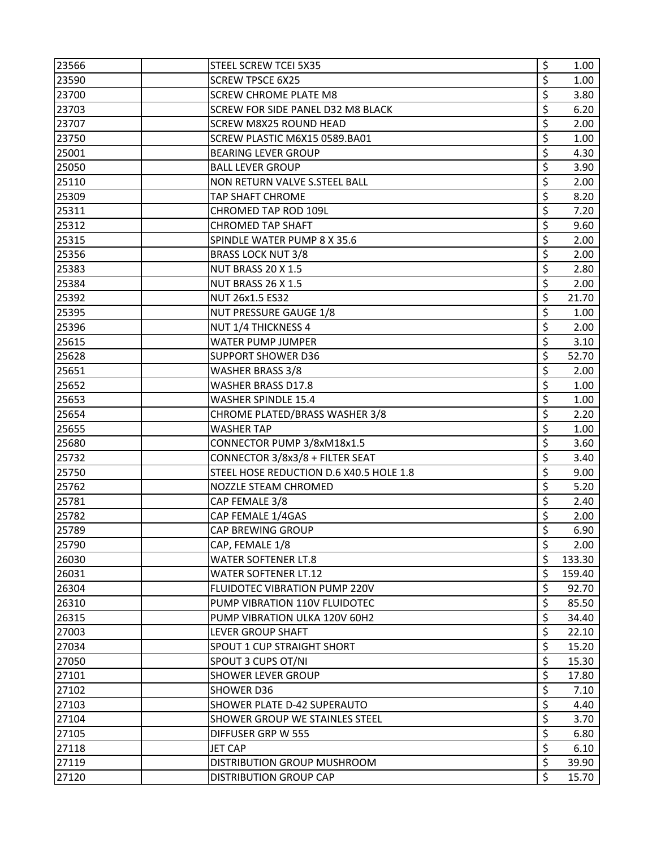| 23566 | STEEL SCREW TCEI 5X35                    | \$<br>1.00   |
|-------|------------------------------------------|--------------|
| 23590 | <b>SCREW TPSCE 6X25</b>                  | \$<br>1.00   |
| 23700 | <b>SCREW CHROME PLATE M8</b>             | \$<br>3.80   |
| 23703 | <b>SCREW FOR SIDE PANEL D32 M8 BLACK</b> | \$<br>6.20   |
| 23707 | <b>SCREW M8X25 ROUND HEAD</b>            | \$<br>2.00   |
| 23750 | SCREW PLASTIC M6X15 0589.BA01            | \$<br>1.00   |
| 25001 | <b>BEARING LEVER GROUP</b>               | \$<br>4.30   |
| 25050 | <b>BALL LEVER GROUP</b>                  | \$<br>3.90   |
| 25110 | NON RETURN VALVE S.STEEL BALL            | \$<br>2.00   |
| 25309 | TAP SHAFT CHROME                         | \$<br>8.20   |
| 25311 | CHROMED TAP ROD 109L                     | \$<br>7.20   |
| 25312 | <b>CHROMED TAP SHAFT</b>                 | \$<br>9.60   |
| 25315 | SPINDLE WATER PUMP 8 X 35.6              | \$<br>2.00   |
| 25356 | <b>BRASS LOCK NUT 3/8</b>                | \$<br>2.00   |
| 25383 | NUT BRASS 20 X 1.5                       | \$<br>2.80   |
| 25384 | NUT BRASS 26 X 1.5                       | \$<br>2.00   |
| 25392 | NUT 26x1.5 ES32                          | \$<br>21.70  |
| 25395 | <b>NUT PRESSURE GAUGE 1/8</b>            | \$<br>1.00   |
| 25396 | NUT 1/4 THICKNESS 4                      | \$<br>2.00   |
| 25615 | <b>WATER PUMP JUMPER</b>                 | \$<br>3.10   |
| 25628 | <b>SUPPORT SHOWER D36</b>                | \$<br>52.70  |
| 25651 | <b>WASHER BRASS 3/8</b>                  | \$<br>2.00   |
| 25652 | <b>WASHER BRASS D17.8</b>                | \$<br>1.00   |
| 25653 | <b>WASHER SPINDLE 15.4</b>               | \$<br>1.00   |
| 25654 | CHROME PLATED/BRASS WASHER 3/8           | \$<br>2.20   |
| 25655 | <b>WASHER TAP</b>                        | \$<br>1.00   |
| 25680 | CONNECTOR PUMP 3/8xM18x1.5               | \$<br>3.60   |
| 25732 | CONNECTOR 3/8x3/8 + FILTER SEAT          | \$<br>3.40   |
| 25750 | STEEL HOSE REDUCTION D.6 X40.5 HOLE 1.8  | \$<br>9.00   |
| 25762 | NOZZLE STEAM CHROMED                     | \$<br>5.20   |
| 25781 | CAP FEMALE 3/8                           | \$<br>2.40   |
| 25782 | CAP FEMALE 1/4GAS                        | \$<br>2.00   |
| 25789 | CAP BREWING GROUP                        | \$<br>6.90   |
| 25790 | CAP, FEMALE 1/8                          | \$<br>2.00   |
| 26030 | <b>WATER SOFTENER LT.8</b>               | \$<br>133.30 |
| 26031 | <b>WATER SOFTENER LT.12</b>              | \$<br>159.40 |
| 26304 | <b>FLUIDOTEC VIBRATION PUMP 220V</b>     | \$<br>92.70  |
| 26310 | PUMP VIBRATION 110V FLUIDOTEC            | \$<br>85.50  |
| 26315 | PUMP VIBRATION ULKA 120V 60H2            | \$<br>34.40  |
| 27003 | <b>LEVER GROUP SHAFT</b>                 | \$<br>22.10  |
| 27034 | <b>SPOUT 1 CUP STRAIGHT SHORT</b>        | \$<br>15.20  |
| 27050 | SPOUT 3 CUPS OT/NI                       | \$<br>15.30  |
| 27101 | <b>SHOWER LEVER GROUP</b>                | \$<br>17.80  |
| 27102 | <b>SHOWER D36</b>                        | \$<br>7.10   |
| 27103 | <b>SHOWER PLATE D-42 SUPERAUTO</b>       | \$<br>4.40   |
| 27104 | <b>SHOWER GROUP WE STAINLES STEEL</b>    | \$<br>3.70   |
| 27105 | DIFFUSER GRP W 555                       | \$<br>6.80   |
| 27118 | JET CAP                                  | \$<br>6.10   |
| 27119 | DISTRIBUTION GROUP MUSHROOM              | \$<br>39.90  |
| 27120 | <b>DISTRIBUTION GROUP CAP</b>            | \$<br>15.70  |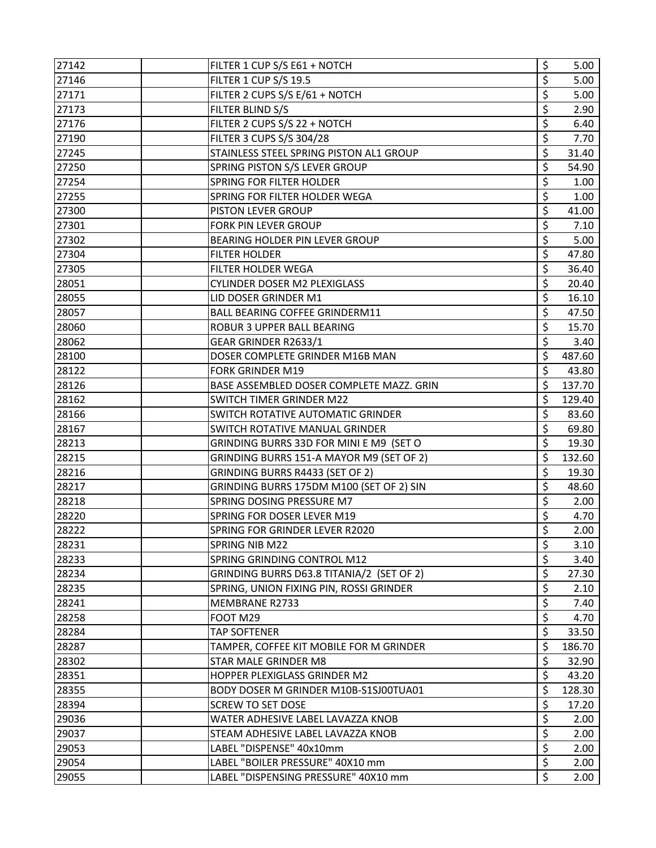| 27142 | FILTER 1 CUP S/S E61 + NOTCH              | \$<br>5.00   |
|-------|-------------------------------------------|--------------|
| 27146 | FILTER 1 CUP S/S 19.5                     | \$<br>5.00   |
| 27171 | FILTER 2 CUPS S/S E/61 + NOTCH            | \$<br>5.00   |
| 27173 | FILTER BLIND S/S                          | \$<br>2.90   |
| 27176 | FILTER 2 CUPS S/S 22 + NOTCH              | \$<br>6.40   |
| 27190 | FILTER 3 CUPS S/S 304/28                  | \$<br>7.70   |
| 27245 | STAINLESS STEEL SPRING PISTON AL1 GROUP   | \$<br>31.40  |
| 27250 | SPRING PISTON S/S LEVER GROUP             | \$<br>54.90  |
| 27254 | SPRING FOR FILTER HOLDER                  | \$<br>1.00   |
| 27255 | SPRING FOR FILTER HOLDER WEGA             | \$<br>1.00   |
| 27300 | PISTON LEVER GROUP                        | \$<br>41.00  |
| 27301 | FORK PIN LEVER GROUP                      | \$<br>7.10   |
| 27302 | BEARING HOLDER PIN LEVER GROUP            | \$<br>5.00   |
| 27304 | <b>FILTER HOLDER</b>                      | \$<br>47.80  |
| 27305 | <b>FILTER HOLDER WEGA</b>                 | \$<br>36.40  |
| 28051 | CYLINDER DOSER M2 PLEXIGLASS              | \$<br>20.40  |
| 28055 | LID DOSER GRINDER M1                      | \$<br>16.10  |
| 28057 | <b>BALL BEARING COFFEE GRINDERM11</b>     | \$<br>47.50  |
| 28060 | ROBUR 3 UPPER BALL BEARING                | \$<br>15.70  |
| 28062 | GEAR GRINDER R2633/1                      | \$<br>3.40   |
| 28100 | DOSER COMPLETE GRINDER M16B MAN           | \$<br>487.60 |
| 28122 | <b>FORK GRINDER M19</b>                   | \$<br>43.80  |
| 28126 | BASE ASSEMBLED DOSER COMPLETE MAZZ. GRIN  | \$<br>137.70 |
| 28162 | <b>SWITCH TIMER GRINDER M22</b>           | \$<br>129.40 |
| 28166 | SWITCH ROTATIVE AUTOMATIC GRINDER         | \$<br>83.60  |
| 28167 | SWITCH ROTATIVE MANUAL GRINDER            | \$<br>69.80  |
| 28213 | GRINDING BURRS 33D FOR MINI E M9 (SET O   | \$<br>19.30  |
| 28215 | GRINDING BURRS 151-A MAYOR M9 (SET OF 2)  | \$<br>132.60 |
| 28216 | GRINDING BURRS R4433 (SET OF 2)           | \$<br>19.30  |
| 28217 | GRINDING BURRS 175DM M100 (SET OF 2) SIN  | \$<br>48.60  |
| 28218 | SPRING DOSING PRESSURE M7                 | \$<br>2.00   |
| 28220 | SPRING FOR DOSER LEVER M19                | \$<br>4.70   |
| 28222 | SPRING FOR GRINDER LEVER R2020            | \$<br>2.00   |
| 28231 | <b>SPRING NIB M22</b>                     | \$<br>3.10   |
| 28233 | SPRING GRINDING CONTROL M12               | \$<br>3.40   |
| 28234 | GRINDING BURRS D63.8 TITANIA/2 (SET OF 2) | \$<br>27.30  |
| 28235 | SPRING, UNION FIXING PIN, ROSSI GRINDER   | \$<br>2.10   |
| 28241 | MEMBRANE R2733                            | \$<br>7.40   |
| 28258 | FOOT M29                                  | \$<br>4.70   |
| 28284 | <b>TAP SOFTENER</b>                       | \$<br>33.50  |
| 28287 | TAMPER, COFFEE KIT MOBILE FOR M GRINDER   | \$<br>186.70 |
| 28302 | <b>STAR MALE GRINDER M8</b>               | \$<br>32.90  |
| 28351 | HOPPER PLEXIGLASS GRINDER M2              | \$<br>43.20  |
| 28355 | BODY DOSER M GRINDER M10B-S1SJ00TUA01     | \$<br>128.30 |
| 28394 | <b>SCREW TO SET DOSE</b>                  | \$<br>17.20  |
| 29036 | WATER ADHESIVE LABEL LAVAZZA KNOB         | \$<br>2.00   |
| 29037 | STEAM ADHESIVE LABEL LAVAZZA KNOB         | \$<br>2.00   |
| 29053 | LABEL "DISPENSE" 40x10mm                  | \$<br>2.00   |
| 29054 | LABEL "BOILER PRESSURE" 40X10 mm          | \$<br>2.00   |
| 29055 | LABEL "DISPENSING PRESSURE" 40X10 mm      | \$<br>2.00   |
|       |                                           |              |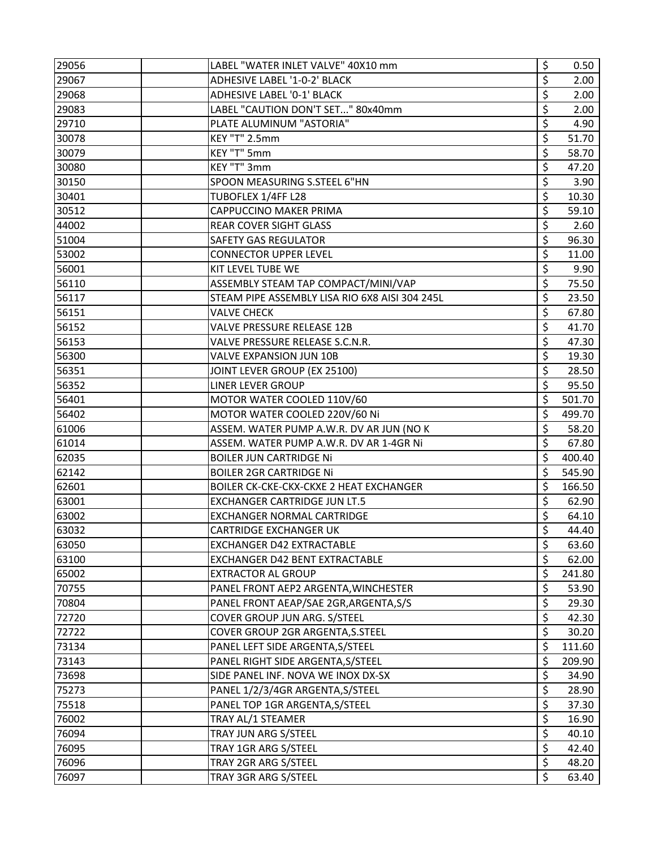| 29056 | LABEL "WATER INLET VALVE" 40X10 mm             | \$<br>0.50   |
|-------|------------------------------------------------|--------------|
| 29067 | ADHESIVE LABEL '1-0-2' BLACK                   | \$<br>2.00   |
| 29068 | ADHESIVE LABEL '0-1' BLACK                     | \$<br>2.00   |
| 29083 | LABEL "CAUTION DON'T SET" 80x40mm              | \$<br>2.00   |
| 29710 | PLATE ALUMINUM "ASTORIA"                       | \$<br>4.90   |
| 30078 | KEY "T" 2.5mm                                  | \$<br>51.70  |
| 30079 | KEY "T" 5mm                                    | \$<br>58.70  |
| 30080 | KEY "T" 3mm                                    | \$<br>47.20  |
| 30150 | SPOON MEASURING S.STEEL 6"HN                   | \$<br>3.90   |
| 30401 | TUBOFLEX 1/4FF L28                             | \$<br>10.30  |
| 30512 | CAPPUCCINO MAKER PRIMA                         | \$<br>59.10  |
| 44002 | <b>REAR COVER SIGHT GLASS</b>                  | \$<br>2.60   |
| 51004 | <b>SAFETY GAS REGULATOR</b>                    | \$<br>96.30  |
| 53002 | <b>CONNECTOR UPPER LEVEL</b>                   | \$<br>11.00  |
| 56001 | KIT LEVEL TUBE WE                              | \$<br>9.90   |
| 56110 | ASSEMBLY STEAM TAP COMPACT/MINI/VAP            | \$<br>75.50  |
| 56117 | STEAM PIPE ASSEMBLY LISA RIO 6X8 AISI 304 245L | \$<br>23.50  |
| 56151 | <b>VALVE CHECK</b>                             | \$<br>67.80  |
| 56152 | VALVE PRESSURE RELEASE 12B                     | \$<br>41.70  |
| 56153 | VALVE PRESSURE RELEASE S.C.N.R.                | \$<br>47.30  |
| 56300 | VALVE EXPANSION JUN 10B                        | \$<br>19.30  |
| 56351 | JOINT LEVER GROUP (EX 25100)                   | \$<br>28.50  |
| 56352 | LINER LEVER GROUP                              | \$<br>95.50  |
| 56401 | MOTOR WATER COOLED 110V/60                     | \$<br>501.70 |
| 56402 | MOTOR WATER COOLED 220V/60 Ni                  | \$<br>499.70 |
| 61006 | ASSEM. WATER PUMP A.W.R. DV AR JUN (NO K       | \$<br>58.20  |
| 61014 | ASSEM. WATER PUMP A.W.R. DV AR 1-4GR Ni        | \$<br>67.80  |
| 62035 | <b>BOILER JUN CARTRIDGE Ni</b>                 | \$<br>400.40 |
| 62142 | <b>BOILER 2GR CARTRIDGE Ni</b>                 | \$<br>545.90 |
| 62601 | BOILER CK-CKE-CKX-CKXE 2 HEAT EXCHANGER        | \$<br>166.50 |
| 63001 | <b>EXCHANGER CARTRIDGE JUN LT.5</b>            | \$<br>62.90  |
| 63002 | <b>EXCHANGER NORMAL CARTRIDGE</b>              | \$<br>64.10  |
| 63032 | <b>CARTRIDGE EXCHANGER UK</b>                  | \$<br>44.40  |
| 63050 | <b>EXCHANGER D42 EXTRACTABLE</b>               | \$<br>63.60  |
| 63100 | EXCHANGER D42 BENT EXTRACTABLE                 | \$<br>62.00  |
| 65002 | <b>EXTRACTOR AL GROUP</b>                      | \$<br>241.80 |
| 70755 | PANEL FRONT AEP2 ARGENTA, WINCHESTER           | \$<br>53.90  |
| 70804 | PANEL FRONT AEAP/SAE 2GR, ARGENTA, S/S         | \$<br>29.30  |
| 72720 | COVER GROUP JUN ARG. S/STEEL                   | \$<br>42.30  |
| 72722 | COVER GROUP 2GR ARGENTA, S. STEEL              | \$<br>30.20  |
| 73134 | PANEL LEFT SIDE ARGENTA, S/STEEL               | \$<br>111.60 |
| 73143 | PANEL RIGHT SIDE ARGENTA, S/STEEL              | \$<br>209.90 |
| 73698 | SIDE PANEL INF. NOVA WE INOX DX-SX             | \$<br>34.90  |
| 75273 | PANEL 1/2/3/4GR ARGENTA, S/STEEL               | \$<br>28.90  |
| 75518 | PANEL TOP 1GR ARGENTA, S/STEEL                 | \$<br>37.30  |
| 76002 | TRAY AL/1 STEAMER                              | \$<br>16.90  |
| 76094 | TRAY JUN ARG S/STEEL                           | \$<br>40.10  |
| 76095 | TRAY 1GR ARG S/STEEL                           | \$<br>42.40  |
| 76096 | TRAY 2GR ARG S/STEEL                           | \$<br>48.20  |
| 76097 | TRAY 3GR ARG S/STEEL                           | \$<br>63.40  |
|       |                                                |              |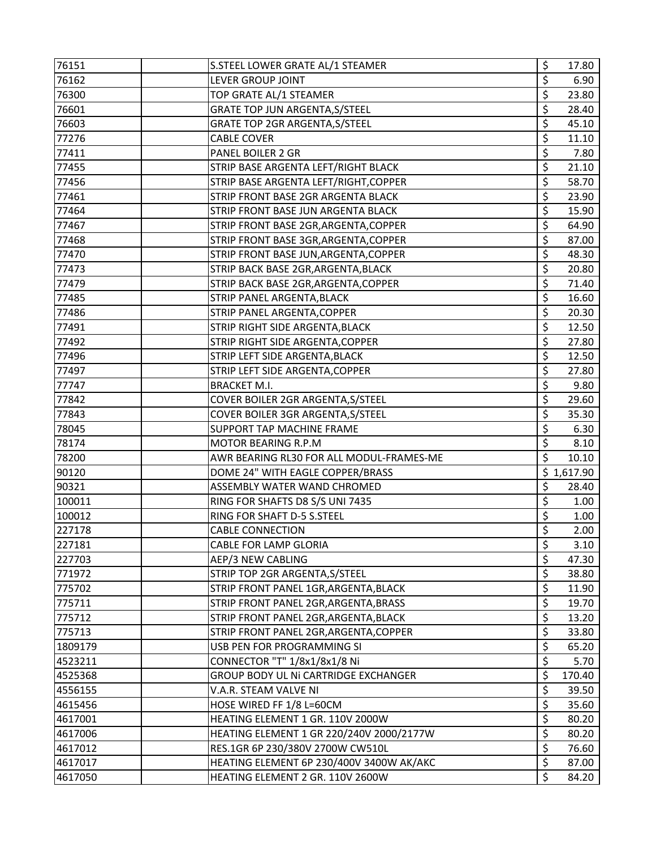| 76151   | S.STEEL LOWER GRATE AL/1 STEAMER         | \$                       | 17.80      |
|---------|------------------------------------------|--------------------------|------------|
| 76162   | LEVER GROUP JOINT                        | \$                       | 6.90       |
| 76300   | TOP GRATE AL/1 STEAMER                   | \$                       | 23.80      |
| 76601   | GRATE TOP JUN ARGENTA, S/STEEL           | \$                       | 28.40      |
| 76603   | GRATE TOP 2GR ARGENTA, S/STEEL           | \$                       | 45.10      |
| 77276   | <b>CABLE COVER</b>                       | \$                       | 11.10      |
| 77411   | PANEL BOILER 2 GR                        | \$                       | 7.80       |
| 77455   | STRIP BASE ARGENTA LEFT/RIGHT BLACK      | \$                       | 21.10      |
| 77456   | STRIP BASE ARGENTA LEFT/RIGHT, COPPER    | \$                       | 58.70      |
| 77461   | STRIP FRONT BASE 2GR ARGENTA BLACK       | \$                       | 23.90      |
| 77464   | STRIP FRONT BASE JUN ARGENTA BLACK       | \$                       | 15.90      |
| 77467   | STRIP FRONT BASE 2GR, ARGENTA, COPPER    | \$                       | 64.90      |
| 77468   | STRIP FRONT BASE 3GR, ARGENTA, COPPER    | \$                       | 87.00      |
| 77470   | STRIP FRONT BASE JUN, ARGENTA, COPPER    | \$                       | 48.30      |
| 77473   | STRIP BACK BASE 2GR, ARGENTA, BLACK      | \$                       | 20.80      |
| 77479   | STRIP BACK BASE 2GR, ARGENTA, COPPER     | \$                       | 71.40      |
| 77485   | STRIP PANEL ARGENTA, BLACK               | \$                       | 16.60      |
| 77486   | STRIP PANEL ARGENTA, COPPER              | \$                       | 20.30      |
| 77491   | STRIP RIGHT SIDE ARGENTA, BLACK          | \$                       | 12.50      |
| 77492   | STRIP RIGHT SIDE ARGENTA, COPPER         | \$                       | 27.80      |
| 77496   | STRIP LEFT SIDE ARGENTA, BLACK           | \$                       | 12.50      |
| 77497   | STRIP LEFT SIDE ARGENTA, COPPER          | \$                       | 27.80      |
| 77747   | <b>BRACKET M.I.</b>                      | \$                       | 9.80       |
| 77842   | COVER BOILER 2GR ARGENTA, S/STEEL        | \$                       | 29.60      |
| 77843   | COVER BOILER 3GR ARGENTA, S/STEEL        | \$                       | 35.30      |
| 78045   | SUPPORT TAP MACHINE FRAME                | \$                       | 6.30       |
| 78174   | MOTOR BEARING R.P.M                      | \$                       | 8.10       |
| 78200   | AWR BEARING RL30 FOR ALL MODUL-FRAMES-ME | \$                       | 10.10      |
| 90120   | DOME 24" WITH EAGLE COPPER/BRASS         |                          | \$1,617.90 |
| 90321   | ASSEMBLY WATER WAND CHROMED              | \$                       | 28.40      |
| 100011  | RING FOR SHAFTS D8 S/S UNI 7435          | $\overline{\mathcal{S}}$ | 1.00       |
| 100012  | RING FOR SHAFT D-5 S.STEEL               | \$                       | 1.00       |
| 227178  | <b>CABLE CONNECTION</b>                  | \$                       | 2.00       |
| 227181  | <b>CABLE FOR LAMP GLORIA</b>             | \$                       | 3.10       |
| 227703  | AEP/3 NEW CABLING                        | $\overline{\mathsf{S}}$  | 47.30      |
| 771972  | STRIP TOP 2GR ARGENTA, S/STEEL           | \$                       | 38.80      |
| 775702  | STRIP FRONT PANEL 1GR, ARGENTA, BLACK    | \$                       | 11.90      |
| 775711  | STRIP FRONT PANEL 2GR, ARGENTA, BRASS    | \$                       | 19.70      |
| 775712  | STRIP FRONT PANEL 2GR, ARGENTA, BLACK    | \$                       | 13.20      |
| 775713  | STRIP FRONT PANEL 2GR, ARGENTA, COPPER   | \$                       | 33.80      |
| 1809179 | USB PEN FOR PROGRAMMING SI               | \$                       | 65.20      |
| 4523211 | CONNECTOR "T" 1/8x1/8x1/8 Ni             | \$                       | 5.70       |
| 4525368 | GROUP BODY UL NI CARTRIDGE EXCHANGER     | \$                       | 170.40     |
| 4556155 | V.A.R. STEAM VALVE NI                    | \$                       | 39.50      |
| 4615456 | HOSE WIRED FF 1/8 L=60CM                 | \$                       | 35.60      |
| 4617001 | HEATING ELEMENT 1 GR. 110V 2000W         | \$                       | 80.20      |
| 4617006 | HEATING ELEMENT 1 GR 220/240V 2000/2177W | \$                       | 80.20      |
| 4617012 | RES.1GR 6P 230/380V 2700W CW510L         | \$                       | 76.60      |
| 4617017 | HEATING ELEMENT 6P 230/400V 3400W AK/AKC | \$                       | 87.00      |
| 4617050 | HEATING ELEMENT 2 GR. 110V 2600W         | \$                       | 84.20      |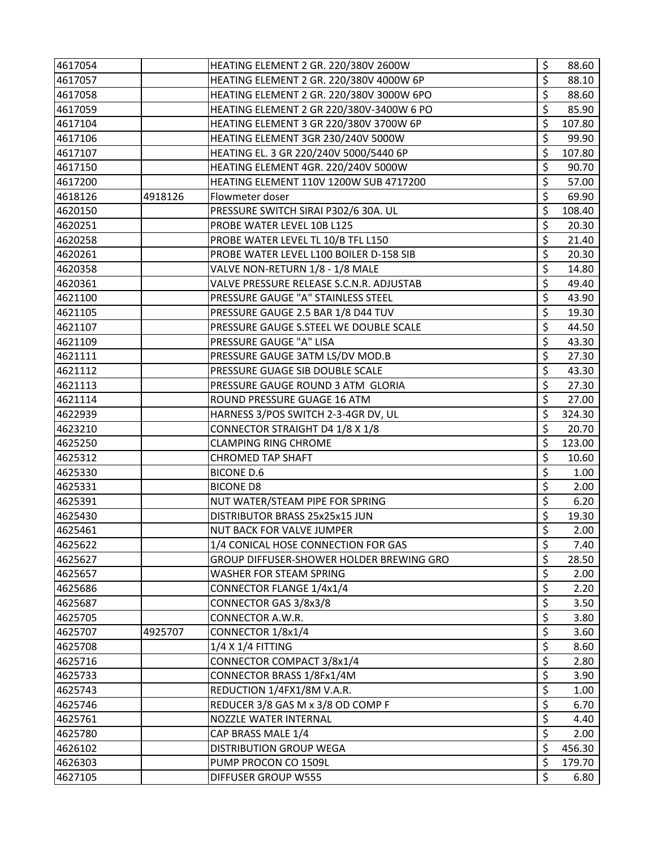| 4617054 |         | HEATING ELEMENT 2 GR. 220/380V 2600W     | \$               | 88.60  |
|---------|---------|------------------------------------------|------------------|--------|
| 4617057 |         | HEATING ELEMENT 2 GR. 220/380V 4000W 6P  | \$               | 88.10  |
| 4617058 |         | HEATING ELEMENT 2 GR. 220/380V 3000W 6PO | \$               | 88.60  |
| 4617059 |         | HEATING ELEMENT 2 GR 220/380V-3400W 6 PO | \$               | 85.90  |
| 4617104 |         | HEATING ELEMENT 3 GR 220/380V 3700W 6P   | \$               | 107.80 |
| 4617106 |         | HEATING ELEMENT 3GR 230/240V 5000W       | \$               | 99.90  |
| 4617107 |         | HEATING EL. 3 GR 220/240V 5000/5440 6P   | \$               | 107.80 |
| 4617150 |         | HEATING ELEMENT 4GR. 220/240V 5000W      | \$               | 90.70  |
| 4617200 |         | HEATING ELEMENT 110V 1200W SUB 4717200   | \$               | 57.00  |
| 4618126 | 4918126 | Flowmeter doser                          | \$               | 69.90  |
| 4620150 |         | PRESSURE SWITCH SIRAI P302/6 30A. UL     | \$               | 108.40 |
| 4620251 |         | PROBE WATER LEVEL 10B L125               | \$               | 20.30  |
| 4620258 |         | PROBE WATER LEVEL TL 10/B TFL L150       | \$               | 21.40  |
| 4620261 |         | PROBE WATER LEVEL L100 BOILER D-158 SIB  | \$               | 20.30  |
| 4620358 |         | VALVE NON-RETURN 1/8 - 1/8 MALE          | \$               | 14.80  |
| 4620361 |         | VALVE PRESSURE RELEASE S.C.N.R. ADJUSTAB | \$               | 49.40  |
| 4621100 |         | PRESSURE GAUGE "A" STAINLESS STEEL       | \$               | 43.90  |
| 4621105 |         | PRESSURE GAUGE 2.5 BAR 1/8 D44 TUV       | \$               | 19.30  |
| 4621107 |         | PRESSURE GAUGE S.STEEL WE DOUBLE SCALE   | \$               | 44.50  |
| 4621109 |         | PRESSURE GAUGE "A" LISA                  | \$               | 43.30  |
| 4621111 |         | PRESSURE GAUGE 3ATM LS/DV MOD.B          | \$               | 27.30  |
| 4621112 |         | PRESSURE GUAGE SIB DOUBLE SCALE          | \$               | 43.30  |
| 4621113 |         | PRESSURE GAUGE ROUND 3 ATM GLORIA        | \$               | 27.30  |
| 4621114 |         | ROUND PRESSURE GUAGE 16 ATM              | \$               | 27.00  |
| 4622939 |         | HARNESS 3/POS SWITCH 2-3-4GR DV, UL      | \$               | 324.30 |
| 4623210 |         | CONNECTOR STRAIGHT D4 1/8 X 1/8          | \$               | 20.70  |
| 4625250 |         | <b>CLAMPING RING CHROME</b>              | \$               | 123.00 |
| 4625312 |         | <b>CHROMED TAP SHAFT</b>                 | \$               | 10.60  |
| 4625330 |         | <b>BICONE D.6</b>                        | \$               | 1.00   |
| 4625331 |         | <b>BICONE D8</b>                         | \$               | 2.00   |
| 4625391 |         | NUT WATER/STEAM PIPE FOR SPRING          | \$               | 6.20   |
| 4625430 |         | DISTRIBUTOR BRASS 25x25x15 JUN           | \$               | 19.30  |
| 4625461 |         | NUT BACK FOR VALVE JUMPER                | \$               | 2.00   |
| 4625622 |         | 1/4 CONICAL HOSE CONNECTION FOR GAS      | \$               | 7.40   |
| 4625627 |         | GROUP DIFFUSER-SHOWER HOLDER BREWING GRO | \$               | 28.50  |
| 4625657 |         | WASHER FOR STEAM SPRING                  | \$               | 2.00   |
| 4625686 |         | CONNECTOR FLANGE 1/4x1/4                 | \$               | 2.20   |
| 4625687 |         | CONNECTOR GAS 3/8x3/8                    | \$               | 3.50   |
| 4625705 |         | CONNECTOR A.W.R.                         | \$               | 3.80   |
| 4625707 | 4925707 | CONNECTOR 1/8x1/4                        | \$               | 3.60   |
| 4625708 |         | 1/4 X 1/4 FITTING                        | \$               | 8.60   |
| 4625716 |         | CONNECTOR COMPACT 3/8x1/4                | $\overline{\xi}$ | 2.80   |
| 4625733 |         | CONNECTOR BRASS 1/8Fx1/4M                | \$               | 3.90   |
| 4625743 |         | REDUCTION 1/4FX1/8M V.A.R.               | \$               | 1.00   |
| 4625746 |         | REDUCER 3/8 GAS M x 3/8 OD COMP F        | \$               | 6.70   |
| 4625761 |         | NOZZLE WATER INTERNAL                    | \$               | 4.40   |
| 4625780 |         | CAP BRASS MALE 1/4                       | \$               | 2.00   |
| 4626102 |         | <b>DISTRIBUTION GROUP WEGA</b>           | \$               | 456.30 |
| 4626303 |         | PUMP PROCON CO 1509L                     | \$               | 179.70 |
| 4627105 |         | DIFFUSER GROUP W555                      | \$               | 6.80   |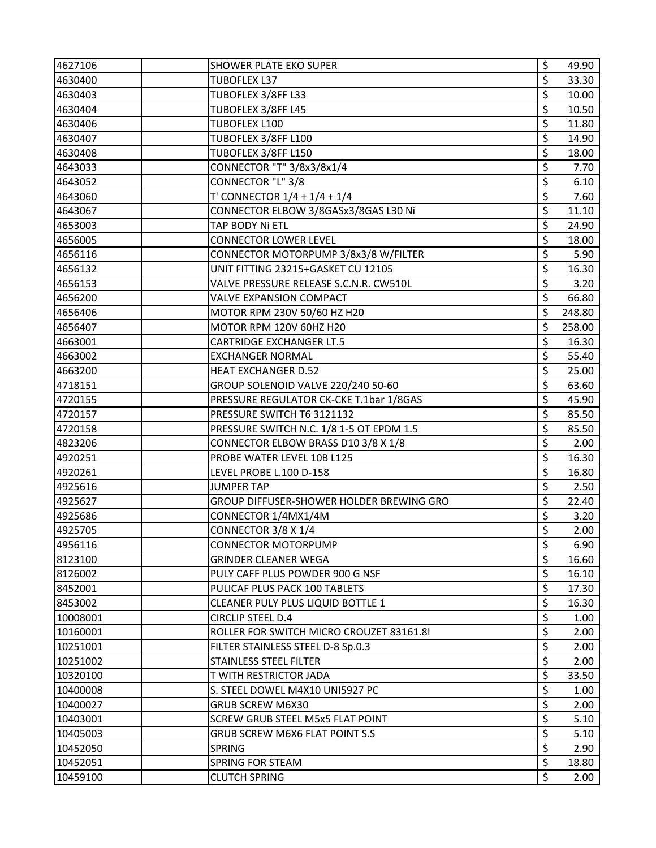| 4627106  | <b>SHOWER PLATE EKO SUPER</b>            | \$                       | 49.90  |
|----------|------------------------------------------|--------------------------|--------|
| 4630400  | <b>TUBOFLEX L37</b>                      | \$                       | 33.30  |
| 4630403  | TUBOFLEX 3/8FF L33                       | \$                       | 10.00  |
| 4630404  | TUBOFLEX 3/8FF L45                       | \$                       | 10.50  |
| 4630406  | TUBOFLEX L100                            | \$                       | 11.80  |
| 4630407  | TUBOFLEX 3/8FF L100                      | \$                       | 14.90  |
| 4630408  | TUBOFLEX 3/8FF L150                      | \$                       | 18.00  |
| 4643033  | CONNECTOR "T" 3/8x3/8x1/4                | \$                       | 7.70   |
| 4643052  | CONNECTOR "L" 3/8                        | \$                       | 6.10   |
| 4643060  | T' CONNECTOR $1/4 + 1/4 + 1/4$           | \$                       | 7.60   |
| 4643067  | CONNECTOR ELBOW 3/8GASx3/8GAS L30 Ni     | \$                       | 11.10  |
| 4653003  | TAP BODY Ni ETL                          | \$                       | 24.90  |
| 4656005  | <b>CONNECTOR LOWER LEVEL</b>             | \$                       | 18.00  |
| 4656116  | CONNECTOR MOTORPUMP 3/8x3/8 W/FILTER     | \$                       | 5.90   |
| 4656132  | UNIT FITTING 23215+GASKET CU 12105       | \$                       | 16.30  |
| 4656153  | VALVE PRESSURE RELEASE S.C.N.R. CW510L   | \$                       | 3.20   |
| 4656200  | <b>VALVE EXPANSION COMPACT</b>           | \$                       | 66.80  |
| 4656406  | MOTOR RPM 230V 50/60 HZ H20              | \$                       | 248.80 |
| 4656407  | MOTOR RPM 120V 60HZ H20                  | \$                       | 258.00 |
| 4663001  | <b>CARTRIDGE EXCHANGER LT.5</b>          | \$                       | 16.30  |
| 4663002  | <b>EXCHANGER NORMAL</b>                  | \$                       | 55.40  |
| 4663200  | <b>HEAT EXCHANGER D.52</b>               | \$                       | 25.00  |
| 4718151  | GROUP SOLENOID VALVE 220/240 50-60       | \$                       | 63.60  |
| 4720155  | PRESSURE REGULATOR CK-CKE T.1bar 1/8GAS  | \$                       | 45.90  |
| 4720157  | PRESSURE SWITCH T6 3121132               | \$                       | 85.50  |
| 4720158  | PRESSURE SWITCH N.C. 1/8 1-5 OT EPDM 1.5 | \$                       | 85.50  |
| 4823206  | CONNECTOR ELBOW BRASS D10 3/8 X 1/8      | \$                       | 2.00   |
| 4920251  | PROBE WATER LEVEL 10B L125               | \$                       | 16.30  |
| 4920261  | LEVEL PROBE L.100 D-158                  | \$                       | 16.80  |
| 4925616  | <b>JUMPER TAP</b>                        | \$                       | 2.50   |
| 4925627  | GROUP DIFFUSER-SHOWER HOLDER BREWING GRO | \$                       | 22.40  |
| 4925686  | CONNECTOR 1/4MX1/4M                      | \$                       | 3.20   |
| 4925705  | CONNECTOR 3/8 X 1/4                      | \$                       | 2.00   |
| 4956116  | <b>CONNECTOR MOTORPUMP</b>               | \$                       | 6.90   |
| 8123100  | <b>GRINDER CLEANER WEGA</b>              | $\overline{\mathcal{S}}$ | 16.60  |
| 8126002  | PULY CAFF PLUS POWDER 900 G NSF          | \$                       | 16.10  |
| 8452001  | PULICAF PLUS PACK 100 TABLETS            | \$                       | 17.30  |
| 8453002  | CLEANER PULY PLUS LIQUID BOTTLE 1        | \$                       | 16.30  |
| 10008001 | <b>CIRCLIP STEEL D.4</b>                 | \$                       | 1.00   |
| 10160001 | ROLLER FOR SWITCH MICRO CROUZET 83161.81 | \$                       | 2.00   |
| 10251001 | FILTER STAINLESS STEEL D-8 Sp.0.3        | \$                       | 2.00   |
| 10251002 | STAINLESS STEEL FILTER                   | \$                       | 2.00   |
| 10320100 | T WITH RESTRICTOR JADA                   | \$                       | 33.50  |
| 10400008 | S. STEEL DOWEL M4X10 UNI5927 PC          | \$                       | 1.00   |
| 10400027 | <b>GRUB SCREW M6X30</b>                  | \$                       | 2.00   |
| 10403001 | SCREW GRUB STEEL M5x5 FLAT POINT         | \$                       | 5.10   |
| 10405003 | <b>GRUB SCREW M6X6 FLAT POINT S.S</b>    | \$                       | 5.10   |
| 10452050 | <b>SPRING</b>                            | \$                       | 2.90   |
| 10452051 | <b>SPRING FOR STEAM</b>                  | \$                       | 18.80  |
| 10459100 | <b>CLUTCH SPRING</b>                     | Ś.                       | 2.00   |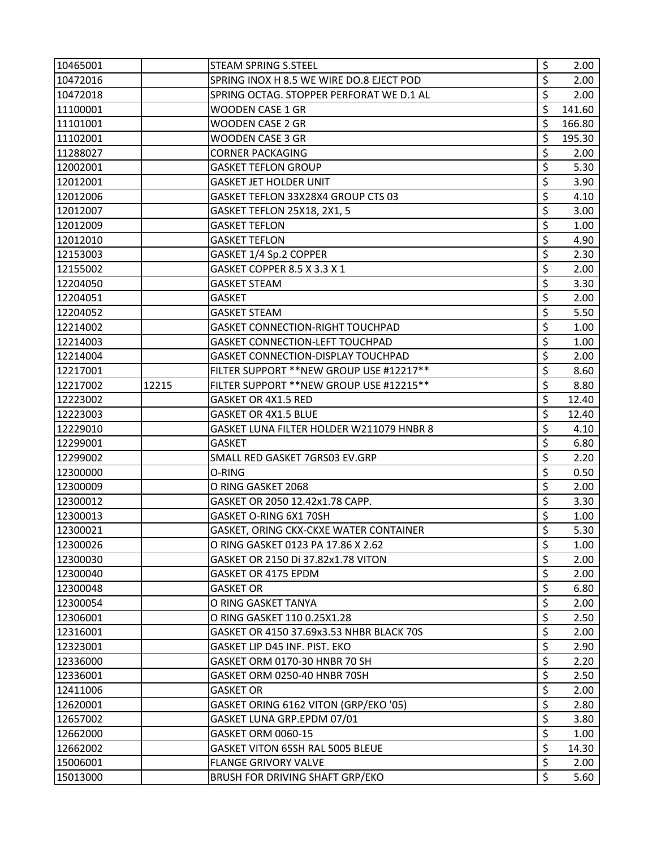| 10465001 |       | <b>STEAM SPRING S.STEEL</b>               | \$                       | 2.00              |
|----------|-------|-------------------------------------------|--------------------------|-------------------|
| 10472016 |       | SPRING INOX H 8.5 WE WIRE DO.8 EJECT POD  | \$                       | 2.00              |
| 10472018 |       | SPRING OCTAG. STOPPER PERFORAT WE D.1 AL  | \$                       | 2.00              |
| 11100001 |       | WOODEN CASE 1 GR                          | \$                       | 141.60            |
| 11101001 |       | WOODEN CASE 2 GR                          | \$                       | 166.80            |
| 11102001 |       | <b>WOODEN CASE 3 GR</b>                   | \$                       | 195.30            |
| 11288027 |       | <b>CORNER PACKAGING</b>                   | \$                       | 2.00              |
| 12002001 |       | <b>GASKET TEFLON GROUP</b>                | \$                       | 5.30              |
| 12012001 |       | GASKET JET HOLDER UNIT                    | \$                       | 3.90              |
| 12012006 |       | GASKET TEFLON 33X28X4 GROUP CTS 03        | \$                       | 4.10              |
| 12012007 |       | GASKET TEFLON 25X18, 2X1, 5               | \$                       | 3.00              |
| 12012009 |       | <b>GASKET TEFLON</b>                      | \$                       | 1.00              |
| 12012010 |       | <b>GASKET TEFLON</b>                      | \$                       | 4.90              |
| 12153003 |       | GASKET 1/4 Sp.2 COPPER                    | \$                       | 2.30              |
| 12155002 |       | GASKET COPPER 8.5 X 3.3 X 1               | \$                       | 2.00              |
| 12204050 |       | <b>GASKET STEAM</b>                       | \$                       | 3.30              |
| 12204051 |       | <b>GASKET</b>                             | \$                       | 2.00              |
| 12204052 |       | <b>GASKET STEAM</b>                       | \$                       | 5.50              |
| 12214002 |       | <b>GASKET CONNECTION-RIGHT TOUCHPAD</b>   | \$                       | 1.00              |
| 12214003 |       | <b>GASKET CONNECTION-LEFT TOUCHPAD</b>    | \$                       | 1.00              |
| 12214004 |       | <b>GASKET CONNECTION-DISPLAY TOUCHPAD</b> | \$                       | 2.00              |
| 12217001 |       | FILTER SUPPORT ** NEW GROUP USE #12217 ** | \$                       | 8.60              |
| 12217002 | 12215 | FILTER SUPPORT ** NEW GROUP USE #12215 ** | \$                       | 8.80              |
| 12223002 |       | GASKET OR 4X1.5 RED                       | \$                       | 12.40             |
| 12223003 |       | GASKET OR 4X1.5 BLUE                      | \$                       | 12.40             |
| 12229010 |       | GASKET LUNA FILTER HOLDER W211079 HNBR 8  | \$                       | 4.10              |
| 12299001 |       | GASKET                                    | \$                       | 6.80              |
| 12299002 |       | SMALL RED GASKET 7GRS03 EV.GRP            | \$                       | 2.20              |
| 12300000 |       | O-RING                                    | \$                       | 0.50              |
| 12300009 |       | O RING GASKET 2068                        | \$                       | 2.00              |
| 12300012 |       | GASKET OR 2050 12.42x1.78 CAPP.           | $\overline{\xi}$         | 3.30              |
| 12300013 |       | GASKET O-RING 6X1 70SH                    | \$                       | 1.00              |
| 12300021 |       | GASKET, ORING CKX-CKXE WATER CONTAINER    | \$                       | 5.30              |
| 12300026 |       | O RING GASKET 0123 PA 17.86 X 2.62        | \$                       | 1.00 <sub>1</sub> |
| 12300030 |       | GASKET OR 2150 Di 37.82x1.78 VITON        | $\overline{\mathcal{S}}$ | 2.00              |
| 12300040 |       | GASKET OR 4175 EPDM                       | \$                       | 2.00              |
| 12300048 |       | <b>GASKET OR</b>                          | \$                       | 6.80              |
| 12300054 |       | O RING GASKET TANYA                       | \$                       | 2.00              |
| 12306001 |       | O RING GASKET 110 0.25X1.28               | \$                       | 2.50              |
| 12316001 |       | GASKET OR 4150 37.69x3.53 NHBR BLACK 70S  | \$                       | 2.00              |
| 12323001 |       | GASKET LIP D45 INF. PIST. EKO             | \$                       | 2.90              |
| 12336000 |       | GASKET ORM 0170-30 HNBR 70 SH             | \$                       | 2.20              |
| 12336001 |       | GASKET ORM 0250-40 HNBR 70SH              | \$                       | 2.50              |
| 12411006 |       | <b>GASKET OR</b>                          | \$                       | 2.00              |
| 12620001 |       | GASKET ORING 6162 VITON (GRP/EKO '05)     | \$                       | 2.80              |
| 12657002 |       | GASKET LUNA GRP.EPDM 07/01                | \$                       | 3.80              |
| 12662000 |       | GASKET ORM 0060-15                        | \$                       | 1.00 <sub>1</sub> |
| 12662002 |       | GASKET VITON 65SH RAL 5005 BLEUE          | \$                       | 14.30             |
| 15006001 |       | <b>FLANGE GRIVORY VALVE</b>               | \$                       | 2.00              |
| 15013000 |       | <b>BRUSH FOR DRIVING SHAFT GRP/EKO</b>    | \$                       | 5.60              |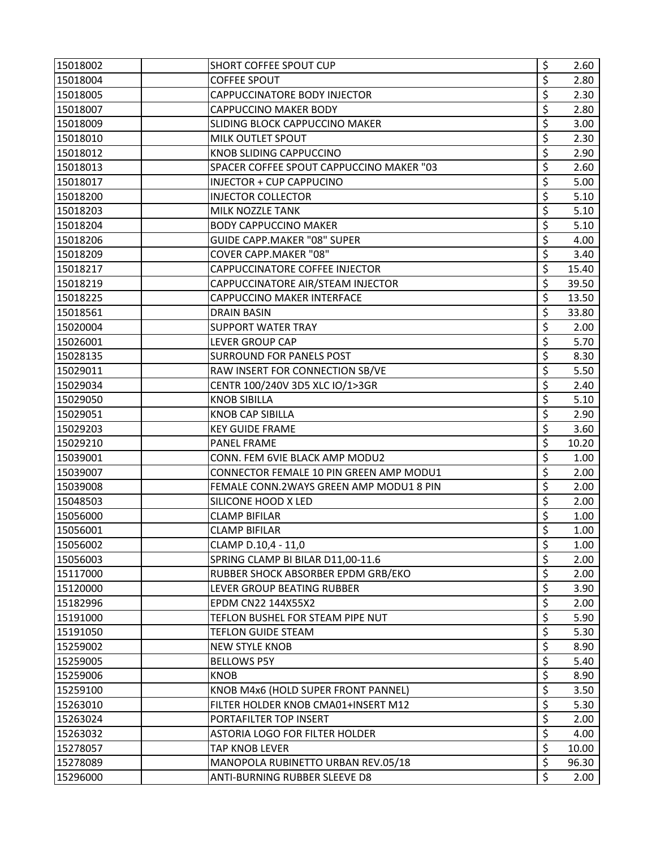| 15018002 | SHORT COFFEE SPOUT CUP                   | \$               | 2.60   |
|----------|------------------------------------------|------------------|--------|
| 15018004 | <b>COFFEE SPOUT</b>                      | \$               | 2.80   |
| 15018005 | CAPPUCCINATORE BODY INJECTOR             | \$               | 2.30   |
| 15018007 | <b>CAPPUCCINO MAKER BODY</b>             | \$               | 2.80   |
| 15018009 | SLIDING BLOCK CAPPUCCINO MAKER           | \$               | 3.00   |
| 15018010 | MILK OUTLET SPOUT                        | \$               | 2.30   |
| 15018012 | KNOB SLIDING CAPPUCCINO                  | \$               | 2.90   |
| 15018013 | SPACER COFFEE SPOUT CAPPUCCINO MAKER "03 | \$               | 2.60   |
| 15018017 | INJECTOR + CUP CAPPUCINO                 | \$               | 5.00   |
| 15018200 | <b>INJECTOR COLLECTOR</b>                | \$               | 5.10   |
| 15018203 | MILK NOZZLE TANK                         | \$               | 5.10   |
| 15018204 | <b>BODY CAPPUCCINO MAKER</b>             | \$               | $5.10$ |
| 15018206 | <b>GUIDE CAPP.MAKER "08" SUPER</b>       | \$               | 4.00   |
| 15018209 | <b>COVER CAPP.MAKER "08"</b>             | \$               | 3.40   |
| 15018217 | CAPPUCCINATORE COFFEE INJECTOR           | \$               | 15.40  |
| 15018219 | CAPPUCCINATORE AIR/STEAM INJECTOR        | \$               | 39.50  |
| 15018225 | CAPPUCCINO MAKER INTERFACE               | \$               | 13.50  |
| 15018561 | <b>DRAIN BASIN</b>                       | \$               | 33.80  |
| 15020004 | <b>SUPPORT WATER TRAY</b>                | \$               | 2.00   |
| 15026001 | <b>LEVER GROUP CAP</b>                   | \$               | 5.70   |
| 15028135 | <b>SURROUND FOR PANELS POST</b>          | \$               | 8.30   |
| 15029011 | RAW INSERT FOR CONNECTION SB/VE          | \$               | 5.50   |
| 15029034 | CENTR 100/240V 3D5 XLC IO/1>3GR          | \$               | 2.40   |
| 15029050 | <b>KNOB SIBILLA</b>                      | \$               | 5.10   |
| 15029051 | <b>KNOB CAP SIBILLA</b>                  | \$               | 2.90   |
| 15029203 | <b>KEY GUIDE FRAME</b>                   | \$               | 3.60   |
| 15029210 | <b>PANEL FRAME</b>                       | \$               | 10.20  |
| 15039001 | CONN. FEM 6VIE BLACK AMP MODU2           | \$               | 1.00   |
| 15039007 | CONNECTOR FEMALE 10 PIN GREEN AMP MODU1  | \$               | 2.00   |
| 15039008 | FEMALE CONN.2WAYS GREEN AMP MODU1 8 PIN  | \$               | 2.00   |
| 15048503 | SILICONE HOOD X LED                      | \$               | 2.00   |
| 15056000 | <b>CLAMP BIFILAR</b>                     | \$               | 1.00   |
| 15056001 | <b>CLAMP BIFILAR</b>                     | \$               | 1.00   |
| 15056002 | CLAMP D.10,4 - 11,0                      | \$               | 1.00   |
| 15056003 | SPRING CLAMP BI BILAR D11,00-11.6        | \$               | 2.00   |
| 15117000 | RUBBER SHOCK ABSORBER EPDM GRB/EKO       | \$               | 2.00   |
| 15120000 | LEVER GROUP BEATING RUBBER               | \$               | 3.90   |
| 15182996 | EPDM CN22 144X55X2                       | \$               | 2.00   |
| 15191000 | TEFLON BUSHEL FOR STEAM PIPE NUT         | \$               | 5.90   |
| 15191050 | <b>TEFLON GUIDE STEAM</b>                | \$               | 5.30   |
| 15259002 | <b>NEW STYLE KNOB</b>                    | \$               | 8.90   |
| 15259005 | <b>BELLOWS P5Y</b>                       | \$               | 5.40   |
| 15259006 | <b>KNOB</b>                              | \$               | 8.90   |
| 15259100 | KNOB M4x6 (HOLD SUPER FRONT PANNEL)      | \$               | 3.50   |
| 15263010 | FILTER HOLDER KNOB CMA01+INSERT M12      | \$               | 5.30   |
| 15263024 | PORTAFILTER TOP INSERT                   | \$               | 2.00   |
| 15263032 | ASTORIA LOGO FOR FILTER HOLDER           | $\overline{\xi}$ | 4.00   |
| 15278057 | <b>TAP KNOB LEVER</b>                    | \$               | 10.00  |
| 15278089 | MANOPOLA RUBINETTO URBAN REV.05/18       | \$               | 96.30  |
| 15296000 | ANTI-BURNING RUBBER SLEEVE D8            | \$               | 2.00   |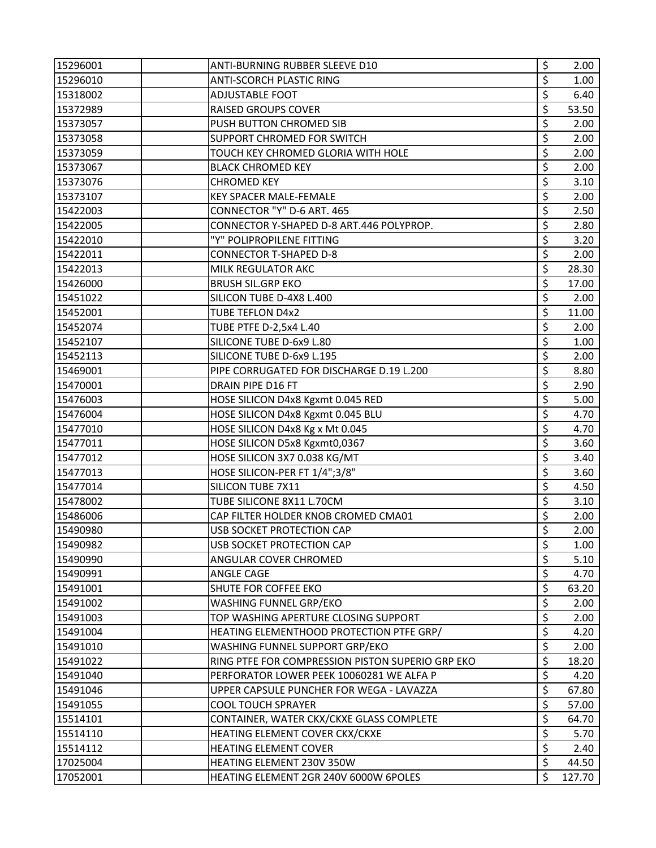| 15296001 | ANTI-BURNING RUBBER SLEEVE D10                   | \$               | 2.00   |
|----------|--------------------------------------------------|------------------|--------|
| 15296010 | <b>ANTI-SCORCH PLASTIC RING</b>                  | \$               | 1.00   |
| 15318002 | <b>ADJUSTABLE FOOT</b>                           | \$               | 6.40   |
| 15372989 | <b>RAISED GROUPS COVER</b>                       | \$               | 53.50  |
| 15373057 | PUSH BUTTON CHROMED SIB                          | \$               | 2.00   |
| 15373058 | SUPPORT CHROMED FOR SWITCH                       | \$               | 2.00   |
| 15373059 | TOUCH KEY CHROMED GLORIA WITH HOLE               | \$               | 2.00   |
| 15373067 | <b>BLACK CHROMED KEY</b>                         | $\overline{\xi}$ | 2.00   |
| 15373076 | <b>CHROMED KEY</b>                               | \$               | 3.10   |
| 15373107 | <b>KEY SPACER MALE-FEMALE</b>                    | \$               | 2.00   |
| 15422003 | CONNECTOR "Y" D-6 ART. 465                       | \$               | 2.50   |
| 15422005 | CONNECTOR Y-SHAPED D-8 ART.446 POLYPROP.         | $\overline{\xi}$ | 2.80   |
| 15422010 | "Y" POLIPROPILENE FITTING                        | \$               | 3.20   |
| 15422011 | <b>CONNECTOR T-SHAPED D-8</b>                    | \$               | 2.00   |
| 15422013 | MILK REGULATOR AKC                               | \$               | 28.30  |
| 15426000 | <b>BRUSH SIL.GRP EKO</b>                         | $\overline{\xi}$ | 17.00  |
| 15451022 | SILICON TUBE D-4X8 L.400                         | \$               | 2.00   |
| 15452001 | <b>TUBE TEFLON D4x2</b>                          | \$               | 11.00  |
| 15452074 | TUBE PTFE D-2,5x4 L.40                           | \$               | 2.00   |
| 15452107 | SILICONE TUBE D-6x9 L.80                         | \$               | 1.00   |
| 15452113 | SILICONE TUBE D-6x9 L.195                        | \$               | 2.00   |
| 15469001 | PIPE CORRUGATED FOR DISCHARGE D.19 L.200         | \$               | 8.80   |
| 15470001 | DRAIN PIPE D16 FT                                | $\overline{\xi}$ | 2.90   |
| 15476003 | HOSE SILICON D4x8 Kgxmt 0.045 RED                | \$               | 5.00   |
| 15476004 | HOSE SILICON D4x8 Kgxmt 0.045 BLU                | \$               | 4.70   |
| 15477010 | HOSE SILICON D4x8 Kg x Mt 0.045                  | \$               | 4.70   |
| 15477011 | HOSE SILICON D5x8 Kgxmt0,0367                    | $\overline{\xi}$ | 3.60   |
| 15477012 | HOSE SILICON 3X7 0.038 KG/MT                     | \$               | 3.40   |
| 15477013 | HOSE SILICON-PER FT 1/4";3/8"                    | \$               | 3.60   |
| 15477014 | SILICON TUBE 7X11                                | \$               | 4.50   |
| 15478002 | TUBE SILICONE 8X11 L.70CM                        | $\overline{\xi}$ | 3.10   |
| 15486006 | CAP FILTER HOLDER KNOB CROMED CMA01              | \$               | 2.00   |
| 15490980 | <b>USB SOCKET PROTECTION CAP</b>                 | \$               | 2.00   |
| 15490982 | USB SOCKET PROTECTION CAP                        | \$               | 1.00   |
| 15490990 | ANGULAR COVER CHROMED                            | $\overline{\xi}$ | 5.10   |
| 15490991 | ANGLE CAGE                                       | \$               | 4.70   |
| 15491001 | SHUTE FOR COFFEE EKO                             | \$               | 63.20  |
| 15491002 | WASHING FUNNEL GRP/EKO                           | \$               | 2.00   |
| 15491003 | TOP WASHING APERTURE CLOSING SUPPORT             | \$               | 2.00   |
| 15491004 | HEATING ELEMENTHOOD PROTECTION PTFE GRP/         | \$               | 4.20   |
| 15491010 | WASHING FUNNEL SUPPORT GRP/EKO                   | \$               | 2.00   |
| 15491022 | RING PTFE FOR COMPRESSION PISTON SUPERIO GRP EKO | \$               | 18.20  |
| 15491040 | PERFORATOR LOWER PEEK 10060281 WE ALFA P         | \$               | 4.20   |
| 15491046 | UPPER CAPSULE PUNCHER FOR WEGA - LAVAZZA         | \$               | 67.80  |
| 15491055 | <b>COOL TOUCH SPRAYER</b>                        | \$               | 57.00  |
| 15514101 | CONTAINER, WATER CKX/CKXE GLASS COMPLETE         | \$               | 64.70  |
| 15514110 | HEATING ELEMENT COVER CKX/CKXE                   | \$               | 5.70   |
| 15514112 | <b>HEATING ELEMENT COVER</b>                     | \$               | 2.40   |
| 17025004 | HEATING ELEMENT 230V 350W                        | \$               | 44.50  |
| 17052001 | HEATING ELEMENT 2GR 240V 6000W 6POLES            | \$               | 127.70 |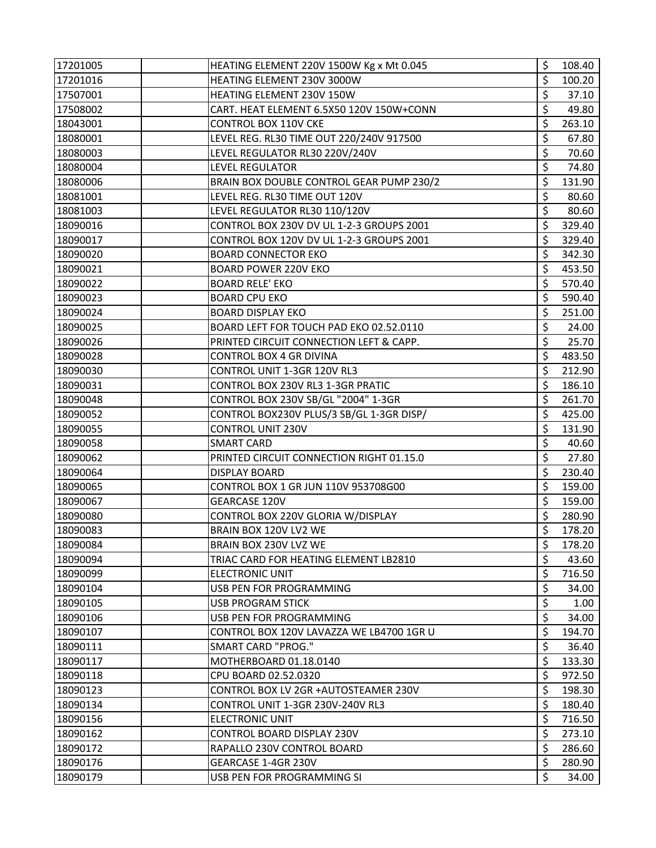| 17201005 | HEATING ELEMENT 220V 1500W Kg x Mt 0.045 | \$<br>108.40 |
|----------|------------------------------------------|--------------|
| 17201016 | HEATING ELEMENT 230V 3000W               | \$<br>100.20 |
| 17507001 | HEATING ELEMENT 230V 150W                | \$<br>37.10  |
| 17508002 | CART. HEAT ELEMENT 6.5X50 120V 150W+CONN | \$<br>49.80  |
| 18043001 | CONTROL BOX 110V CKE                     | \$<br>263.10 |
| 18080001 | LEVEL REG. RL30 TIME OUT 220/240V 917500 | \$<br>67.80  |
| 18080003 | LEVEL REGULATOR RL30 220V/240V           | \$<br>70.60  |
| 18080004 | <b>LEVEL REGULATOR</b>                   | \$<br>74.80  |
| 18080006 | BRAIN BOX DOUBLE CONTROL GEAR PUMP 230/2 | \$<br>131.90 |
| 18081001 | LEVEL REG. RL30 TIME OUT 120V            | \$<br>80.60  |
| 18081003 | LEVEL REGULATOR RL30 110/120V            | \$<br>80.60  |
| 18090016 | CONTROL BOX 230V DV UL 1-2-3 GROUPS 2001 | \$<br>329.40 |
| 18090017 | CONTROL BOX 120V DV UL 1-2-3 GROUPS 2001 | \$<br>329.40 |
| 18090020 | <b>BOARD CONNECTOR EKO</b>               | \$<br>342.30 |
| 18090021 | <b>BOARD POWER 220V EKO</b>              | \$<br>453.50 |
| 18090022 | <b>BOARD RELE' EKO</b>                   | \$<br>570.40 |
| 18090023 | <b>BOARD CPU EKO</b>                     | \$<br>590.40 |
| 18090024 | <b>BOARD DISPLAY EKO</b>                 | \$<br>251.00 |
| 18090025 | BOARD LEFT FOR TOUCH PAD EKO 02.52.0110  | \$<br>24.00  |
| 18090026 | PRINTED CIRCUIT CONNECTION LEFT & CAPP.  | \$<br>25.70  |
| 18090028 | <b>CONTROL BOX 4 GR DIVINA</b>           | \$<br>483.50 |
| 18090030 | CONTROL UNIT 1-3GR 120V RL3              | \$<br>212.90 |
| 18090031 | CONTROL BOX 230V RL3 1-3GR PRATIC        | \$<br>186.10 |
| 18090048 | CONTROL BOX 230V SB/GL "2004" 1-3GR      | \$<br>261.70 |
| 18090052 | CONTROL BOX230V PLUS/3 SB/GL 1-3GR DISP/ | \$<br>425.00 |
| 18090055 | <b>CONTROL UNIT 230V</b>                 | \$<br>131.90 |
| 18090058 | <b>SMART CARD</b>                        | \$<br>40.60  |
| 18090062 | PRINTED CIRCUIT CONNECTION RIGHT 01.15.0 | \$<br>27.80  |
| 18090064 | <b>DISPLAY BOARD</b>                     | \$<br>230.40 |
| 18090065 | CONTROL BOX 1 GR JUN 110V 953708G00      | \$<br>159.00 |
| 18090067 | GEARCASE 120V                            | \$<br>159.00 |
| 18090080 | CONTROL BOX 220V GLORIA W/DISPLAY        | \$<br>280.90 |
| 18090083 | BRAIN BOX 120V LV2 WE                    | \$<br>178.20 |
| 18090084 | BRAIN BOX 230V LVZ WE                    | \$<br>178.20 |
| 18090094 | TRIAC CARD FOR HEATING ELEMENT LB2810    | \$<br>43.60  |
| 18090099 | <b>ELECTRONIC UNIT</b>                   | \$<br>716.50 |
| 18090104 | USB PEN FOR PROGRAMMING                  | \$<br>34.00  |
| 18090105 | <b>USB PROGRAM STICK</b>                 | \$<br>1.00   |
| 18090106 | USB PEN FOR PROGRAMMING                  | \$<br>34.00  |
| 18090107 | CONTROL BOX 120V LAVAZZA WE LB4700 1GR U | \$<br>194.70 |
| 18090111 | <b>SMART CARD "PROG."</b>                | \$<br>36.40  |
| 18090117 | MOTHERBOARD 01.18.0140                   | \$<br>133.30 |
| 18090118 | CPU BOARD 02.52.0320                     | \$<br>972.50 |
| 18090123 | CONTROL BOX LV 2GR +AUTOSTEAMER 230V     | \$<br>198.30 |
| 18090134 | CONTROL UNIT 1-3GR 230V-240V RL3         | \$<br>180.40 |
| 18090156 | <b>ELECTRONIC UNIT</b>                   | \$<br>716.50 |
| 18090162 | CONTROL BOARD DISPLAY 230V               | \$<br>273.10 |
| 18090172 | RAPALLO 230V CONTROL BOARD               | \$<br>286.60 |
| 18090176 | GEARCASE 1-4GR 230V                      | \$<br>280.90 |
| 18090179 | USB PEN FOR PROGRAMMING SI               | \$<br>34.00  |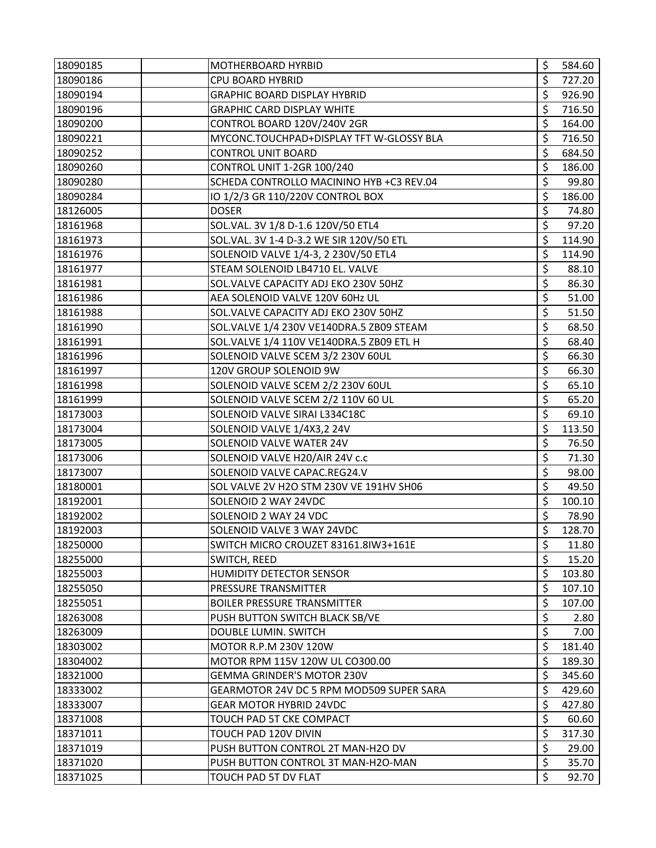| 18090185 | MOTHERBOARD HYRBID                       | \$<br>584.60 |
|----------|------------------------------------------|--------------|
| 18090186 | CPU BOARD HYBRID                         | \$<br>727.20 |
| 18090194 | <b>GRAPHIC BOARD DISPLAY HYBRID</b>      | \$<br>926.90 |
| 18090196 | <b>GRAPHIC CARD DISPLAY WHITE</b>        | \$<br>716.50 |
| 18090200 | CONTROL BOARD 120V/240V 2GR              | \$<br>164.00 |
| 18090221 | MYCONC.TOUCHPAD+DISPLAY TFT W-GLOSSY BLA | \$<br>716.50 |
| 18090252 | <b>CONTROL UNIT BOARD</b>                | \$<br>684.50 |
| 18090260 | CONTROL UNIT 1-2GR 100/240               | \$<br>186.00 |
| 18090280 | SCHEDA CONTROLLO MACININO HYB +C3 REV.04 | \$<br>99.80  |
| 18090284 | IO 1/2/3 GR 110/220V CONTROL BOX         | \$<br>186.00 |
| 18126005 | <b>DOSER</b>                             | \$<br>74.80  |
| 18161968 | SOL.VAL. 3V 1/8 D-1.6 120V/50 ETL4       | \$<br>97.20  |
| 18161973 | SOL.VAL. 3V 1-4 D-3.2 WE SIR 120V/50 ETL | \$<br>114.90 |
| 18161976 | SOLENOID VALVE 1/4-3, 2 230V/50 ETL4     | \$<br>114.90 |
| 18161977 | STEAM SOLENOID LB4710 EL. VALVE          | \$<br>88.10  |
| 18161981 | SOL. VALVE CAPACITY ADJ EKO 230V 50HZ    | \$<br>86.30  |
| 18161986 | AEA SOLENOID VALVE 120V 60Hz UL          | \$<br>51.00  |
| 18161988 | SOL. VALVE CAPACITY ADJ EKO 230V 50HZ    | \$<br>51.50  |
| 18161990 | SOL.VALVE 1/4 230V VE140DRA.5 ZB09 STEAM | \$<br>68.50  |
| 18161991 | SOL.VALVE 1/4 110V VE140DRA.5 ZB09 ETL H | \$<br>68.40  |
| 18161996 | SOLENOID VALVE SCEM 3/2 230V 60UL        | \$<br>66.30  |
| 18161997 | 120V GROUP SOLENOID 9W                   | \$<br>66.30  |
| 18161998 | SOLENOID VALVE SCEM 2/2 230V 60UL        | \$<br>65.10  |
| 18161999 | SOLENOID VALVE SCEM 2/2 110V 60 UL       | \$<br>65.20  |
| 18173003 | SOLENOID VALVE SIRAI L334C18C            | \$<br>69.10  |
| 18173004 | SOLENOID VALVE 1/4X3,2 24V               | \$<br>113.50 |
| 18173005 | SOLENOID VALVE WATER 24V                 | \$<br>76.50  |
| 18173006 | SOLENOID VALVE H20/AIR 24V c.c           | \$<br>71.30  |
| 18173007 | SOLENOID VALVE CAPAC.REG24.V             | \$<br>98.00  |
| 18180001 | SOL VALVE 2V H2O STM 230V VE 191HV SH06  | \$<br>49.50  |
| 18192001 | SOLENOID 2 WAY 24VDC                     | \$<br>100.10 |
| 18192002 | SOLENOID 2 WAY 24 VDC                    | \$<br>78.90  |
| 18192003 | SOLENOID VALVE 3 WAY 24VDC               | \$<br>128.70 |
| 18250000 | SWITCH MICRO CROUZET 83161.8IW3+161E     | \$<br>11.80  |
| 18255000 | SWITCH, REED                             | \$<br>15.20  |
| 18255003 | HUMIDITY DETECTOR SENSOR                 | \$<br>103.80 |
| 18255050 | <b>PRESSURE TRANSMITTER</b>              | \$<br>107.10 |
| 18255051 | <b>BOILER PRESSURE TRANSMITTER</b>       | \$<br>107.00 |
| 18263008 | PUSH BUTTON SWITCH BLACK SB/VE           | \$<br>2.80   |
| 18263009 | <b>DOUBLE LUMIN. SWITCH</b>              | \$<br>7.00   |
| 18303002 | MOTOR R.P.M 230V 120W                    | \$<br>181.40 |
| 18304002 | MOTOR RPM 115V 120W UL CO300.00          | \$<br>189.30 |
| 18321000 | <b>GEMMA GRINDER'S MOTOR 230V</b>        | \$<br>345.60 |
| 18333002 | GEARMOTOR 24V DC 5 RPM MOD509 SUPER SARA | \$<br>429.60 |
| 18333007 | <b>GEAR MOTOR HYBRID 24VDC</b>           | \$<br>427.80 |
| 18371008 | TOUCH PAD 5T CKE COMPACT                 | \$<br>60.60  |
| 18371011 | TOUCH PAD 120V DIVIN                     | \$<br>317.30 |
| 18371019 | PUSH BUTTON CONTROL 2T MAN-H2O DV        | \$<br>29.00  |
| 18371020 | PUSH BUTTON CONTROL 3T MAN-H2O-MAN       | \$<br>35.70  |
| 18371025 | TOUCH PAD 5T DV FLAT                     | \$<br>92.70  |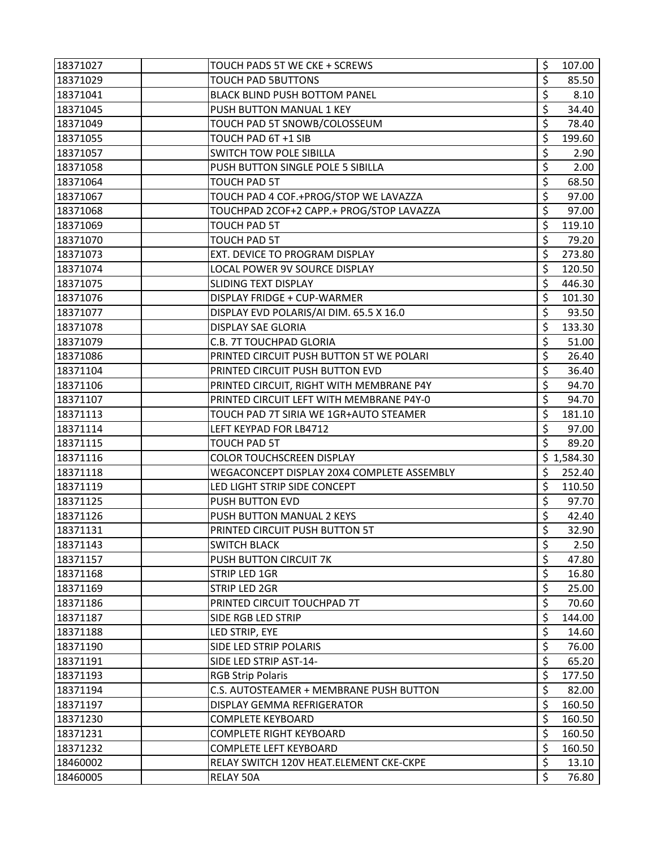| 18371027             | TOUCH PADS 5T WE CKE + SCREWS                        | \$       | 107.00         |
|----------------------|------------------------------------------------------|----------|----------------|
| 18371029             | <b>TOUCH PAD 5BUTTONS</b>                            | \$       | 85.50          |
| 18371041             | BLACK BLIND PUSH BOTTOM PANEL                        | \$       | 8.10           |
| 18371045             | PUSH BUTTON MANUAL 1 KEY                             | \$       | 34.40          |
| 18371049             | TOUCH PAD 5T SNOWB/COLOSSEUM                         | \$       | 78.40          |
| 18371055             | TOUCH PAD 6T +1 SIB                                  | \$       | 199.60         |
| 18371057             | SWITCH TOW POLE SIBILLA                              | \$       | 2.90           |
| 18371058             | PUSH BUTTON SINGLE POLE 5 SIBILLA                    | \$       | 2.00           |
| 18371064             | TOUCH PAD 5T                                         | \$       | 68.50          |
| 18371067             | TOUCH PAD 4 COF.+PROG/STOP WE LAVAZZA                | \$       | 97.00          |
| 18371068             | TOUCHPAD 2COF+2 CAPP.+ PROG/STOP LAVAZZA             | \$       | 97.00          |
| 18371069             | <b>TOUCH PAD 5T</b>                                  | \$       | 119.10         |
| 18371070             | TOUCH PAD 5T                                         | \$       | 79.20          |
| 18371073             | EXT. DEVICE TO PROGRAM DISPLAY                       | \$       | 273.80         |
| 18371074             | LOCAL POWER 9V SOURCE DISPLAY                        | \$       | 120.50         |
| 18371075             | SLIDING TEXT DISPLAY                                 | \$       | 446.30         |
| 18371076             | DISPLAY FRIDGE + CUP-WARMER                          | \$       | 101.30         |
| 18371077             | DISPLAY EVD POLARIS/AI DIM. 65.5 X 16.0              | \$       | 93.50          |
| 18371078             | DISPLAY SAE GLORIA                                   | \$       | 133.30         |
| 18371079             | C.B. 7T TOUCHPAD GLORIA                              | \$       | 51.00          |
| 18371086             | PRINTED CIRCUIT PUSH BUTTON 5T WE POLARI             | \$       | 26.40          |
| 18371104             | PRINTED CIRCUIT PUSH BUTTON EVD                      | \$       | 36.40          |
| 18371106             | PRINTED CIRCUIT, RIGHT WITH MEMBRANE P4Y             | \$       | 94.70          |
| 18371107             | PRINTED CIRCUIT LEFT WITH MEMBRANE P4Y-0             | \$       | 94.70          |
| 18371113             | TOUCH PAD 7T SIRIA WE 1GR+AUTO STEAMER               | \$       | 181.10         |
|                      |                                                      |          |                |
| 18371114             | LEFT KEYPAD FOR LB4712                               | \$       | 97.00          |
| 18371115             | <b>TOUCH PAD 5T</b>                                  | \$       | 89.20          |
| 18371116             | <b>COLOR TOUCHSCREEN DISPLAY</b>                     |          | \$1,584.30     |
| 18371118             | WEGACONCEPT DISPLAY 20X4 COMPLETE ASSEMBLY           | \$       | 252.40         |
| 18371119             | LED LIGHT STRIP SIDE CONCEPT                         | \$       | 110.50         |
| 18371125             | PUSH BUTTON EVD                                      | \$       | 97.70          |
| 18371126             | PUSH BUTTON MANUAL 2 KEYS                            | \$       | 42.40          |
| 18371131             | PRINTED CIRCUIT PUSH BUTTON 5T                       | \$       | 32.90          |
| 18371143             | <b>SWITCH BLACK</b>                                  | \$       | 2.50           |
| 18371157             | PUSH BUTTON CIRCUIT 7K                               | \$       | 47.80          |
| 18371168             | STRIP LED 1GR                                        | \$       | 16.80          |
| 18371169             | STRIP LED 2GR                                        | \$       | 25.00          |
| 18371186             | PRINTED CIRCUIT TOUCHPAD 7T                          | \$       | 70.60          |
| 18371187             | SIDE RGB LED STRIP                                   | \$       | 144.00         |
| 18371188             | LED STRIP, EYE                                       | \$       | 14.60          |
| 18371190             | SIDE LED STRIP POLARIS                               | \$       | 76.00          |
| 18371191             | SIDE LED STRIP AST-14-                               | \$       | 65.20          |
| 18371193             | <b>RGB Strip Polaris</b>                             | \$       | 177.50         |
| 18371194             | C.S. AUTOSTEAMER + MEMBRANE PUSH BUTTON              | \$       | 82.00          |
| 18371197             | DISPLAY GEMMA REFRIGERATOR                           | \$       | 160.50         |
| 18371230             | <b>COMPLETE KEYBOARD</b>                             | \$       | 160.50         |
| 18371231             | <b>COMPLETE RIGHT KEYBOARD</b>                       | \$       | 160.50         |
| 18371232             | <b>COMPLETE LEFT KEYBOARD</b>                        | \$       | 160.50         |
| 18460002<br>18460005 | RELAY SWITCH 120V HEAT.ELEMENT CKE-CKPE<br>RELAY 50A | \$<br>\$ | 13.10<br>76.80 |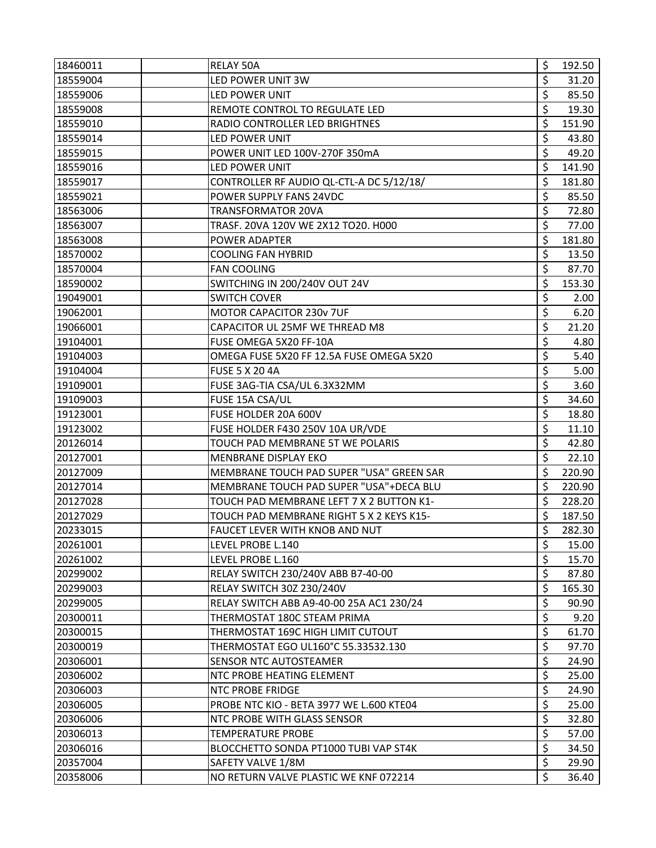| 18460011 | RELAY 50A                                | \$<br>192.50 |
|----------|------------------------------------------|--------------|
| 18559004 | LED POWER UNIT 3W                        | \$<br>31.20  |
| 18559006 | LED POWER UNIT                           | \$<br>85.50  |
| 18559008 | REMOTE CONTROL TO REGULATE LED           | \$<br>19.30  |
| 18559010 | RADIO CONTROLLER LED BRIGHTNES           | \$<br>151.90 |
| 18559014 | LED POWER UNIT                           | \$<br>43.80  |
| 18559015 | POWER UNIT LED 100V-270F 350mA           | \$<br>49.20  |
| 18559016 | LED POWER UNIT                           | \$<br>141.90 |
| 18559017 | CONTROLLER RF AUDIO QL-CTL-A DC 5/12/18/ | \$<br>181.80 |
| 18559021 | POWER SUPPLY FANS 24VDC                  | \$<br>85.50  |
| 18563006 | <b>TRANSFORMATOR 20VA</b>                | \$<br>72.80  |
| 18563007 | TRASF. 20VA 120V WE 2X12 TO20. H000      | \$<br>77.00  |
| 18563008 | POWER ADAPTER                            | \$<br>181.80 |
| 18570002 | <b>COOLING FAN HYBRID</b>                | \$<br>13.50  |
| 18570004 | <b>FAN COOLING</b>                       | \$<br>87.70  |
| 18590002 | SWITCHING IN 200/240V OUT 24V            | \$<br>153.30 |
| 19049001 | <b>SWITCH COVER</b>                      | \$<br>2.00   |
| 19062001 | MOTOR CAPACITOR 230v 7UF                 | \$<br>6.20   |
| 19066001 | CAPACITOR UL 25MF WE THREAD M8           | \$<br>21.20  |
| 19104001 | FUSE OMEGA 5X20 FF-10A                   | \$<br>4.80   |
| 19104003 | OMEGA FUSE 5X20 FF 12.5A FUSE OMEGA 5X20 | \$<br>5.40   |
| 19104004 | <b>FUSE 5 X 20 4A</b>                    | \$<br>5.00   |
| 19109001 | FUSE 3AG-TIA CSA/UL 6.3X32MM             | \$<br>3.60   |
| 19109003 | FUSE 15A CSA/UL                          | \$<br>34.60  |
| 19123001 | FUSE HOLDER 20A 600V                     | \$<br>18.80  |
| 19123002 | FUSE HOLDER F430 250V 10A UR/VDE         | \$<br>11.10  |
| 20126014 | TOUCH PAD MEMBRANE 5T WE POLARIS         | \$<br>42.80  |
| 20127001 | MENBRANE DISPLAY EKO                     | \$<br>22.10  |
| 20127009 | MEMBRANE TOUCH PAD SUPER "USA" GREEN SAR | \$<br>220.90 |
| 20127014 | MEMBRANE TOUCH PAD SUPER "USA"+DECA BLU  | \$<br>220.90 |
| 20127028 | TOUCH PAD MEMBRANE LEFT 7 X 2 BUTTON K1- | \$<br>228.20 |
| 20127029 | TOUCH PAD MEMBRANE RIGHT 5 X 2 KEYS K15- | \$<br>187.50 |
| 20233015 | FAUCET LEVER WITH KNOB AND NUT           | \$<br>282.30 |
| 20261001 | LEVEL PROBE L.140                        | \$<br>15.00  |
| 20261002 | LEVEL PROBE L.160                        | \$<br>15.70  |
| 20299002 | RELAY SWITCH 230/240V ABB B7-40-00       | \$<br>87.80  |
| 20299003 | RELAY SWITCH 30Z 230/240V                | \$<br>165.30 |
| 20299005 | RELAY SWITCH ABB A9-40-00 25A AC1 230/24 | \$<br>90.90  |
| 20300011 | THERMOSTAT 180C STEAM PRIMA              | \$<br>9.20   |
| 20300015 | THERMOSTAT 169C HIGH LIMIT CUTOUT        | \$<br>61.70  |
| 20300019 | THERMOSTAT EGO UL160°C 55.33532.130      | \$<br>97.70  |
| 20306001 | SENSOR NTC AUTOSTEAMER                   | \$<br>24.90  |
| 20306002 | NTC PROBE HEATING ELEMENT                | \$<br>25.00  |
| 20306003 | NTC PROBE FRIDGE                         | \$<br>24.90  |
| 20306005 | PROBE NTC KIO - BETA 3977 WE L.600 KTE04 | \$<br>25.00  |
| 20306006 | NTC PROBE WITH GLASS SENSOR              | \$<br>32.80  |
| 20306013 | <b>TEMPERATURE PROBE</b>                 | \$<br>57.00  |
| 20306016 | BLOCCHETTO SONDA PT1000 TUBI VAP ST4K    | \$<br>34.50  |
| 20357004 | SAFETY VALVE 1/8M                        | \$<br>29.90  |
| 20358006 | NO RETURN VALVE PLASTIC WE KNF 072214    | \$<br>36.40  |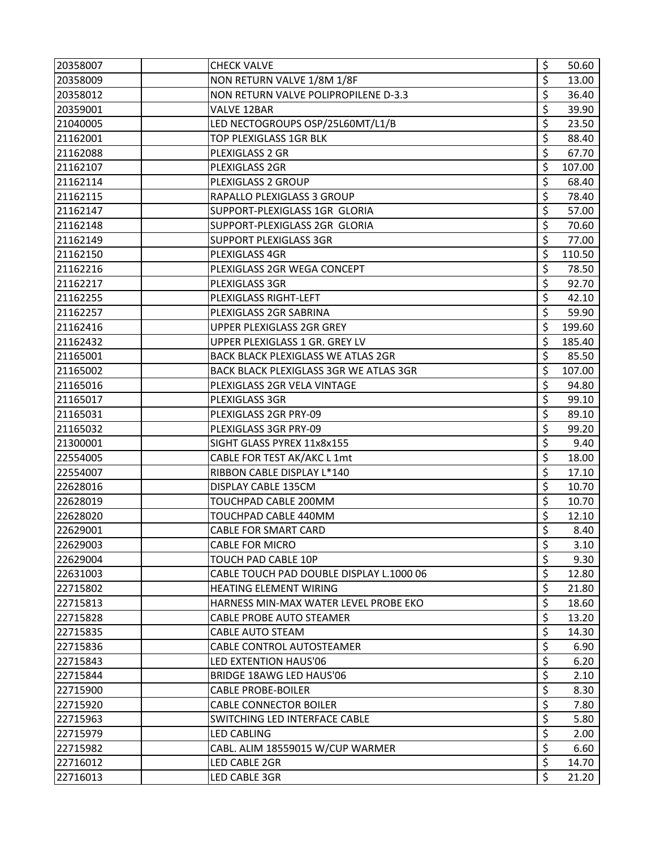| 20358007 | <b>CHECK VALVE</b>                        | \$<br>50.60  |
|----------|-------------------------------------------|--------------|
| 20358009 | NON RETURN VALVE 1/8M 1/8F                | \$<br>13.00  |
| 20358012 | NON RETURN VALVE POLIPROPILENE D-3.3      | \$<br>36.40  |
| 20359001 | VALVE 12BAR                               | \$<br>39.90  |
| 21040005 | LED NECTOGROUPS OSP/25L60MT/L1/B          | \$<br>23.50  |
| 21162001 | TOP PLEXIGLASS 1GR BLK                    | \$<br>88.40  |
| 21162088 | PLEXIGLASS 2 GR                           | \$<br>67.70  |
| 21162107 | PLEXIGLASS 2GR                            | \$<br>107.00 |
| 21162114 | PLEXIGLASS 2 GROUP                        | \$<br>68.40  |
| 21162115 | RAPALLO PLEXIGLASS 3 GROUP                | \$<br>78.40  |
| 21162147 | SUPPORT-PLEXIGLASS 1GR GLORIA             | \$<br>57.00  |
| 21162148 | SUPPORT-PLEXIGLASS 2GR GLORIA             | \$<br>70.60  |
| 21162149 | <b>SUPPORT PLEXIGLASS 3GR</b>             | \$<br>77.00  |
| 21162150 | PLEXIGLASS 4GR                            | \$<br>110.50 |
| 21162216 | PLEXIGLASS 2GR WEGA CONCEPT               | \$<br>78.50  |
| 21162217 | PLEXIGLASS 3GR                            | \$<br>92.70  |
| 21162255 | PLEXIGLASS RIGHT-LEFT                     | \$<br>42.10  |
| 21162257 | PLEXIGLASS 2GR SABRINA                    | \$<br>59.90  |
| 21162416 | UPPER PLEXIGLASS 2GR GREY                 | \$<br>199.60 |
| 21162432 | UPPER PLEXIGLASS 1 GR. GREY LV            | \$<br>185.40 |
| 21165001 | <b>BACK BLACK PLEXIGLASS WE ATLAS 2GR</b> | \$<br>85.50  |
| 21165002 | BACK BLACK PLEXIGLASS 3GR WE ATLAS 3GR    | \$<br>107.00 |
| 21165016 | PLEXIGLASS 2GR VELA VINTAGE               | \$<br>94.80  |
| 21165017 | PLEXIGLASS 3GR                            | \$<br>99.10  |
| 21165031 | PLEXIGLASS 2GR PRY-09                     | \$<br>89.10  |
| 21165032 | PLEXIGLASS 3GR PRY-09                     | \$<br>99.20  |
| 21300001 | SIGHT GLASS PYREX 11x8x155                | \$<br>9.40   |
| 22554005 | CABLE FOR TEST AK/AKC L 1mt               | \$<br>18.00  |
| 22554007 | RIBBON CABLE DISPLAY L*140                | \$<br>17.10  |
| 22628016 | DISPLAY CABLE 135CM                       | \$<br>10.70  |
| 22628019 | TOUCHPAD CABLE 200MM                      | \$<br>10.70  |
| 22628020 | TOUCHPAD CABLE 440MM                      | \$<br>12.10  |
| 22629001 | <b>CABLE FOR SMART CARD</b>               | \$<br>8.40   |
| 22629003 | <b>CABLE FOR MICRO</b>                    | \$<br>3.10   |
| 22629004 | <b>TOUCH PAD CABLE 10P</b>                | \$<br>9.30   |
| 22631003 | CABLE TOUCH PAD DOUBLE DISPLAY L.1000 06  | \$<br>12.80  |
| 22715802 | HEATING ELEMENT WIRING                    | \$<br>21.80  |
| 22715813 | HARNESS MIN-MAX WATER LEVEL PROBE EKO     | \$<br>18.60  |
| 22715828 | <b>CABLE PROBE AUTO STEAMER</b>           | \$<br>13.20  |
| 22715835 | <b>CABLE AUTO STEAM</b>                   | \$<br>14.30  |
| 22715836 | CABLE CONTROL AUTOSTEAMER                 | \$<br>6.90   |
| 22715843 | LED EXTENTION HAUS'06                     | \$<br>6.20   |
| 22715844 | BRIDGE 18AWG LED HAUS'06                  | \$<br>2.10   |
| 22715900 | <b>CABLE PROBE-BOILER</b>                 | \$<br>8.30   |
| 22715920 | <b>CABLE CONNECTOR BOILER</b>             | \$<br>7.80   |
| 22715963 | SWITCHING LED INTERFACE CABLE             | \$<br>5.80   |
| 22715979 | <b>LED CABLING</b>                        | \$<br>2.00   |
| 22715982 | CABL. ALIM 18559015 W/CUP WARMER          | \$<br>6.60   |
| 22716012 | LED CABLE 2GR                             | \$<br>14.70  |
| 22716013 | LED CABLE 3GR                             | \$<br>21.20  |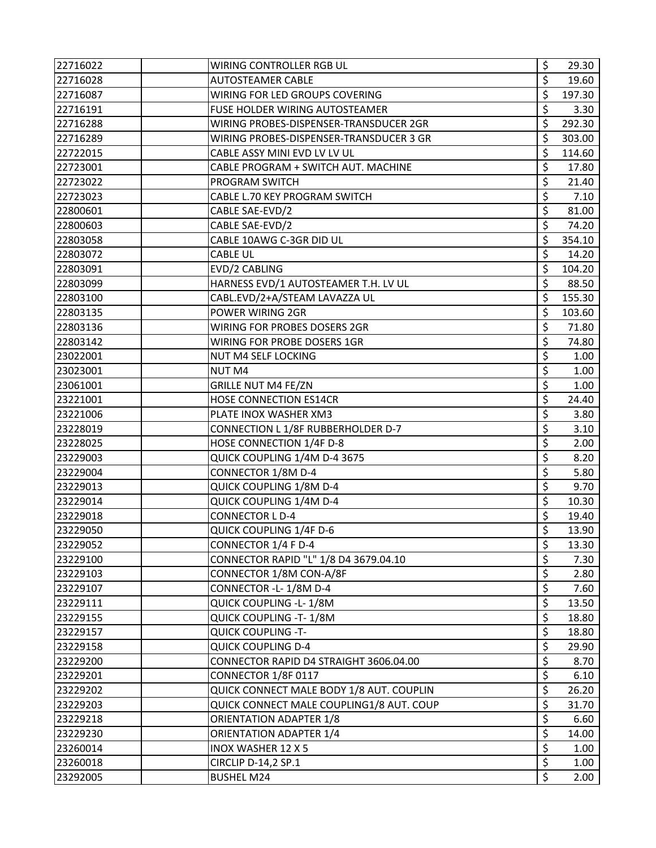| 22716022 | WIRING CONTROLLER RGB UL                 | \$                      | 29.30  |
|----------|------------------------------------------|-------------------------|--------|
| 22716028 | <b>AUTOSTEAMER CABLE</b>                 | \$                      | 19.60  |
| 22716087 | WIRING FOR LED GROUPS COVERING           | \$                      | 197.30 |
| 22716191 | FUSE HOLDER WIRING AUTOSTEAMER           | \$                      | 3.30   |
| 22716288 | WIRING PROBES-DISPENSER-TRANSDUCER 2GR   | \$                      | 292.30 |
| 22716289 | WIRING PROBES-DISPENSER-TRANSDUCER 3 GR  | \$                      | 303.00 |
| 22722015 | CABLE ASSY MINI EVD LV LV UL             | \$                      | 114.60 |
| 22723001 | CABLE PROGRAM + SWITCH AUT. MACHINE      | \$                      | 17.80  |
| 22723022 | PROGRAM SWITCH                           | \$                      | 21.40  |
| 22723023 | CABLE L.70 KEY PROGRAM SWITCH            | \$                      | 7.10   |
| 22800601 | CABLE SAE-EVD/2                          | \$                      | 81.00  |
| 22800603 | CABLE SAE-EVD/2                          | \$                      | 74.20  |
| 22803058 | CABLE 10AWG C-3GR DID UL                 | \$                      | 354.10 |
| 22803072 | <b>CABLE UL</b>                          | \$                      | 14.20  |
| 22803091 | EVD/2 CABLING                            | \$                      | 104.20 |
| 22803099 | HARNESS EVD/1 AUTOSTEAMER T.H. LV UL     | \$                      | 88.50  |
| 22803100 | CABL.EVD/2+A/STEAM LAVAZZA UL            | \$                      | 155.30 |
| 22803135 | POWER WIRING 2GR                         | \$                      | 103.60 |
| 22803136 | WIRING FOR PROBES DOSERS 2GR             | \$                      | 71.80  |
| 22803142 | WIRING FOR PROBE DOSERS 1GR              | \$                      | 74.80  |
| 23022001 | NUT M4 SELF LOCKING                      | \$                      | 1.00   |
| 23023001 | <b>NUT M4</b>                            | \$                      | 1.00   |
| 23061001 | <b>GRILLE NUT M4 FE/ZN</b>               | \$                      | 1.00   |
| 23221001 | HOSE CONNECTION ES14CR                   | \$                      | 24.40  |
| 23221006 | PLATE INOX WASHER XM3                    | \$                      | 3.80   |
| 23228019 | CONNECTION L 1/8F RUBBERHOLDER D-7       | \$                      | 3.10   |
| 23228025 | HOSE CONNECTION 1/4F D-8                 | \$                      | 2.00   |
| 23229003 | QUICK COUPLING 1/4M D-4 3675             | \$                      | 8.20   |
| 23229004 | CONNECTOR 1/8M D-4                       | \$                      | 5.80   |
| 23229013 | QUICK COUPLING 1/8M D-4                  | \$                      | 9.70   |
| 23229014 | QUICK COUPLING 1/4M D-4                  | \$                      | 10.30  |
| 23229018 | <b>CONNECTOR LD-4</b>                    | \$                      | 19.40  |
| 23229050 | QUICK COUPLING 1/4F D-6                  | \$                      | 13.90  |
| 23229052 | CONNECTOR 1/4 F D-4                      | \$                      | 13.30  |
| 23229100 | CONNECTOR RAPID "L" 1/8 D4 3679.04.10    | \$                      | 7.30   |
| 23229103 | CONNECTOR 1/8M CON-A/8F                  | \$                      | 2.80   |
| 23229107 | CONNECTOR - L-1/8M D-4                   | \$                      | 7.60   |
| 23229111 | QUICK COUPLING - L-1/8M                  | \$                      | 13.50  |
| 23229155 | QUICK COUPLING -T-1/8M                   | \$                      | 18.80  |
| 23229157 | <b>QUICK COUPLING -T-</b>                | \$                      | 18.80  |
| 23229158 | <b>QUICK COUPLING D-4</b>                | \$                      | 29.90  |
| 23229200 | CONNECTOR RAPID D4 STRAIGHT 3606.04.00   | \$                      | 8.70   |
| 23229201 | CONNECTOR 1/8F 0117                      | \$                      | 6.10   |
| 23229202 | QUICK CONNECT MALE BODY 1/8 AUT. COUPLIN | \$                      | 26.20  |
| 23229203 | QUICK CONNECT MALE COUPLING1/8 AUT. COUP | \$                      | 31.70  |
| 23229218 | <b>ORIENTATION ADAPTER 1/8</b>           | \$                      | 6.60   |
| 23229230 | ORIENTATION ADAPTER 1/4                  | \$                      | 14.00  |
| 23260014 | <b>INOX WASHER 12 X 5</b>                | \$                      | 1.00   |
| 23260018 | CIRCLIP D-14,2 SP.1                      | \$                      | 1.00   |
| 23292005 | <b>BUSHEL M24</b>                        | $\overline{\mathsf{S}}$ | 2.00   |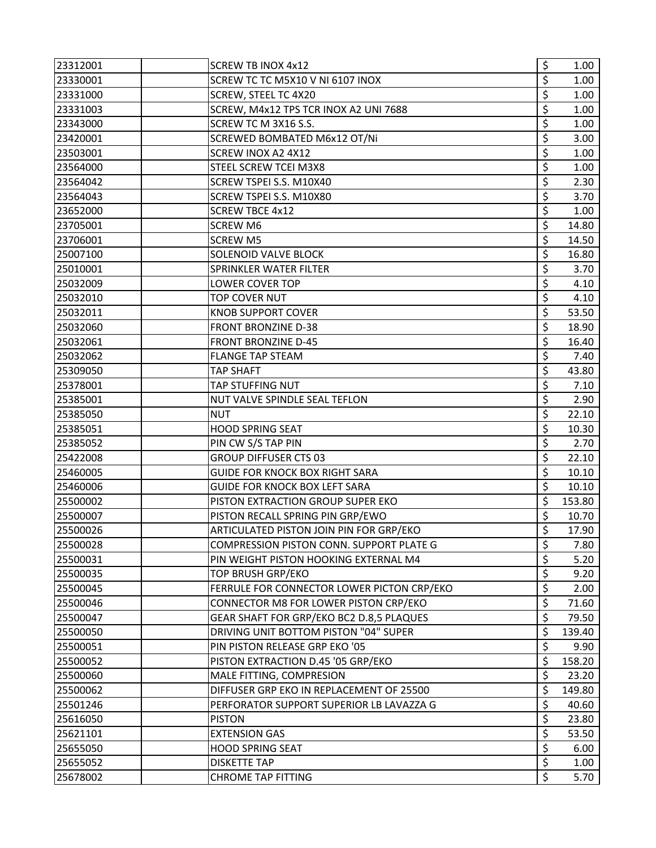| 23312001 | <b>SCREW TB INOX 4x12</b>                  | \$<br>1.00              |
|----------|--------------------------------------------|-------------------------|
| 23330001 | SCREW TC TC M5X10 V NI 6107 INOX           | \$<br>1.00              |
| 23331000 | SCREW, STEEL TC 4X20                       | \$<br>1.00              |
| 23331003 | SCREW, M4x12 TPS TCR INOX A2 UNI 7688      | \$<br>1.00              |
| 23343000 | SCREW TC M 3X16 S.S.                       | \$<br>1.00 <sub>1</sub> |
| 23420001 | SCREWED BOMBATED M6x12 OT/Ni               | \$<br>3.00              |
| 23503001 | SCREW INOX A2 4X12                         | \$<br>1.00              |
| 23564000 | STEEL SCREW TCEI M3X8                      | \$<br>1.00              |
| 23564042 | SCREW TSPEI S.S. M10X40                    | \$<br>2.30              |
| 23564043 | SCREW TSPEI S.S. M10X80                    | \$<br>3.70              |
| 23652000 | <b>SCREW TBCE 4x12</b>                     | \$<br>1.00              |
| 23705001 | <b>SCREW M6</b>                            | \$<br>14.80             |
| 23706001 | <b>SCREW M5</b>                            | \$<br>14.50             |
| 25007100 | SOLENOID VALVE BLOCK                       | \$<br>16.80             |
| 25010001 | <b>SPRINKLER WATER FILTER</b>              | \$<br>3.70              |
| 25032009 | <b>LOWER COVER TOP</b>                     | \$<br>4.10              |
| 25032010 | TOP COVER NUT                              | \$<br>4.10              |
| 25032011 | <b>KNOB SUPPORT COVER</b>                  | \$<br>53.50             |
| 25032060 | <b>FRONT BRONZINE D-38</b>                 | \$<br>18.90             |
| 25032061 | <b>FRONT BRONZINE D-45</b>                 | \$<br>16.40             |
| 25032062 | <b>FLANGE TAP STEAM</b>                    | \$<br>7.40              |
| 25309050 | <b>TAP SHAFT</b>                           | \$<br>43.80             |
| 25378001 | TAP STUFFING NUT                           | \$<br>7.10              |
| 25385001 | NUT VALVE SPINDLE SEAL TEFLON              | \$<br>2.90              |
| 25385050 | <b>NUT</b>                                 | \$<br>22.10             |
| 25385051 | <b>HOOD SPRING SEAT</b>                    | \$<br>10.30             |
| 25385052 | PIN CW S/S TAP PIN                         | \$<br>2.70              |
| 25422008 | <b>GROUP DIFFUSER CTS 03</b>               | \$<br>22.10             |
| 25460005 | <b>GUIDE FOR KNOCK BOX RIGHT SARA</b>      | \$<br>10.10             |
| 25460006 | <b>GUIDE FOR KNOCK BOX LEFT SARA</b>       | \$<br>10.10             |
| 25500002 | PISTON EXTRACTION GROUP SUPER EKO          | \$<br>153.80            |
| 25500007 | PISTON RECALL SPRING PIN GRP/EWO           | \$<br>10.70             |
| 25500026 | ARTICULATED PISTON JOIN PIN FOR GRP/EKO    | \$<br>17.90             |
| 25500028 | COMPRESSION PISTON CONN. SUPPORT PLATE G   | \$<br>7.80              |
| 25500031 | PIN WEIGHT PISTON HOOKING EXTERNAL M4      | \$<br>5.20              |
| 25500035 | <b>TOP BRUSH GRP/EKO</b>                   | \$<br>9.20              |
| 25500045 | FERRULE FOR CONNECTOR LOWER PICTON CRP/EKO | \$<br>2.00              |
| 25500046 | CONNECTOR M8 FOR LOWER PISTON CRP/EKO      | \$<br>71.60             |
| 25500047 | GEAR SHAFT FOR GRP/EKO BC2 D.8,5 PLAQUES   | \$<br>79.50             |
| 25500050 | DRIVING UNIT BOTTOM PISTON "04" SUPER      | \$<br>139.40            |
| 25500051 | PIN PISTON RELEASE GRP EKO '05             | \$<br>9.90              |
| 25500052 | PISTON EXTRACTION D.45 '05 GRP/EKO         | \$<br>158.20            |
| 25500060 | MALE FITTING, COMPRESION                   | \$<br>23.20             |
| 25500062 | DIFFUSER GRP EKO IN REPLACEMENT OF 25500   | \$<br>149.80            |
| 25501246 | PERFORATOR SUPPORT SUPERIOR LB LAVAZZA G   | \$<br>40.60             |
| 25616050 | <b>PISTON</b>                              | \$<br>23.80             |
| 25621101 | <b>EXTENSION GAS</b>                       | \$<br>53.50             |
| 25655050 | <b>HOOD SPRING SEAT</b>                    | \$<br>6.00              |
| 25655052 | <b>DISKETTE TAP</b>                        | \$<br>1.00              |
| 25678002 | <b>CHROME TAP FITTING</b>                  | \$<br>5.70              |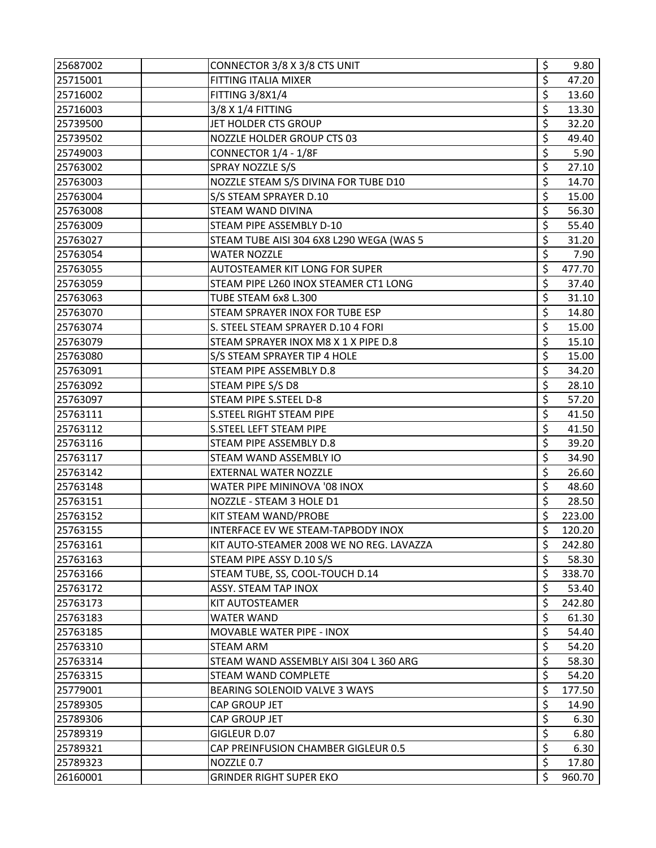| 25687002 | CONNECTOR 3/8 X 3/8 CTS UNIT             | \$<br>9.80   |
|----------|------------------------------------------|--------------|
| 25715001 | FITTING ITALIA MIXER                     | \$<br>47.20  |
| 25716002 | FITTING 3/8X1/4                          | \$<br>13.60  |
| 25716003 | 3/8 X 1/4 FITTING                        | \$<br>13.30  |
| 25739500 | JET HOLDER CTS GROUP                     | \$<br>32.20  |
| 25739502 | NOZZLE HOLDER GROUP CTS 03               | \$<br>49.40  |
| 25749003 | CONNECTOR 1/4 - 1/8F                     | \$<br>5.90   |
| 25763002 | SPRAY NOZZLE S/S                         | \$<br>27.10  |
| 25763003 | NOZZLE STEAM S/S DIVINA FOR TUBE D10     | \$<br>14.70  |
| 25763004 | S/S STEAM SPRAYER D.10                   | \$<br>15.00  |
| 25763008 | STEAM WAND DIVINA                        | \$<br>56.30  |
| 25763009 | STEAM PIPE ASSEMBLY D-10                 | \$<br>55.40  |
| 25763027 | STEAM TUBE AISI 304 6X8 L290 WEGA (WAS 5 | \$<br>31.20  |
| 25763054 | <b>WATER NOZZLE</b>                      | \$<br>7.90   |
| 25763055 | AUTOSTEAMER KIT LONG FOR SUPER           | \$<br>477.70 |
| 25763059 | STEAM PIPE L260 INOX STEAMER CT1 LONG    | \$<br>37.40  |
| 25763063 | TUBE STEAM 6x8 L.300                     | \$<br>31.10  |
| 25763070 | STEAM SPRAYER INOX FOR TUBE ESP          | \$<br>14.80  |
| 25763074 | S. STEEL STEAM SPRAYER D.10 4 FORI       | \$<br>15.00  |
| 25763079 | STEAM SPRAYER INOX M8 X 1 X PIPE D.8     | \$<br>15.10  |
| 25763080 | S/S STEAM SPRAYER TIP 4 HOLE             | \$<br>15.00  |
| 25763091 | STEAM PIPE ASSEMBLY D.8                  | \$<br>34.20  |
| 25763092 | STEAM PIPE S/S D8                        | \$<br>28.10  |
| 25763097 | STEAM PIPE S.STEEL D-8                   | \$<br>57.20  |
| 25763111 | S.STEEL RIGHT STEAM PIPE                 | \$<br>41.50  |
| 25763112 | S.STEEL LEFT STEAM PIPE                  | \$<br>41.50  |
| 25763116 | STEAM PIPE ASSEMBLY D.8                  | \$<br>39.20  |
| 25763117 | STEAM WAND ASSEMBLY IO                   | \$<br>34.90  |
| 25763142 | <b>EXTERNAL WATER NOZZLE</b>             | \$<br>26.60  |
| 25763148 | WATER PIPE MININOVA '08 INOX             | \$<br>48.60  |
| 25763151 | NOZZLE - STEAM 3 HOLE D1                 | \$<br>28.50  |
| 25763152 | KIT STEAM WAND/PROBE                     | \$<br>223.00 |
| 25763155 | INTERFACE EV WE STEAM-TAPBODY INOX       | \$<br>120.20 |
| 25763161 | KIT AUTO-STEAMER 2008 WE NO REG. LAVAZZA | \$<br>242.80 |
| 25763163 | STEAM PIPE ASSY D.10 S/S                 | \$<br>58.30  |
| 25763166 | STEAM TUBE, SS, COOL-TOUCH D.14          | \$<br>338.70 |
| 25763172 | ASSY. STEAM TAP INOX                     | \$<br>53.40  |
| 25763173 | KIT AUTOSTEAMER                          | \$<br>242.80 |
| 25763183 | <b>WATER WAND</b>                        | \$<br>61.30  |
| 25763185 | MOVABLE WATER PIPE - INOX                | \$<br>54.40  |
| 25763310 | <b>STEAM ARM</b>                         | \$<br>54.20  |
| 25763314 | STEAM WAND ASSEMBLY AISI 304 L 360 ARG   | \$<br>58.30  |
| 25763315 | STEAM WAND COMPLETE                      | \$<br>54.20  |
| 25779001 | BEARING SOLENOID VALVE 3 WAYS            | \$<br>177.50 |
| 25789305 | CAP GROUP JET                            | \$<br>14.90  |
| 25789306 | CAP GROUP JET                            | \$<br>6.30   |
| 25789319 | GIGLEUR D.07                             | \$<br>6.80   |
| 25789321 | CAP PREINFUSION CHAMBER GIGLEUR 0.5      | \$<br>6.30   |
| 25789323 | NOZZLE 0.7                               | \$<br>17.80  |
| 26160001 | <b>GRINDER RIGHT SUPER EKO</b>           | \$<br>960.70 |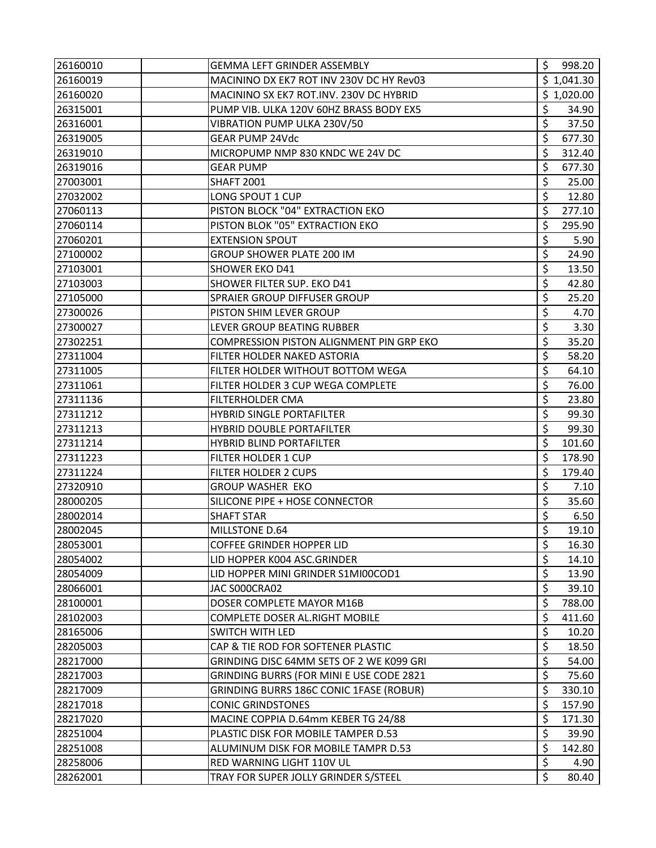| 26160010 | <b>GEMMA LEFT GRINDER ASSEMBLY</b>             | \$<br>998.20 |
|----------|------------------------------------------------|--------------|
| 26160019 | MACININO DX EK7 ROT INV 230V DC HY Rev03       | \$1,041.30   |
| 26160020 | MACININO SX EK7 ROT.INV. 230V DC HYBRID        | \$1,020.00   |
| 26315001 | \$<br>PUMP VIB. ULKA 120V 60HZ BRASS BODY EX5  | 34.90        |
| 26316001 | \$<br>VIBRATION PUMP ULKA 230V/50              | 37.50        |
| 26319005 | Ś<br><b>GEAR PUMP 24Vdc</b>                    | 677.30       |
| 26319010 | \$<br>MICROPUMP NMP 830 KNDC WE 24V DC         | 312.40       |
| 26319016 | \$<br><b>GEAR PUMP</b>                         | 677.30       |
| 27003001 | \$<br><b>SHAFT 2001</b>                        | 25.00        |
| 27032002 | \$<br>LONG SPOUT 1 CUP                         | 12.80        |
| 27060113 | \$<br>PISTON BLOCK "04" EXTRACTION EKO         | 277.10       |
| 27060114 | \$<br>PISTON BLOK "05" EXTRACTION EKO          | 295.90       |
| 27060201 | \$<br><b>EXTENSION SPOUT</b>                   | 5.90         |
| 27100002 | \$<br><b>GROUP SHOWER PLATE 200 IM</b>         | 24.90        |
| 27103001 | \$<br>SHOWER EKO D41                           | 13.50        |
| 27103003 | \$<br>SHOWER FILTER SUP. EKO D41               | 42.80        |
| 27105000 | \$<br><b>SPRAIER GROUP DIFFUSER GROUP</b>      | 25.20        |
| 27300026 | \$<br>PISTON SHIM LEVER GROUP                  | 4.70         |
| 27300027 | \$<br>LEVER GROUP BEATING RUBBER               | 3.30         |
| 27302251 | \$<br>COMPRESSION PISTON ALIGNMENT PIN GRP EKO | 35.20        |
| 27311004 | \$<br>FILTER HOLDER NAKED ASTORIA              | 58.20        |
| 27311005 | \$<br>FILTER HOLDER WITHOUT BOTTOM WEGA        | 64.10        |
| 27311061 | \$<br>FILTER HOLDER 3 CUP WEGA COMPLETE        | 76.00        |
| 27311136 | $\overline{\xi}$<br>FILTERHOLDER CMA           | 23.80        |
| 27311212 | \$<br><b>HYBRID SINGLE PORTAFILTER</b>         | 99.30        |
| 27311213 | \$<br>HYBRID DOUBLE PORTAFILTER                | 99.30        |
| 27311214 | \$<br><b>HYBRID BLIND PORTAFILTER</b>          | 101.60       |
| 27311223 | \$<br>FILTER HOLDER 1 CUP                      | 178.90       |
| 27311224 | \$<br>FILTER HOLDER 2 CUPS                     | 179.40       |
| 27320910 | \$<br><b>GROUP WASHER EKO</b>                  | 7.10         |
| 28000205 | \$<br>SILICONE PIPE + HOSE CONNECTOR           | 35.60        |
| 28002014 | \$<br><b>SHAFT STAR</b>                        | 6.50         |
| 28002045 | \$<br>MILLSTONE D.64                           | 19.10        |
| 28053001 | \$<br><b>COFFEE GRINDER HOPPER LID</b>         | 16.30        |
| 28054002 | \$<br>LID HOPPER K004 ASC.GRINDER              | 14.10        |
| 28054009 | \$<br>LID HOPPER MINI GRINDER S1MI00COD1       | 13.90        |
| 28066001 | \$<br>JAC SOOOCRAO2                            | 39.10        |
| 28100001 | \$<br>DOSER COMPLETE MAYOR M16B                | 788.00       |
| 28102003 | \$<br><b>COMPLETE DOSER AL.RIGHT MOBILE</b>    | 411.60       |
| 28165006 | \$<br><b>SWITCH WITH LED</b>                   | 10.20        |
| 28205003 | \$<br>CAP & TIE ROD FOR SOFTENER PLASTIC       | 18.50        |
| 28217000 | \$<br>GRINDING DISC 64MM SETS OF 2 WE K099 GRI | 54.00        |
| 28217003 | \$<br>GRINDING BURRS (FOR MINI E USE CODE 2821 | 75.60        |
| 28217009 | \$<br>GRINDING BURRS 186C CONIC 1FASE (ROBUR)  | 330.10       |
| 28217018 | \$<br><b>CONIC GRINDSTONES</b>                 | 157.90       |
| 28217020 | \$<br>MACINE COPPIA D.64mm KEBER TG 24/88      | 171.30       |
| 28251004 | \$<br>PLASTIC DISK FOR MOBILE TAMPER D.53      | 39.90        |
| 28251008 | \$<br>ALUMINUM DISK FOR MOBILE TAMPR D.53      | 142.80       |
| 28258006 | \$<br>RED WARNING LIGHT 110V UL                | 4.90         |
| 28262001 | \$<br>TRAY FOR SUPER JOLLY GRINDER S/STEEL     | 80.40        |
|          |                                                |              |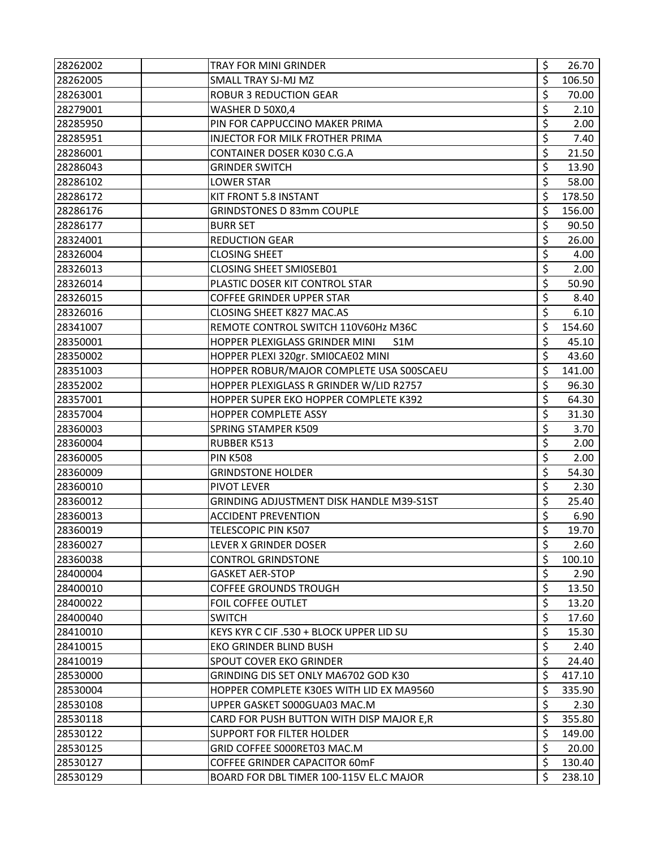| 28262002 | <b>TRAY FOR MINI GRINDER</b>              | \$<br>26.70  |
|----------|-------------------------------------------|--------------|
| 28262005 | SMALL TRAY SJ-MJ MZ                       | \$<br>106.50 |
| 28263001 | <b>ROBUR 3 REDUCTION GEAR</b>             | \$<br>70.00  |
| 28279001 | WASHER D 50X0,4                           | \$<br>2.10   |
| 28285950 | PIN FOR CAPPUCCINO MAKER PRIMA            | \$<br>2.00   |
| 28285951 | INJECTOR FOR MILK FROTHER PRIMA           | \$<br>7.40   |
| 28286001 | CONTAINER DOSER K030 C.G.A                | \$<br>21.50  |
| 28286043 | <b>GRINDER SWITCH</b>                     | \$<br>13.90  |
| 28286102 | <b>LOWER STAR</b>                         | \$<br>58.00  |
| 28286172 | KIT FRONT 5.8 INSTANT                     | \$<br>178.50 |
| 28286176 | <b>GRINDSTONES D 83mm COUPLE</b>          | \$<br>156.00 |
| 28286177 | <b>BURR SET</b>                           | \$<br>90.50  |
| 28324001 | <b>REDUCTION GEAR</b>                     | \$<br>26.00  |
| 28326004 | <b>CLOSING SHEET</b>                      | \$<br>4.00   |
| 28326013 | CLOSING SHEET SMI0SEB01                   | \$<br>2.00   |
| 28326014 | PLASTIC DOSER KIT CONTROL STAR            | \$<br>50.90  |
| 28326015 | <b>COFFEE GRINDER UPPER STAR</b>          | \$<br>8.40   |
| 28326016 | CLOSING SHEET K827 MAC.AS                 | \$<br>6.10   |
| 28341007 | REMOTE CONTROL SWITCH 110V60Hz M36C       | \$<br>154.60 |
| 28350001 | HOPPER PLEXIGLASS GRINDER MINI<br>S1M     | \$<br>45.10  |
| 28350002 | HOPPER PLEXI 320gr. SMI0CAE02 MINI        | \$<br>43.60  |
| 28351003 | HOPPER ROBUR/MAJOR COMPLETE USA S00SCAEU  | \$<br>141.00 |
| 28352002 | HOPPER PLEXIGLASS R GRINDER W/LID R2757   | \$<br>96.30  |
| 28357001 | HOPPER SUPER EKO HOPPER COMPLETE K392     | \$<br>64.30  |
| 28357004 | HOPPER COMPLETE ASSY                      | \$<br>31.30  |
| 28360003 | <b>SPRING STAMPER K509</b>                | \$<br>3.70   |
| 28360004 | <b>RUBBER K513</b>                        | \$<br>2.00   |
| 28360005 | <b>PIN K508</b>                           | \$<br>2.00   |
| 28360009 | <b>GRINDSTONE HOLDER</b>                  | \$<br>54.30  |
| 28360010 | PIVOT LEVER                               | \$<br>2.30   |
| 28360012 | GRINDING ADJUSTMENT DISK HANDLE M39-S1ST  | \$<br>25.40  |
| 28360013 | <b>ACCIDENT PREVENTION</b>                | \$<br>6.90   |
| 28360019 | TELESCOPIC PIN K507                       | \$<br>19.70  |
| 28360027 | LEVER X GRINDER DOSER                     | \$<br>2.60   |
| 28360038 | <b>CONTROL GRINDSTONE</b>                 | \$<br>100.10 |
| 28400004 | <b>GASKET AER-STOP</b>                    | \$<br>2.90   |
| 28400010 | <b>COFFEE GROUNDS TROUGH</b>              | \$<br>13.50  |
| 28400022 | FOIL COFFEE OUTLET                        | \$<br>13.20  |
| 28400040 | <b>SWITCH</b>                             | \$<br>17.60  |
| 28410010 | KEYS KYR C CIF .530 + BLOCK UPPER LID SU  | \$<br>15.30  |
| 28410015 | EKO GRINDER BLIND BUSH                    | \$<br>2.40   |
| 28410019 | <b>SPOUT COVER EKO GRINDER</b>            | \$<br>24.40  |
| 28530000 | GRINDING DIS SET ONLY MA6702 GOD K30      | \$<br>417.10 |
| 28530004 | HOPPER COMPLETE K30ES WITH LID EX MA9560  | \$<br>335.90 |
| 28530108 | UPPER GASKET S000GUA03 MAC.M              | \$<br>2.30   |
| 28530118 | CARD FOR PUSH BUTTON WITH DISP MAJOR E, R | \$<br>355.80 |
| 28530122 | <b>SUPPORT FOR FILTER HOLDER</b>          | \$<br>149.00 |
| 28530125 | GRID COFFEE S000RET03 MAC.M               | \$<br>20.00  |
| 28530127 | COFFEE GRINDER CAPACITOR 60mF             | \$<br>130.40 |
| 28530129 | BOARD FOR DBL TIMER 100-115V EL.C MAJOR   | \$<br>238.10 |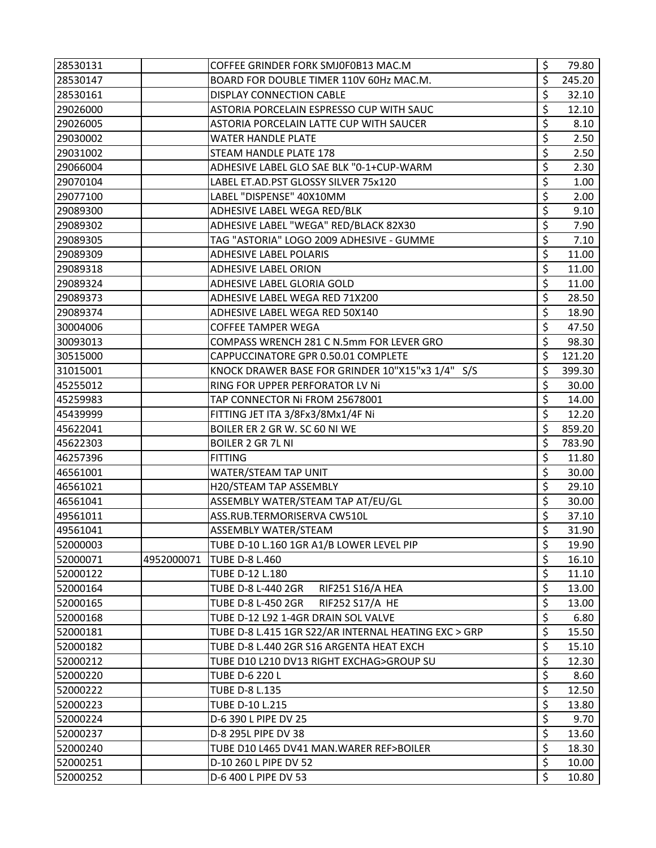| 28530131 |            | COFFEE GRINDER FORK SMJ0F0B13 MAC.M                  | \$<br>79.80  |
|----------|------------|------------------------------------------------------|--------------|
| 28530147 |            | BOARD FOR DOUBLE TIMER 110V 60Hz MAC.M.              | \$<br>245.20 |
| 28530161 |            | <b>DISPLAY CONNECTION CABLE</b>                      | \$<br>32.10  |
| 29026000 |            | ASTORIA PORCELAIN ESPRESSO CUP WITH SAUC             | \$<br>12.10  |
| 29026005 |            | ASTORIA PORCELAIN LATTE CUP WITH SAUCER              | \$<br>8.10   |
| 29030002 |            | <b>WATER HANDLE PLATE</b>                            | \$<br>2.50   |
| 29031002 |            | STEAM HANDLE PLATE 178                               | \$<br>2.50   |
| 29066004 |            | ADHESIVE LABEL GLO SAE BLK "0-1+CUP-WARM             | \$<br>2.30   |
| 29070104 |            | LABEL ET.AD.PST GLOSSY SILVER 75x120                 | \$<br>1.00   |
| 29077100 |            | LABEL "DISPENSE" 40X10MM                             | \$<br>2.00   |
| 29089300 |            | ADHESIVE LABEL WEGA RED/BLK                          | \$<br>9.10   |
| 29089302 |            | ADHESIVE LABEL "WEGA" RED/BLACK 82X30                | \$<br>7.90   |
| 29089305 |            | TAG "ASTORIA" LOGO 2009 ADHESIVE - GUMME             | \$<br>7.10   |
| 29089309 |            | ADHESIVE LABEL POLARIS                               | \$<br>11.00  |
| 29089318 |            | ADHESIVE LABEL ORION                                 | \$<br>11.00  |
| 29089324 |            | ADHESIVE LABEL GLORIA GOLD                           | \$<br>11.00  |
| 29089373 |            | ADHESIVE LABEL WEGA RED 71X200                       | \$<br>28.50  |
| 29089374 |            | ADHESIVE LABEL WEGA RED 50X140                       | \$<br>18.90  |
| 30004006 |            | <b>COFFEE TAMPER WEGA</b>                            | \$<br>47.50  |
| 30093013 |            | COMPASS WRENCH 281 C N.5mm FOR LEVER GRO             | \$<br>98.30  |
| 30515000 |            | CAPPUCCINATORE GPR 0.50.01 COMPLETE                  | \$<br>121.20 |
| 31015001 |            | KNOCK DRAWER BASE FOR GRINDER 10"X15"x3 1/4" S/S     | \$<br>399.30 |
| 45255012 |            | RING FOR UPPER PERFORATOR LV Ni                      | \$<br>30.00  |
| 45259983 |            | TAP CONNECTOR Ni FROM 25678001                       | \$<br>14.00  |
| 45439999 |            | FITTING JET ITA 3/8Fx3/8Mx1/4F Ni                    | \$<br>12.20  |
| 45622041 |            | BOILER ER 2 GR W. SC 60 NI WE                        | \$<br>859.20 |
| 45622303 |            | <b>BOILER 2 GR 7L NI</b>                             | \$<br>783.90 |
| 46257396 |            | <b>FITTING</b>                                       | \$<br>11.80  |
| 46561001 |            | WATER/STEAM TAP UNIT                                 | \$<br>30.00  |
| 46561021 |            | H20/STEAM TAP ASSEMBLY                               | \$<br>29.10  |
| 46561041 |            | ASSEMBLY WATER/STEAM TAP AT/EU/GL                    | \$<br>30.00  |
| 49561011 |            | ASS.RUB.TERMORISERVA CW510L                          | \$<br>37.10  |
| 49561041 |            | ASSEMBLY WATER/STEAM                                 | \$<br>31.90  |
| 52000003 |            | TUBE D-10 L.160 1GR A1/B LOWER LEVEL PIP             | \$<br>19.90  |
| 52000071 | 4952000071 | <b>TUBE D-8 L.460</b>                                | \$<br>16.10  |
| 52000122 |            | TUBE D-12 L.180                                      | \$<br>11.10  |
| 52000164 |            | RIF251 S16/A HEA<br>TUBE D-8 L-440 2GR               | \$<br>13.00  |
| 52000165 |            | RIF252 S17/A HE<br><b>TUBE D-8 L-450 2GR</b>         | \$<br>13.00  |
| 52000168 |            | TUBE D-12 L92 1-4GR DRAIN SOL VALVE                  | \$<br>6.80   |
| 52000181 |            | TUBE D-8 L.415 1GR S22/AR INTERNAL HEATING EXC > GRP | \$<br>15.50  |
| 52000182 |            | TUBE D-8 L.440 2GR S16 ARGENTA HEAT EXCH             | \$<br>15.10  |
| 52000212 |            | TUBE D10 L210 DV13 RIGHT EXCHAG>GROUP SU             | \$<br>12.30  |
| 52000220 |            | <b>TUBE D-6 220 L</b>                                | \$<br>8.60   |
| 52000222 |            | TUBE D-8 L.135                                       | \$<br>12.50  |
| 52000223 |            | TUBE D-10 L.215                                      | \$<br>13.80  |
| 52000224 |            | D-6 390 L PIPE DV 25                                 | \$<br>9.70   |
| 52000237 |            | D-8 295L PIPE DV 38                                  | \$<br>13.60  |
| 52000240 |            | TUBE D10 L465 DV41 MAN. WARER REF>BOILER             | \$<br>18.30  |
| 52000251 |            | D-10 260 L PIPE DV 52                                | \$<br>10.00  |
| 52000252 |            | D-6 400 L PIPE DV 53                                 | \$<br>10.80  |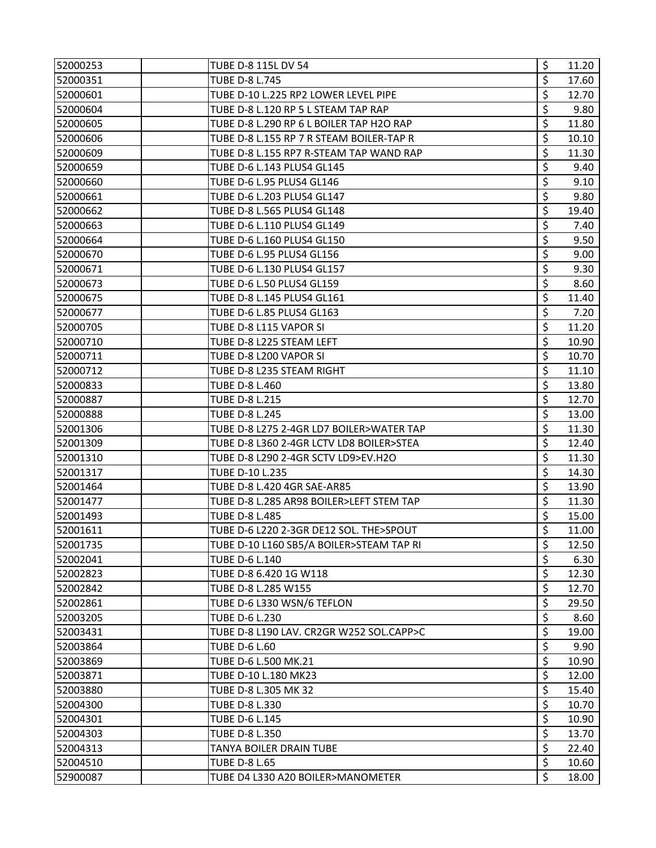| 52000253 | TUBE D-8 115L DV 54                      | \$<br>11.20 |
|----------|------------------------------------------|-------------|
| 52000351 | TUBE D-8 L.745                           | \$<br>17.60 |
| 52000601 | TUBE D-10 L.225 RP2 LOWER LEVEL PIPE     | \$<br>12.70 |
| 52000604 | TUBE D-8 L.120 RP 5 L STEAM TAP RAP      | \$<br>9.80  |
| 52000605 | TUBE D-8 L.290 RP 6 L BOILER TAP H2O RAP | \$<br>11.80 |
| 52000606 | TUBE D-8 L.155 RP 7 R STEAM BOILER-TAP R | \$<br>10.10 |
| 52000609 | TUBE D-8 L.155 RP7 R-STEAM TAP WAND RAP  | \$<br>11.30 |
| 52000659 | TUBE D-6 L.143 PLUS4 GL145               | \$<br>9.40  |
| 52000660 | TUBE D-6 L.95 PLUS4 GL146                | \$<br>9.10  |
| 52000661 | TUBE D-6 L.203 PLUS4 GL147               | \$<br>9.80  |
| 52000662 | TUBE D-8 L.565 PLUS4 GL148               | \$<br>19.40 |
| 52000663 | TUBE D-6 L.110 PLUS4 GL149               | \$<br>7.40  |
| 52000664 | TUBE D-6 L.160 PLUS4 GL150               | \$<br>9.50  |
| 52000670 | TUBE D-6 L.95 PLUS4 GL156                | \$<br>9.00  |
| 52000671 | TUBE D-6 L.130 PLUS4 GL157               | \$<br>9.30  |
| 52000673 | TUBE D-6 L.50 PLUS4 GL159                | \$<br>8.60  |
| 52000675 | TUBE D-8 L.145 PLUS4 GL161               | \$<br>11.40 |
| 52000677 | TUBE D-6 L.85 PLUS4 GL163                | \$<br>7.20  |
| 52000705 | TUBE D-8 L115 VAPOR SI                   | \$<br>11.20 |
| 52000710 | TUBE D-8 L225 STEAM LEFT                 | \$<br>10.90 |
| 52000711 | TUBE D-8 L200 VAPOR SI                   | \$<br>10.70 |
| 52000712 | TUBE D-8 L235 STEAM RIGHT                | \$<br>11.10 |
| 52000833 | TUBE D-8 L.460                           | \$<br>13.80 |
| 52000887 | TUBE D-8 L.215                           | \$<br>12.70 |
| 52000888 | <b>TUBE D-8 L.245</b>                    | \$<br>13.00 |
| 52001306 | TUBE D-8 L275 2-4GR LD7 BOILER>WATER TAP | \$<br>11.30 |
| 52001309 | TUBE D-8 L360 2-4GR LCTV LD8 BOILER>STEA | \$<br>12.40 |
| 52001310 | TUBE D-8 L290 2-4GR SCTV LD9>EV.H2O      | \$<br>11.30 |
| 52001317 | TUBE D-10 L.235                          | \$<br>14.30 |
| 52001464 | TUBE D-8 L.420 4GR SAE-AR85              | \$<br>13.90 |
| 52001477 | TUBE D-8 L.285 AR98 BOILER>LEFT STEM TAP | \$<br>11.30 |
| 52001493 | <b>TUBE D-8 L.485</b>                    | \$<br>15.00 |
| 52001611 | TUBE D-6 L220 2-3GR DE12 SOL. THE>SPOUT  | \$<br>11.00 |
| 52001735 | TUBE D-10 L160 SB5/A BOILER>STEAM TAP RI | \$<br>12.50 |
| 52002041 | TUBE D-6 L.140                           | \$<br>6.30  |
| 52002823 | TUBE D-8 6.420 1G W118                   | \$<br>12.30 |
| 52002842 | TUBE D-8 L.285 W155                      | \$<br>12.70 |
| 52002861 | TUBE D-6 L330 WSN/6 TEFLON               | \$<br>29.50 |
| 52003205 | TUBE D-6 L.230                           | \$<br>8.60  |
| 52003431 | TUBE D-8 L190 LAV. CR2GR W252 SOL.CAPP>C | \$<br>19.00 |
| 52003864 | <b>TUBE D-6 L.60</b>                     | \$<br>9.90  |
| 52003869 | TUBE D-6 L.500 MK.21                     | \$<br>10.90 |
| 52003871 | TUBE D-10 L.180 MK23                     | \$<br>12.00 |
| 52003880 | TUBE D-8 L.305 MK 32                     | \$<br>15.40 |
| 52004300 | TUBE D-8 L.330                           | \$<br>10.70 |
| 52004301 | TUBE D-6 L.145                           | \$<br>10.90 |
| 52004303 | TUBE D-8 L.350                           | \$<br>13.70 |
| 52004313 | TANYA BOILER DRAIN TUBE                  | \$<br>22.40 |
| 52004510 | <b>TUBE D-8 L.65</b>                     | \$<br>10.60 |
| 52900087 | TUBE D4 L330 A20 BOILER>MANOMETER        | \$<br>18.00 |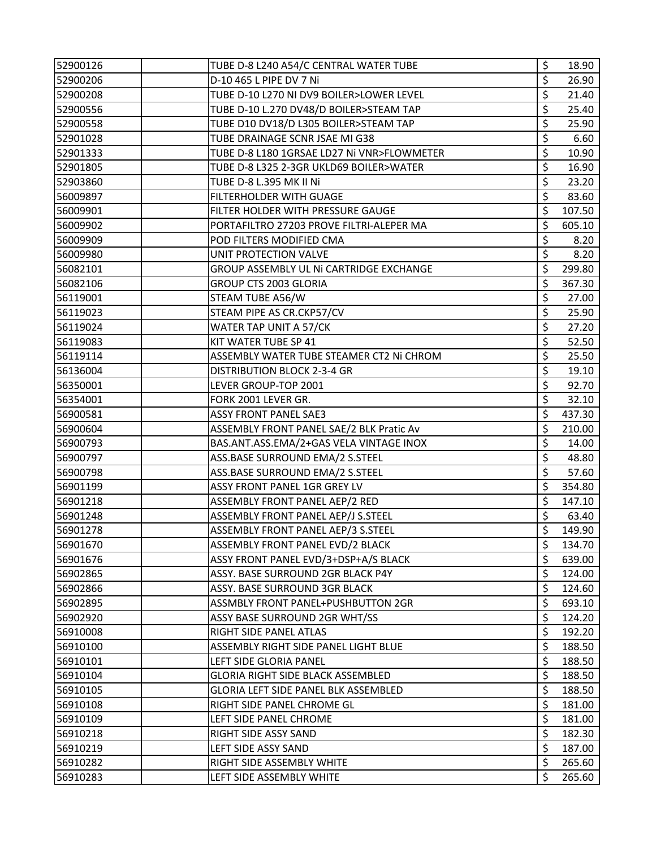| 52900126 | TUBE D-8 L240 A54/C CENTRAL WATER TUBE     | \$<br>18.90  |
|----------|--------------------------------------------|--------------|
| 52900206 | D-10 465 L PIPE DV 7 Ni                    | \$<br>26.90  |
| 52900208 | TUBE D-10 L270 NI DV9 BOILER>LOWER LEVEL   | \$<br>21.40  |
| 52900556 | TUBE D-10 L.270 DV48/D BOILER>STEAM TAP    | \$<br>25.40  |
| 52900558 | TUBE D10 DV18/D L305 BOILER>STEAM TAP      | \$<br>25.90  |
| 52901028 | TUBE DRAINAGE SCNR JSAE MI G38             | \$<br>6.60   |
| 52901333 | TUBE D-8 L180 1GRSAE LD27 Ni VNR>FLOWMETER | \$<br>10.90  |
| 52901805 | TUBE D-8 L325 2-3GR UKLD69 BOILER>WATER    | \$<br>16.90  |
| 52903860 | TUBE D-8 L.395 MK II Ni                    | \$<br>23.20  |
| 56009897 | FILTERHOLDER WITH GUAGE                    | \$<br>83.60  |
| 56009901 | FILTER HOLDER WITH PRESSURE GAUGE          | \$<br>107.50 |
| 56009902 | PORTAFILTRO 27203 PROVE FILTRI-ALEPER MA   | \$<br>605.10 |
| 56009909 | POD FILTERS MODIFIED CMA                   | \$<br>8.20   |
| 56009980 | UNIT PROTECTION VALVE                      | \$<br>8.20   |
| 56082101 | GROUP ASSEMBLY UL NI CARTRIDGE EXCHANGE    | \$<br>299.80 |
| 56082106 | <b>GROUP CTS 2003 GLORIA</b>               | \$<br>367.30 |
| 56119001 | STEAM TUBE A56/W                           | \$<br>27.00  |
| 56119023 | STEAM PIPE AS CR.CKP57/CV                  | \$<br>25.90  |
| 56119024 | WATER TAP UNIT A 57/CK                     | \$<br>27.20  |
| 56119083 | KIT WATER TUBE SP 41                       | \$<br>52.50  |
| 56119114 | ASSEMBLY WATER TUBE STEAMER CT2 Ni CHROM   | \$<br>25.50  |
| 56136004 | <b>DISTRIBUTION BLOCK 2-3-4 GR</b>         | \$<br>19.10  |
| 56350001 | LEVER GROUP-TOP 2001                       | \$<br>92.70  |
| 56354001 | FORK 2001 LEVER GR.                        | \$<br>32.10  |
| 56900581 | <b>ASSY FRONT PANEL SAE3</b>               | \$<br>437.30 |
| 56900604 | ASSEMBLY FRONT PANEL SAE/2 BLK Pratic Av   | \$<br>210.00 |
| 56900793 | BAS.ANT.ASS.EMA/2+GAS VELA VINTAGE INOX    | \$<br>14.00  |
| 56900797 | ASS.BASE SURROUND EMA/2 S.STEEL            | \$<br>48.80  |
| 56900798 | ASS.BASE SURROUND EMA/2 S.STEEL            | \$<br>57.60  |
| 56901199 | ASSY FRONT PANEL 1GR GREY LV               | \$<br>354.80 |
| 56901218 | ASSEMBLY FRONT PANEL AEP/2 RED             | \$<br>147.10 |
| 56901248 | ASSEMBLY FRONT PANEL AEP/J S.STEEL         | \$<br>63.40  |
| 56901278 | ASSEMBLY FRONT PANEL AEP/3 S.STEEL         | \$<br>149.90 |
| 56901670 | ASSEMBLY FRONT PANEL EVD/2 BLACK           | \$<br>134.70 |
| 56901676 | ASSY FRONT PANEL EVD/3+DSP+A/S BLACK       | \$<br>639.00 |
| 56902865 | ASSY. BASE SURROUND 2GR BLACK P4Y          | \$<br>124.00 |
| 56902866 | ASSY. BASE SURROUND 3GR BLACK              | \$<br>124.60 |
| 56902895 | ASSMBLY FRONT PANEL+PUSHBUTTON 2GR         | \$<br>693.10 |
| 56902920 | ASSY BASE SURROUND 2GR WHT/SS              | \$<br>124.20 |
| 56910008 | RIGHT SIDE PANEL ATLAS                     | \$<br>192.20 |
| 56910100 | ASSEMBLY RIGHT SIDE PANEL LIGHT BLUE       | \$<br>188.50 |
| 56910101 | LEFT SIDE GLORIA PANEL                     | \$<br>188.50 |
| 56910104 | <b>GLORIA RIGHT SIDE BLACK ASSEMBLED</b>   | \$<br>188.50 |
| 56910105 | GLORIA LEFT SIDE PANEL BLK ASSEMBLED       | \$<br>188.50 |
| 56910108 | RIGHT SIDE PANEL CHROME GL                 | \$<br>181.00 |
| 56910109 | LEFT SIDE PANEL CHROME                     | \$<br>181.00 |
| 56910218 | RIGHT SIDE ASSY SAND                       | \$<br>182.30 |
| 56910219 | LEFT SIDE ASSY SAND                        | \$<br>187.00 |
| 56910282 | RIGHT SIDE ASSEMBLY WHITE                  | \$<br>265.60 |
| 56910283 | LEFT SIDE ASSEMBLY WHITE                   | \$<br>265.60 |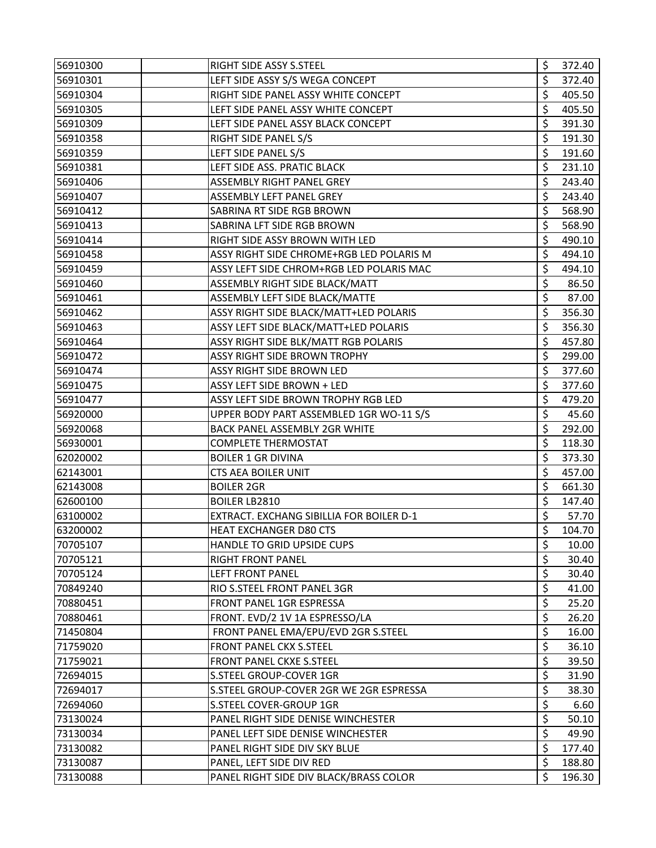| 56910300 | RIGHT SIDE ASSY S.STEEL                  | \$<br>372.40 |
|----------|------------------------------------------|--------------|
| 56910301 | LEFT SIDE ASSY S/S WEGA CONCEPT          | \$<br>372.40 |
| 56910304 | RIGHT SIDE PANEL ASSY WHITE CONCEPT      | \$<br>405.50 |
| 56910305 | LEFT SIDE PANEL ASSY WHITE CONCEPT       | \$<br>405.50 |
| 56910309 | LEFT SIDE PANEL ASSY BLACK CONCEPT       | \$<br>391.30 |
| 56910358 | RIGHT SIDE PANEL S/S                     | \$<br>191.30 |
| 56910359 | LEFT SIDE PANEL S/S                      | \$<br>191.60 |
| 56910381 | LEFT SIDE ASS. PRATIC BLACK              | \$<br>231.10 |
| 56910406 | ASSEMBLY RIGHT PANEL GREY                | \$<br>243.40 |
| 56910407 | ASSEMBLY LEFT PANEL GREY                 | \$<br>243.40 |
| 56910412 | SABRINA RT SIDE RGB BROWN                | \$<br>568.90 |
| 56910413 | SABRINA LFT SIDE RGB BROWN               | \$<br>568.90 |
| 56910414 | RIGHT SIDE ASSY BROWN WITH LED           | \$<br>490.10 |
| 56910458 | ASSY RIGHT SIDE CHROME+RGB LED POLARIS M | \$<br>494.10 |
| 56910459 | ASSY LEFT SIDE CHROM+RGB LED POLARIS MAC | \$<br>494.10 |
| 56910460 | ASSEMBLY RIGHT SIDE BLACK/MATT           | \$<br>86.50  |
| 56910461 | ASSEMBLY LEFT SIDE BLACK/MATTE           | \$<br>87.00  |
| 56910462 | ASSY RIGHT SIDE BLACK/MATT+LED POLARIS   | \$<br>356.30 |
| 56910463 | ASSY LEFT SIDE BLACK/MATT+LED POLARIS    | \$<br>356.30 |
| 56910464 | ASSY RIGHT SIDE BLK/MATT RGB POLARIS     | \$<br>457.80 |
| 56910472 | ASSY RIGHT SIDE BROWN TROPHY             | \$<br>299.00 |
| 56910474 | ASSY RIGHT SIDE BROWN LED                | \$<br>377.60 |
| 56910475 | ASSY LEFT SIDE BROWN + LED               | \$<br>377.60 |
| 56910477 | ASSY LEFT SIDE BROWN TROPHY RGB LED      | \$<br>479.20 |
| 56920000 | UPPER BODY PART ASSEMBLED 1GR WO-11 S/S  | \$<br>45.60  |
| 56920068 | BACK PANEL ASSEMBLY 2GR WHITE            | \$<br>292.00 |
| 56930001 | <b>COMPLETE THERMOSTAT</b>               | \$<br>118.30 |
| 62020002 | <b>BOILER 1 GR DIVINA</b>                | \$<br>373.30 |
| 62143001 | CTS AEA BOILER UNIT                      | \$<br>457.00 |
| 62143008 | <b>BOILER 2GR</b>                        | \$<br>661.30 |
| 62600100 | <b>BOILER LB2810</b>                     | \$<br>147.40 |
| 63100002 | EXTRACT. EXCHANG SIBILLIA FOR BOILER D-1 | \$<br>57.70  |
| 63200002 | HEAT EXCHANGER D80 CTS                   | \$<br>104.70 |
| 70705107 | HANDLE TO GRID UPSIDE CUPS               | \$<br>10.00  |
| 70705121 | <b>RIGHT FRONT PANEL</b>                 | \$<br>30.40  |
| 70705124 | <b>LEFT FRONT PANEL</b>                  | \$<br>30.40  |
| 70849240 | RIO S.STEEL FRONT PANEL 3GR              | \$<br>41.00  |
| 70880451 | FRONT PANEL 1GR ESPRESSA                 | \$<br>25.20  |
| 70880461 | FRONT. EVD/2 1V 1A ESPRESSO/LA           | \$<br>26.20  |
| 71450804 | FRONT PANEL EMA/EPU/EVD 2GR S.STEEL      | \$<br>16.00  |
| 71759020 | FRONT PANEL CKX S.STEEL                  | \$<br>36.10  |
| 71759021 | FRONT PANEL CKXE S.STEEL                 | \$<br>39.50  |
| 72694015 | S.STEEL GROUP-COVER 1GR                  | \$<br>31.90  |
| 72694017 | S.STEEL GROUP-COVER 2GR WE 2GR ESPRESSA  | \$<br>38.30  |
| 72694060 | S.STEEL COVER-GROUP 1GR                  | \$<br>6.60   |
| 73130024 | PANEL RIGHT SIDE DENISE WINCHESTER       | \$<br>50.10  |
| 73130034 | PANEL LEFT SIDE DENISE WINCHESTER        | \$<br>49.90  |
| 73130082 | PANEL RIGHT SIDE DIV SKY BLUE            | \$<br>177.40 |
| 73130087 | PANEL, LEFT SIDE DIV RED                 | \$<br>188.80 |
| 73130088 | PANEL RIGHT SIDE DIV BLACK/BRASS COLOR   | \$<br>196.30 |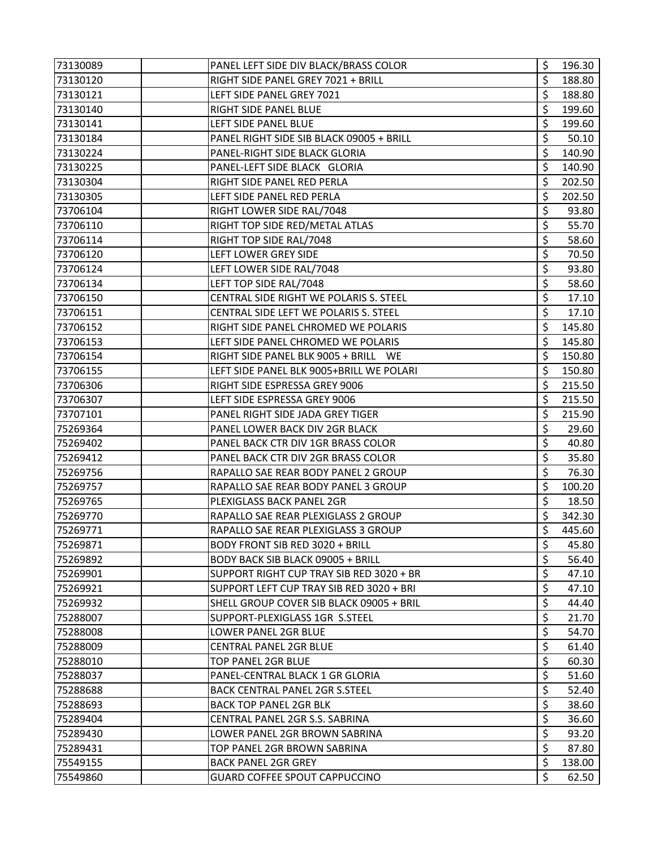| 73130089 | PANEL LEFT SIDE DIV BLACK/BRASS COLOR    | \$<br>196.30 |
|----------|------------------------------------------|--------------|
| 73130120 | RIGHT SIDE PANEL GREY 7021 + BRILL       | \$<br>188.80 |
| 73130121 | LEFT SIDE PANEL GREY 7021                | \$<br>188.80 |
| 73130140 | RIGHT SIDE PANEL BLUE                    | \$<br>199.60 |
| 73130141 | LEFT SIDE PANEL BLUE                     | \$<br>199.60 |
| 73130184 | PANEL RIGHT SIDE SIB BLACK 09005 + BRILL | \$<br>50.10  |
| 73130224 | PANEL-RIGHT SIDE BLACK GLORIA            | \$<br>140.90 |
| 73130225 | PANEL-LEFT SIDE BLACK GLORIA             | \$<br>140.90 |
| 73130304 | RIGHT SIDE PANEL RED PERLA               | \$<br>202.50 |
| 73130305 | LEFT SIDE PANEL RED PERLA                | \$<br>202.50 |
| 73706104 | RIGHT LOWER SIDE RAL/7048                | \$<br>93.80  |
| 73706110 | RIGHT TOP SIDE RED/METAL ATLAS           | \$<br>55.70  |
| 73706114 | RIGHT TOP SIDE RAL/7048                  | \$<br>58.60  |
| 73706120 | LEFT LOWER GREY SIDE                     | \$<br>70.50  |
| 73706124 | LEFT LOWER SIDE RAL/7048                 | \$<br>93.80  |
| 73706134 | LEFT TOP SIDE RAL/7048                   | \$<br>58.60  |
| 73706150 | CENTRAL SIDE RIGHT WE POLARIS S. STEEL   | \$<br>17.10  |
| 73706151 | CENTRAL SIDE LEFT WE POLARIS S. STEEL    | \$<br>17.10  |
| 73706152 | RIGHT SIDE PANEL CHROMED WE POLARIS      | \$<br>145.80 |
| 73706153 | LEFT SIDE PANEL CHROMED WE POLARIS       | \$<br>145.80 |
| 73706154 | RIGHT SIDE PANEL BLK 9005 + BRILL WE     | \$<br>150.80 |
| 73706155 | LEFT SIDE PANEL BLK 9005+BRILL WE POLARI | \$<br>150.80 |
| 73706306 | RIGHT SIDE ESPRESSA GREY 9006            | \$<br>215.50 |
| 73706307 | LEFT SIDE ESPRESSA GREY 9006             | \$<br>215.50 |
| 73707101 | PANEL RIGHT SIDE JADA GREY TIGER         | \$<br>215.90 |
| 75269364 | PANEL LOWER BACK DIV 2GR BLACK           | \$<br>29.60  |
| 75269402 | PANEL BACK CTR DIV 1GR BRASS COLOR       | \$<br>40.80  |
| 75269412 | PANEL BACK CTR DIV 2GR BRASS COLOR       | \$<br>35.80  |
| 75269756 | RAPALLO SAE REAR BODY PANEL 2 GROUP      | \$<br>76.30  |
| 75269757 | RAPALLO SAE REAR BODY PANEL 3 GROUP      | \$<br>100.20 |
| 75269765 | PLEXIGLASS BACK PANEL 2GR                | \$<br>18.50  |
| 75269770 | RAPALLO SAE REAR PLEXIGLASS 2 GROUP      | \$<br>342.30 |
| 75269771 | RAPALLO SAE REAR PLEXIGLASS 3 GROUP      | \$<br>445.60 |
| 75269871 | <b>BODY FRONT SIB RED 3020 + BRILL</b>   | \$<br>45.80  |
| 75269892 | <b>BODY BACK SIB BLACK 09005 + BRILL</b> | \$<br>56.40  |
| 75269901 | SUPPORT RIGHT CUP TRAY SIB RED 3020 + BR | \$<br>47.10  |
| 75269921 | SUPPORT LEFT CUP TRAY SIB RED 3020 + BRI | \$<br>47.10  |
| 75269932 | SHELL GROUP COVER SIB BLACK 09005 + BRIL | \$<br>44.40  |
| 75288007 | SUPPORT-PLEXIGLASS 1GR S.STEEL           | \$<br>21.70  |
| 75288008 | LOWER PANEL 2GR BLUE                     | \$<br>54.70  |
| 75288009 | <b>CENTRAL PANEL 2GR BLUE</b>            | \$<br>61.40  |
| 75288010 | <b>TOP PANEL 2GR BLUE</b>                | \$<br>60.30  |
| 75288037 | PANEL-CENTRAL BLACK 1 GR GLORIA          | \$<br>51.60  |
| 75288688 | <b>BACK CENTRAL PANEL 2GR S.STEEL</b>    | \$<br>52.40  |
| 75288693 | <b>BACK TOP PANEL 2GR BLK</b>            | \$<br>38.60  |
| 75289404 | CENTRAL PANEL 2GR S.S. SABRINA           | \$<br>36.60  |
| 75289430 | LOWER PANEL 2GR BROWN SABRINA            | \$<br>93.20  |
| 75289431 | TOP PANEL 2GR BROWN SABRINA              | \$<br>87.80  |
| 75549155 | <b>BACK PANEL 2GR GREY</b>               | \$<br>138.00 |
| 75549860 | GUARD COFFEE SPOUT CAPPUCCINO            | \$<br>62.50  |
|          |                                          |              |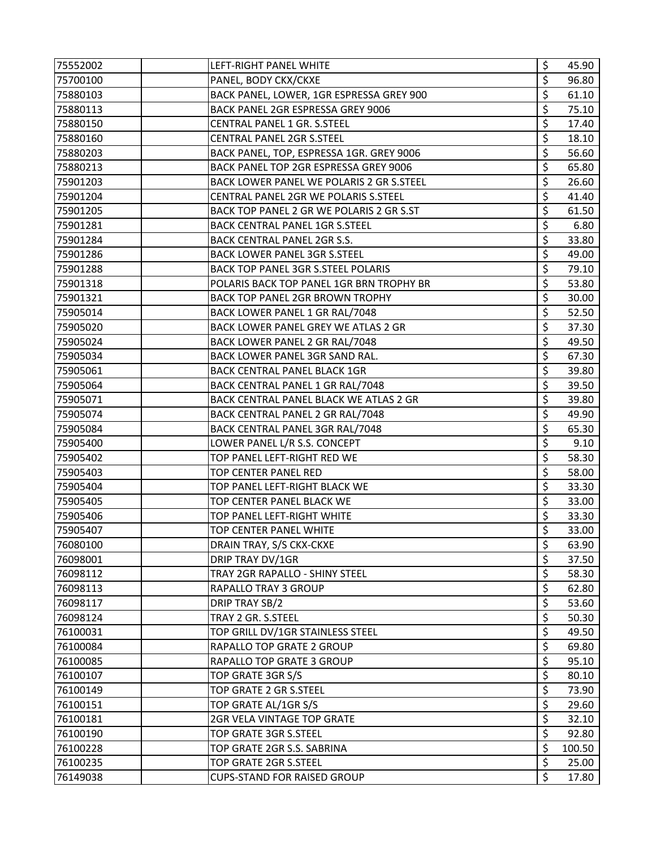| 75552002 | LEFT-RIGHT PANEL WHITE                     | \$<br>45.90  |
|----------|--------------------------------------------|--------------|
| 75700100 | PANEL, BODY CKX/CKXE                       | \$<br>96.80  |
| 75880103 | BACK PANEL, LOWER, 1GR ESPRESSA GREY 900   | \$<br>61.10  |
| 75880113 | BACK PANEL 2GR ESPRESSA GREY 9006          | \$<br>75.10  |
| 75880150 | CENTRAL PANEL 1 GR. S.STEEL                | \$<br>17.40  |
| 75880160 | <b>CENTRAL PANEL 2GR S.STEEL</b>           | \$<br>18.10  |
| 75880203 | BACK PANEL, TOP, ESPRESSA 1GR. GREY 9006   | \$<br>56.60  |
| 75880213 | BACK PANEL TOP 2GR ESPRESSA GREY 9006      | \$<br>65.80  |
| 75901203 | BACK LOWER PANEL WE POLARIS 2 GR S.STEEL   | \$<br>26.60  |
| 75901204 | CENTRAL PANEL 2GR WE POLARIS S.STEEL       | \$<br>41.40  |
| 75901205 | BACK TOP PANEL 2 GR WE POLARIS 2 GR S.ST   | \$<br>61.50  |
| 75901281 | <b>BACK CENTRAL PANEL 1GR S.STEEL</b>      | \$<br>6.80   |
| 75901284 | BACK CENTRAL PANEL 2GR S.S.                | \$<br>33.80  |
| 75901286 | BACK LOWER PANEL 3GR S.STEEL               | \$<br>49.00  |
| 75901288 | <b>BACK TOP PANEL 3GR S.STEEL POLARIS</b>  | \$<br>79.10  |
| 75901318 | POLARIS BACK TOP PANEL 1GR BRN TROPHY BR   | \$<br>53.80  |
| 75901321 | <b>BACK TOP PANEL 2GR BROWN TROPHY</b>     | \$<br>30.00  |
| 75905014 | BACK LOWER PANEL 1 GR RAL/7048             | \$<br>52.50  |
| 75905020 | <b>BACK LOWER PANEL GREY WE ATLAS 2 GR</b> | \$<br>37.30  |
| 75905024 | BACK LOWER PANEL 2 GR RAL/7048             | \$<br>49.50  |
| 75905034 | BACK LOWER PANEL 3GR SAND RAL.             | \$<br>67.30  |
| 75905061 | <b>BACK CENTRAL PANEL BLACK 1GR</b>        | \$<br>39.80  |
| 75905064 | BACK CENTRAL PANEL 1 GR RAL/7048           | \$<br>39.50  |
| 75905071 | BACK CENTRAL PANEL BLACK WE ATLAS 2 GR     | \$<br>39.80  |
| 75905074 | BACK CENTRAL PANEL 2 GR RAL/7048           | \$<br>49.90  |
| 75905084 | BACK CENTRAL PANEL 3GR RAL/7048            | \$<br>65.30  |
| 75905400 | LOWER PANEL L/R S.S. CONCEPT               | \$<br>9.10   |
| 75905402 | TOP PANEL LEFT-RIGHT RED WE                | \$<br>58.30  |
| 75905403 | TOP CENTER PANEL RED                       | \$<br>58.00  |
| 75905404 | TOP PANEL LEFT-RIGHT BLACK WE              | \$<br>33.30  |
| 75905405 | TOP CENTER PANEL BLACK WE                  | \$<br>33.00  |
| 75905406 | TOP PANEL LEFT-RIGHT WHITE                 | \$<br>33.30  |
| 75905407 | TOP CENTER PANEL WHITE                     | \$<br>33.00  |
| 76080100 | DRAIN TRAY, S/S CKX-CKXE                   | \$<br>63.90  |
| 76098001 | DRIP TRAY DV/1GR                           | \$<br>37.50  |
| 76098112 | TRAY 2GR RAPALLO - SHINY STEEL             | \$<br>58.30  |
| 76098113 | RAPALLO TRAY 3 GROUP                       | \$<br>62.80  |
| 76098117 | DRIP TRAY SB/2                             | \$<br>53.60  |
| 76098124 | TRAY 2 GR. S.STEEL                         | \$<br>50.30  |
| 76100031 | TOP GRILL DV/1GR STAINLESS STEEL           | \$<br>49.50  |
| 76100084 | RAPALLO TOP GRATE 2 GROUP                  | \$<br>69.80  |
| 76100085 | <b>RAPALLO TOP GRATE 3 GROUP</b>           | \$<br>95.10  |
| 76100107 | TOP GRATE 3GR S/S                          | \$<br>80.10  |
| 76100149 | TOP GRATE 2 GR S.STEEL                     | \$<br>73.90  |
| 76100151 | TOP GRATE AL/1GR S/S                       | \$<br>29.60  |
| 76100181 | 2GR VELA VINTAGE TOP GRATE                 | \$<br>32.10  |
| 76100190 | TOP GRATE 3GR S.STEEL                      | \$<br>92.80  |
| 76100228 | TOP GRATE 2GR S.S. SABRINA                 | \$<br>100.50 |
| 76100235 | TOP GRATE 2GR S.STEEL                      | \$<br>25.00  |
| 76149038 | <b>CUPS-STAND FOR RAISED GROUP</b>         | \$<br>17.80  |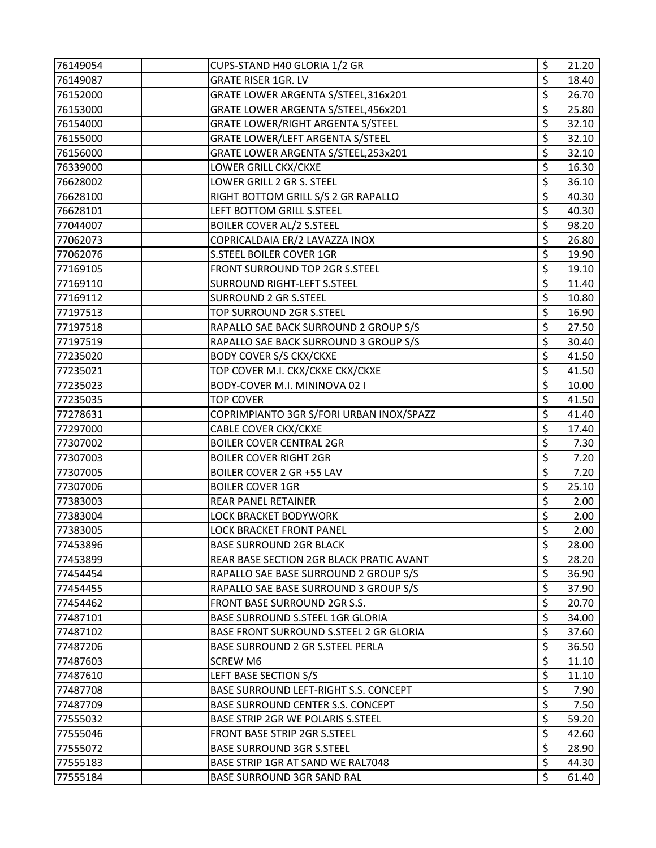| 76149054 | CUPS-STAND H40 GLORIA 1/2 GR             | \$               | 21.20 |
|----------|------------------------------------------|------------------|-------|
| 76149087 | <b>GRATE RISER 1GR. LV</b>               | \$               | 18.40 |
| 76152000 | GRATE LOWER ARGENTA S/STEEL,316x201      | \$               | 26.70 |
| 76153000 | GRATE LOWER ARGENTA S/STEEL,456x201      | \$               | 25.80 |
| 76154000 | GRATE LOWER/RIGHT ARGENTA S/STEEL        | \$               | 32.10 |
| 76155000 | GRATE LOWER/LEFT ARGENTA S/STEEL         | \$               | 32.10 |
| 76156000 | GRATE LOWER ARGENTA S/STEEL, 253x201     | \$               | 32.10 |
| 76339000 | LOWER GRILL CKX/CKXE                     | \$               | 16.30 |
| 76628002 | LOWER GRILL 2 GR S. STEEL                | \$               | 36.10 |
| 76628100 | RIGHT BOTTOM GRILL S/S 2 GR RAPALLO      | \$               | 40.30 |
| 76628101 | LEFT BOTTOM GRILL S.STEEL                | \$               | 40.30 |
| 77044007 | <b>BOILER COVER AL/2 S.STEEL</b>         | \$               | 98.20 |
| 77062073 | COPRICALDAIA ER/2 LAVAZZA INOX           | \$               | 26.80 |
| 77062076 | S.STEEL BOILER COVER 1GR                 | \$               | 19.90 |
| 77169105 | FRONT SURROUND TOP 2GR S.STEEL           | \$               | 19.10 |
| 77169110 | SURROUND RIGHT-LEFT S.STEEL              | \$               | 11.40 |
| 77169112 | <b>SURROUND 2 GR S.STEEL</b>             | \$               | 10.80 |
| 77197513 | TOP SURROUND 2GR S.STEEL                 | \$               | 16.90 |
| 77197518 | RAPALLO SAE BACK SURROUND 2 GROUP S/S    | \$               | 27.50 |
|          | RAPALLO SAE BACK SURROUND 3 GROUP S/S    | \$               | 30.40 |
| 77197519 |                                          | \$               | 41.50 |
| 77235020 | <b>BODY COVER S/S CKX/CKXE</b>           |                  |       |
| 77235021 | TOP COVER M.I. CKX/CKXE CKX/CKXE         | \$               | 41.50 |
| 77235023 | BODY-COVER M.I. MININOVA 02 I            | \$               | 10.00 |
| 77235035 | <b>TOP COVER</b>                         | \$               | 41.50 |
| 77278631 | COPRIMPIANTO 3GR S/FORI URBAN INOX/SPAZZ | \$               | 41.40 |
| 77297000 | CABLE COVER CKX/CKXE                     | \$               | 17.40 |
| 77307002 | <b>BOILER COVER CENTRAL 2GR</b>          | \$               | 7.30  |
| 77307003 | <b>BOILER COVER RIGHT 2GR</b>            | \$               | 7.20  |
| 77307005 | BOILER COVER 2 GR +55 LAV                | \$               | 7.20  |
| 77307006 | <b>BOILER COVER 1GR</b>                  | \$               | 25.10 |
| 77383003 | <b>REAR PANEL RETAINER</b>               | $\overline{\xi}$ | 2.00  |
| 77383004 | LOCK BRACKET BODYWORK                    | \$               | 2.00  |
| 77383005 | <b>LOCK BRACKET FRONT PANEL</b>          | \$               | 2.00  |
| 77453896 | <b>BASE SURROUND 2GR BLACK</b>           | \$               | 28.00 |
| 77453899 | REAR BASE SECTION 2GR BLACK PRATIC AVANT | \$               | 28.20 |
| 77454454 | RAPALLO SAE BASE SURROUND 2 GROUP S/S    | \$               | 36.90 |
| 77454455 | RAPALLO SAE BASE SURROUND 3 GROUP S/S    | \$               | 37.90 |
| 77454462 | FRONT BASE SURROUND 2GR S.S.             | \$               | 20.70 |
| 77487101 | BASE SURROUND S.STEEL 1GR GLORIA         | \$               | 34.00 |
| 77487102 | BASE FRONT SURROUND S.STEEL 2 GR GLORIA  | \$               | 37.60 |
| 77487206 | BASE SURROUND 2 GR S.STEEL PERLA         | \$               | 36.50 |
| 77487603 | <b>SCREW M6</b>                          | \$               | 11.10 |
| 77487610 | LEFT BASE SECTION S/S                    | \$               | 11.10 |
| 77487708 | BASE SURROUND LEFT-RIGHT S.S. CONCEPT    | \$               | 7.90  |
| 77487709 | BASE SURROUND CENTER S.S. CONCEPT        | \$               | 7.50  |
| 77555032 | BASE STRIP 2GR WE POLARIS S.STEEL        | \$               | 59.20 |
| 77555046 | FRONT BASE STRIP 2GR S.STEEL             | \$               | 42.60 |
| 77555072 | <b>BASE SURROUND 3GR S.STEEL</b>         | \$               | 28.90 |
| 77555183 | BASE STRIP 1GR AT SAND WE RAL7048        | \$               | 44.30 |
| 77555184 | BASE SURROUND 3GR SAND RAL               | \$               | 61.40 |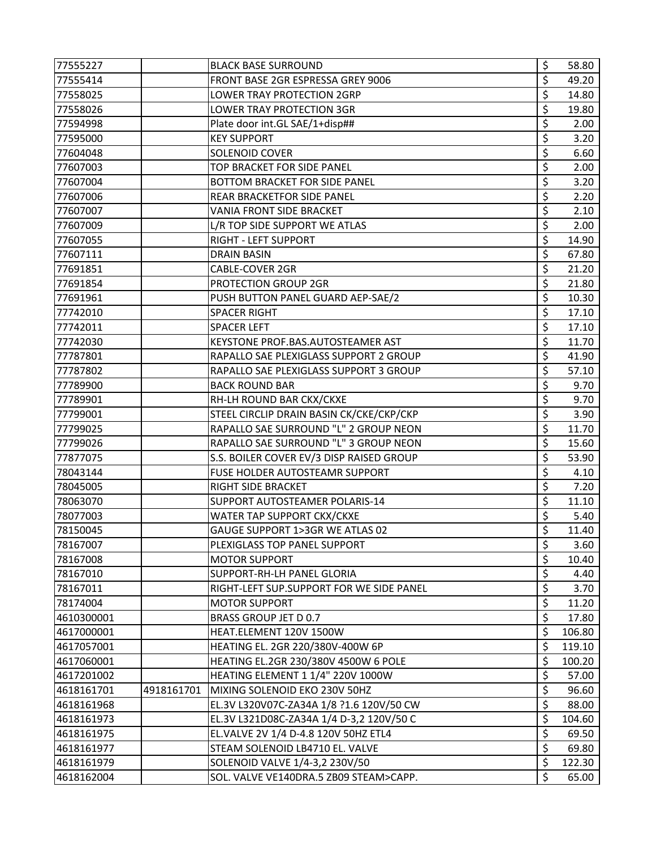| 77555227   |            | <b>BLACK BASE SURROUND</b>               | \$<br>58.80  |
|------------|------------|------------------------------------------|--------------|
| 77555414   |            | FRONT BASE 2GR ESPRESSA GREY 9006        | \$<br>49.20  |
| 77558025   |            | LOWER TRAY PROTECTION 2GRP               | \$<br>14.80  |
| 77558026   |            | LOWER TRAY PROTECTION 3GR                | \$<br>19.80  |
| 77594998   |            | Plate door int.GL SAE/1+disp##           | \$<br>2.00   |
| 77595000   |            | <b>KEY SUPPORT</b>                       | \$<br>3.20   |
| 77604048   |            | SOLENOID COVER                           | \$<br>6.60   |
| 77607003   |            | TOP BRACKET FOR SIDE PANEL               | \$<br>2.00   |
| 77607004   |            | BOTTOM BRACKET FOR SIDE PANEL            | \$<br>3.20   |
| 77607006   |            | <b>REAR BRACKETFOR SIDE PANEL</b>        | \$<br>2.20   |
| 77607007   |            | VANIA FRONT SIDE BRACKET                 | \$<br>2.10   |
| 77607009   |            | L/R TOP SIDE SUPPORT WE ATLAS            | \$<br>2.00   |
| 77607055   |            | RIGHT - LEFT SUPPORT                     | \$<br>14.90  |
| 77607111   |            | <b>DRAIN BASIN</b>                       | \$<br>67.80  |
| 77691851   |            | <b>CABLE-COVER 2GR</b>                   | \$<br>21.20  |
| 77691854   |            | PROTECTION GROUP 2GR                     | \$<br>21.80  |
| 77691961   |            | PUSH BUTTON PANEL GUARD AEP-SAE/2        | \$<br>10.30  |
| 77742010   |            | <b>SPACER RIGHT</b>                      | \$<br>17.10  |
| 77742011   |            | <b>SPACER LEFT</b>                       | \$<br>17.10  |
| 77742030   |            | KEYSTONE PROF.BAS.AUTOSTEAMER AST        | \$<br>11.70  |
| 77787801   |            | RAPALLO SAE PLEXIGLASS SUPPORT 2 GROUP   | \$<br>41.90  |
| 77787802   |            | RAPALLO SAE PLEXIGLASS SUPPORT 3 GROUP   | \$<br>57.10  |
| 77789900   |            | <b>BACK ROUND BAR</b>                    | \$<br>9.70   |
| 77789901   |            | RH-LH ROUND BAR CKX/CKXE                 | \$<br>9.70   |
| 77799001   |            | STEEL CIRCLIP DRAIN BASIN CK/CKE/CKP/CKP | \$<br>3.90   |
| 77799025   |            | RAPALLO SAE SURROUND "L" 2 GROUP NEON    | \$<br>11.70  |
| 77799026   |            | RAPALLO SAE SURROUND "L" 3 GROUP NEON    | \$<br>15.60  |
| 77877075   |            | S.S. BOILER COVER EV/3 DISP RAISED GROUP | \$<br>53.90  |
| 78043144   |            | FUSE HOLDER AUTOSTEAMR SUPPORT           | \$<br>4.10   |
| 78045005   |            | RIGHT SIDE BRACKET                       | \$<br>7.20   |
| 78063070   |            | SUPPORT AUTOSTEAMER POLARIS-14           | \$<br>11.10  |
| 78077003   |            | WATER TAP SUPPORT CKX/CKXE               | \$<br>5.40   |
| 78150045   |            | GAUGE SUPPORT 1>3GR WE ATLAS 02          | \$<br>11.40  |
| 78167007   |            | PLEXIGLASS TOP PANEL SUPPORT             | \$<br>3.60   |
| 78167008   |            | <b>MOTOR SUPPORT</b>                     | \$<br>10.40  |
| 78167010   |            | SUPPORT-RH-LH PANEL GLORIA               | \$<br>4.40   |
| 78167011   |            | RIGHT-LEFT SUP.SUPPORT FOR WE SIDE PANEL | \$<br>3.70   |
| 78174004   |            | <b>MOTOR SUPPORT</b>                     | \$<br>11.20  |
| 4610300001 |            | BRASS GROUP JET D 0.7                    | \$<br>17.80  |
| 4617000001 |            | HEAT.ELEMENT 120V 1500W                  | \$<br>106.80 |
| 4617057001 |            | HEATING EL. 2GR 220/380V-400W 6P         | \$<br>119.10 |
| 4617060001 |            | HEATING EL.2GR 230/380V 4500W 6 POLE     | \$<br>100.20 |
| 4617201002 |            | HEATING ELEMENT 1 1/4" 220V 1000W        | \$<br>57.00  |
| 4618161701 | 4918161701 | MIXING SOLENOID EKO 230V 50HZ            | \$<br>96.60  |
| 4618161968 |            | EL.3V L320V07C-ZA34A 1/8 ?1.6 120V/50 CW | \$<br>88.00  |
| 4618161973 |            | EL.3V L321D08C-ZA34A 1/4 D-3,2 120V/50 C | \$<br>104.60 |
| 4618161975 |            | EL.VALVE 2V 1/4 D-4.8 120V 50HZ ETL4     | \$<br>69.50  |
| 4618161977 |            | STEAM SOLENOID LB4710 EL. VALVE          | \$<br>69.80  |
| 4618161979 |            | SOLENOID VALVE 1/4-3,2 230V/50           | \$<br>122.30 |
| 4618162004 |            | SOL. VALVE VE140DRA.5 ZB09 STEAM>CAPP.   | \$<br>65.00  |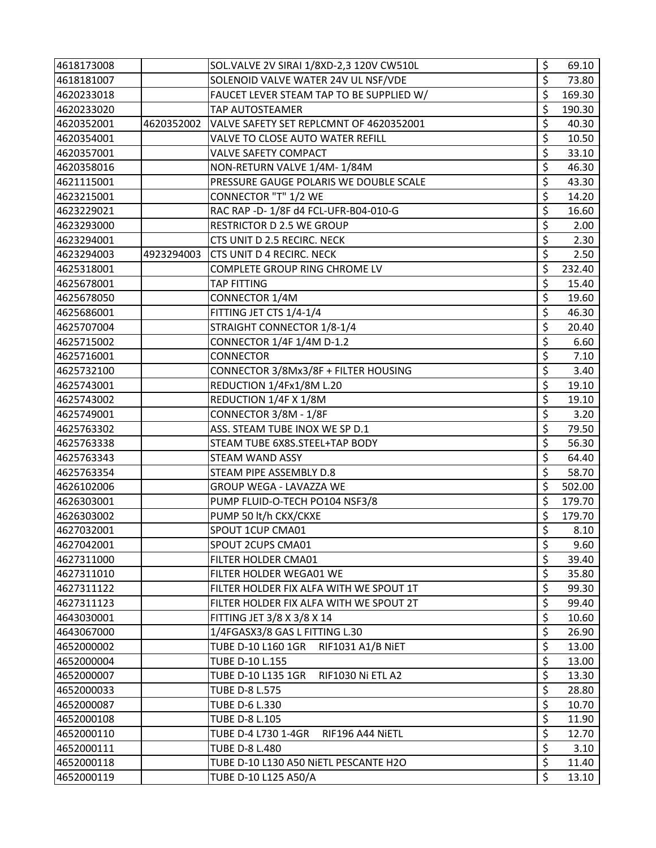| 4618173008 |            | SOL.VALVE 2V SIRAI 1/8XD-2,3 120V CW510L | \$<br>69.10  |
|------------|------------|------------------------------------------|--------------|
| 4618181007 |            | SOLENOID VALVE WATER 24V UL NSF/VDE      | \$<br>73.80  |
| 4620233018 |            | FAUCET LEVER STEAM TAP TO BE SUPPLIED W/ | \$<br>169.30 |
| 4620233020 |            | TAP AUTOSTEAMER                          | \$<br>190.30 |
| 4620352001 | 4620352002 | VALVE SAFETY SET REPLCMNT OF 4620352001  | \$<br>40.30  |
| 4620354001 |            | VALVE TO CLOSE AUTO WATER REFILL         | \$<br>10.50  |
| 4620357001 |            | VALVE SAFETY COMPACT                     | \$<br>33.10  |
| 4620358016 |            | NON-RETURN VALVE 1/4M-1/84M              | \$<br>46.30  |
| 4621115001 |            | PRESSURE GAUGE POLARIS WE DOUBLE SCALE   | \$<br>43.30  |
| 4623215001 |            | CONNECTOR "T" 1/2 WE                     | \$<br>14.20  |
| 4623229021 |            | RAC RAP -D- 1/8F d4 FCL-UFR-B04-010-G    | \$<br>16.60  |
| 4623293000 |            | RESTRICTOR D 2.5 WE GROUP                | \$<br>2.00   |
| 4623294001 |            | CTS UNIT D 2.5 RECIRC. NECK              | \$<br>2.30   |
| 4623294003 | 4923294003 | CTS UNIT D 4 RECIRC. NECK                | \$<br>2.50   |
| 4625318001 |            | COMPLETE GROUP RING CHROME LV            | \$<br>232.40 |
| 4625678001 |            | <b>TAP FITTING</b>                       | \$<br>15.40  |
| 4625678050 |            | CONNECTOR 1/4M                           | \$<br>19.60  |
| 4625686001 |            | FITTING JET CTS 1/4-1/4                  | \$<br>46.30  |
| 4625707004 |            | STRAIGHT CONNECTOR 1/8-1/4               | \$<br>20.40  |
| 4625715002 |            | CONNECTOR 1/4F 1/4M D-1.2                | \$<br>6.60   |
| 4625716001 |            | <b>CONNECTOR</b>                         | \$<br>7.10   |
| 4625732100 |            | CONNECTOR 3/8Mx3/8F + FILTER HOUSING     | \$<br>3.40   |
| 4625743001 |            | REDUCTION 1/4Fx1/8M L.20                 | \$<br>19.10  |
| 4625743002 |            | REDUCTION 1/4F X 1/8M                    | \$<br>19.10  |
| 4625749001 |            | CONNECTOR 3/8M - 1/8F                    | \$<br>3.20   |
| 4625763302 |            | ASS. STEAM TUBE INOX WE SP D.1           | \$<br>79.50  |
| 4625763338 |            | STEAM TUBE 6X8S.STEEL+TAP BODY           | \$<br>56.30  |
| 4625763343 |            | <b>STEAM WAND ASSY</b>                   | \$<br>64.40  |
| 4625763354 |            | STEAM PIPE ASSEMBLY D.8                  | \$<br>58.70  |
| 4626102006 |            | <b>GROUP WEGA - LAVAZZA WE</b>           | \$<br>502.00 |
| 4626303001 |            | PUMP FLUID-O-TECH PO104 NSF3/8           | \$<br>179.70 |
| 4626303002 |            | PUMP 50 lt/h CKX/CKXE                    | \$<br>179.70 |
| 4627032001 |            | SPOUT 1CUP CMA01                         | \$<br>8.10   |
| 4627042001 |            | SPOUT 2CUPS CMA01                        | \$<br>9.60   |
| 4627311000 |            | FILTER HOLDER CMA01                      | \$<br>39.40  |
| 4627311010 |            | FILTER HOLDER WEGA01 WE                  | \$<br>35.80  |
| 4627311122 |            | FILTER HOLDER FIX ALFA WITH WE SPOUT 1T  | \$<br>99.30  |
| 4627311123 |            | FILTER HOLDER FIX ALFA WITH WE SPOUT 2T  | \$<br>99.40  |
| 4643030001 |            | FITTING JET 3/8 X 3/8 X 14               | \$<br>10.60  |
| 4643067000 |            | 1/4FGASX3/8 GAS L FITTING L.30           | \$<br>26.90  |
| 4652000002 |            | TUBE D-10 L160 1GR<br>RIF1031 A1/B NiET  | \$<br>13.00  |
| 4652000004 |            | TUBE D-10 L.155                          | \$<br>13.00  |
| 4652000007 |            | TUBE D-10 L135 1GR<br>RIF1030 Ni ETL A2  | \$<br>13.30  |
| 4652000033 |            | TUBE D-8 L.575                           | \$<br>28.80  |
| 4652000087 |            | TUBE D-6 L.330                           | \$<br>10.70  |
| 4652000108 |            | <b>TUBE D-8 L.105</b>                    | \$<br>11.90  |
| 4652000110 |            | TUBE D-4 L730 1-4GR<br>RIF196 A44 NiETL  | \$<br>12.70  |
| 4652000111 |            | <b>TUBE D-8 L.480</b>                    | \$<br>3.10   |
| 4652000118 |            | TUBE D-10 L130 A50 NIETL PESCANTE H2O    | \$<br>11.40  |
| 4652000119 |            | TUBE D-10 L125 A50/A                     | \$<br>13.10  |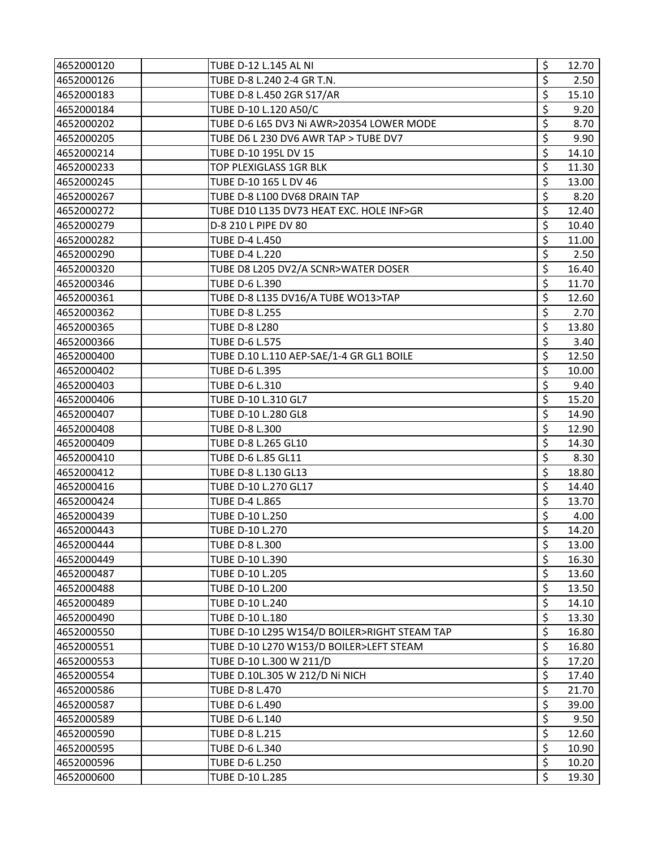| 4652000120 | TUBE D-12 L.145 AL NI                        | \$<br>12.70 |
|------------|----------------------------------------------|-------------|
| 4652000126 | TUBE D-8 L.240 2-4 GR T.N.                   | \$<br>2.50  |
| 4652000183 | TUBE D-8 L.450 2GR S17/AR                    | \$<br>15.10 |
| 4652000184 | TUBE D-10 L.120 A50/C                        | \$<br>9.20  |
| 4652000202 | TUBE D-6 L65 DV3 Ni AWR>20354 LOWER MODE     | \$<br>8.70  |
| 4652000205 | TUBE D6 L 230 DV6 AWR TAP > TUBE DV7         | \$<br>9.90  |
| 4652000214 | TUBE D-10 195L DV 15                         | \$<br>14.10 |
| 4652000233 | TOP PLEXIGLASS 1GR BLK                       | \$<br>11.30 |
| 4652000245 | TUBE D-10 165 L DV 46                        | \$<br>13.00 |
| 4652000267 | TUBE D-8 L100 DV68 DRAIN TAP                 | \$<br>8.20  |
| 4652000272 | TUBE D10 L135 DV73 HEAT EXC. HOLE INF>GR     | \$<br>12.40 |
| 4652000279 | D-8 210 L PIPE DV 80                         | \$<br>10.40 |
| 4652000282 | <b>TUBE D-4 L.450</b>                        | \$<br>11.00 |
| 4652000290 | <b>TUBE D-4 L.220</b>                        | \$<br>2.50  |
| 4652000320 | TUBE D8 L205 DV2/A SCNR>WATER DOSER          | \$<br>16.40 |
| 4652000346 | TUBE D-6 L.390                               | \$<br>11.70 |
| 4652000361 | TUBE D-8 L135 DV16/A TUBE WO13>TAP           | \$<br>12.60 |
| 4652000362 | <b>TUBE D-8 L.255</b>                        | \$<br>2.70  |
| 4652000365 | <b>TUBE D-8 L280</b>                         | \$<br>13.80 |
| 4652000366 | TUBE D-6 L.575                               | \$<br>3.40  |
| 4652000400 | TUBE D.10 L.110 AEP-SAE/1-4 GR GL1 BOILE     | \$<br>12.50 |
| 4652000402 | TUBE D-6 L.395                               | \$<br>10.00 |
| 4652000403 | TUBE D-6 L.310                               | \$<br>9.40  |
| 4652000406 | TUBE D-10 L.310 GL7                          | \$<br>15.20 |
| 4652000407 | TUBE D-10 L.280 GL8                          | \$<br>14.90 |
| 4652000408 | TUBE D-8 L.300                               | \$<br>12.90 |
| 4652000409 | TUBE D-8 L.265 GL10                          | \$<br>14.30 |
| 4652000410 | TUBE D-6 L.85 GL11                           | \$<br>8.30  |
| 4652000412 | TUBE D-8 L.130 GL13                          | \$<br>18.80 |
| 4652000416 | TUBE D-10 L.270 GL17                         | \$<br>14.40 |
| 4652000424 | <b>TUBE D-4 L.865</b>                        | \$<br>13.70 |
| 4652000439 | TUBE D-10 L.250                              | \$<br>4.00  |
| 4652000443 | TUBE D-10 L.270                              | \$<br>14.20 |
| 4652000444 | TUBE D-8 L.300                               | \$<br>13.00 |
| 4652000449 | TUBE D-10 L.390                              | \$<br>16.30 |
| 4652000487 | TUBE D-10 L.205                              | \$<br>13.60 |
| 4652000488 | TUBE D-10 L.200                              | \$<br>13.50 |
| 4652000489 | TUBE D-10 L.240                              | \$<br>14.10 |
| 4652000490 | TUBE D-10 L.180                              | \$<br>13.30 |
| 4652000550 | TUBE D-10 L295 W154/D BOILER>RIGHT STEAM TAP | \$<br>16.80 |
| 4652000551 | TUBE D-10 L270 W153/D BOILER>LEFT STEAM      | \$<br>16.80 |
| 4652000553 | TUBE D-10 L.300 W 211/D                      | \$<br>17.20 |
| 4652000554 | TUBE D.10L.305 W 212/D Ni NICH               | \$<br>17.40 |
| 4652000586 | <b>TUBE D-8 L.470</b>                        | \$<br>21.70 |
| 4652000587 | TUBE D-6 L.490                               | \$<br>39.00 |
| 4652000589 | TUBE D-6 L.140                               | \$<br>9.50  |
| 4652000590 | TUBE D-8 L.215                               | \$<br>12.60 |
| 4652000595 | TUBE D-6 L.340                               | \$<br>10.90 |
| 4652000596 | <b>TUBE D-6 L.250</b>                        | \$<br>10.20 |
| 4652000600 | TUBE D-10 L.285                              | Ś<br>19.30  |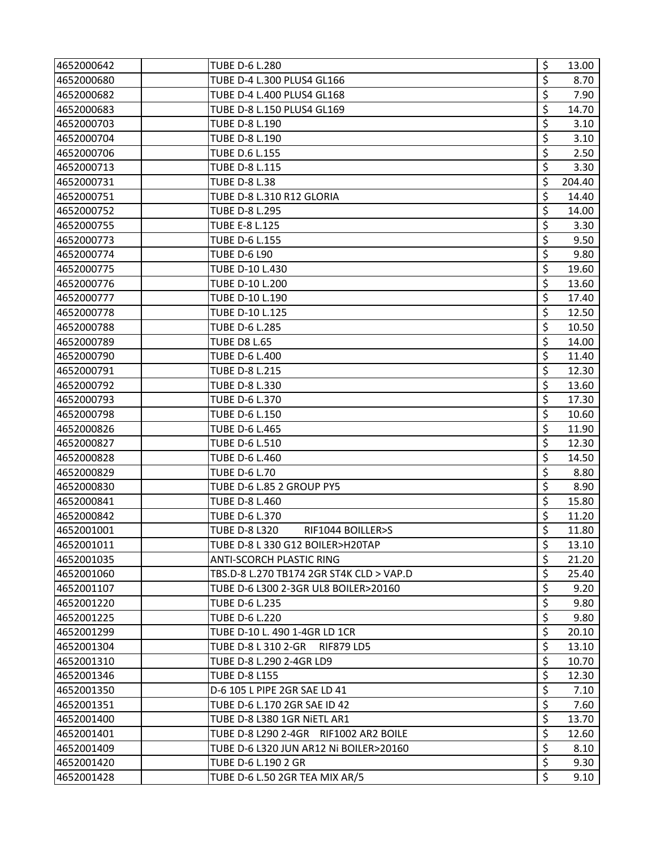| 4652000642 | <b>TUBE D-6 L.280</b>                     | \$<br>13.00  |
|------------|-------------------------------------------|--------------|
| 4652000680 | TUBE D-4 L.300 PLUS4 GL166                | \$<br>8.70   |
| 4652000682 | TUBE D-4 L.400 PLUS4 GL168                | \$<br>7.90   |
| 4652000683 | TUBE D-8 L.150 PLUS4 GL169                | \$<br>14.70  |
| 4652000703 | <b>TUBE D-8 L.190</b>                     | \$<br>3.10   |
| 4652000704 | <b>TUBE D-8 L.190</b>                     | \$<br>3.10   |
| 4652000706 | TUBE D.6 L.155                            | \$<br>2.50   |
| 4652000713 | <b>TUBE D-8 L.115</b>                     | \$<br>3.30   |
| 4652000731 | <b>TUBE D-8 L.38</b>                      | \$<br>204.40 |
| 4652000751 | TUBE D-8 L.310 R12 GLORIA                 | \$<br>14.40  |
| 4652000752 | <b>TUBE D-8 L.295</b>                     | \$<br>14.00  |
| 4652000755 | <b>TUBE E-8 L.125</b>                     | \$<br>3.30   |
| 4652000773 | <b>TUBE D-6 L.155</b>                     | \$<br>9.50   |
| 4652000774 | <b>TUBE D-6 L90</b>                       | \$<br>9.80   |
| 4652000775 | TUBE D-10 L.430                           | \$<br>19.60  |
| 4652000776 | TUBE D-10 L.200                           | \$<br>13.60  |
| 4652000777 | TUBE D-10 L.190                           | \$<br>17.40  |
| 4652000778 | TUBE D-10 L.125                           | \$<br>12.50  |
| 4652000788 | TUBE D-6 L.285                            | \$<br>10.50  |
| 4652000789 | <b>TUBE D8 L.65</b>                       | \$<br>14.00  |
| 4652000790 | <b>TUBE D-6 L.400</b>                     | \$<br>11.40  |
| 4652000791 | TUBE D-8 L.215                            | \$<br>12.30  |
| 4652000792 | <b>TUBE D-8 L.330</b>                     | \$<br>13.60  |
| 4652000793 | TUBE D-6 L.370                            | \$<br>17.30  |
| 4652000798 | <b>TUBE D-6 L.150</b>                     | \$<br>10.60  |
| 4652000826 | <b>TUBE D-6 L.465</b>                     | \$<br>11.90  |
| 4652000827 | <b>TUBE D-6 L.510</b>                     | \$<br>12.30  |
| 4652000828 | <b>TUBE D-6 L.460</b>                     | \$<br>14.50  |
| 4652000829 | <b>TUBE D-6 L.70</b>                      | \$<br>8.80   |
| 4652000830 | TUBE D-6 L.85 2 GROUP PY5                 | \$<br>8.90   |
| 4652000841 | <b>TUBE D-8 L.460</b>                     | \$<br>15.80  |
| 4652000842 | TUBE D-6 L.370                            | \$<br>11.20  |
| 4652001001 | <b>TUBE D-8 L320</b><br>RIF1044 BOILLER>S | \$<br>11.80  |
| 4652001011 | TUBE D-8 L 330 G12 BOILER>H20TAP          | \$<br>13.10  |
| 4652001035 | <b>ANTI-SCORCH PLASTIC RING</b>           | \$<br>21.20  |
| 4652001060 | TBS.D-8 L.270 TB174 2GR ST4K CLD > VAP.D  | \$<br>25.40  |
| 4652001107 | TUBE D-6 L300 2-3GR UL8 BOILER>20160      | \$<br>9.20   |
| 4652001220 | TUBE D-6 L.235                            | \$<br>9.80   |
| 4652001225 | TUBE D-6 L.220                            | \$<br>9.80   |
| 4652001299 | TUBE D-10 L. 490 1-4GR LD 1CR             | \$<br>20.10  |
| 4652001304 | TUBE D-8 L 310 2-GR<br><b>RIF879 LD5</b>  | \$<br>13.10  |
| 4652001310 | TUBE D-8 L.290 2-4GR LD9                  | \$<br>10.70  |
| 4652001346 | <b>TUBE D-8 L155</b>                      | \$<br>12.30  |
| 4652001350 | D-6 105 L PIPE 2GR SAE LD 41              | \$<br>7.10   |
| 4652001351 | TUBE D-6 L.170 2GR SAE ID 42              | \$<br>7.60   |
| 4652001400 | TUBE D-8 L380 1GR NIETL AR1               | \$<br>13.70  |
| 4652001401 | TUBE D-8 L290 2-4GR RIF1002 AR2 BOILE     | \$<br>12.60  |
| 4652001409 | TUBE D-6 L320 JUN AR12 Ni BOILER>20160    | \$<br>8.10   |
| 4652001420 | TUBE D-6 L.190 2 GR                       | \$<br>9.30   |
| 4652001428 | TUBE D-6 L.50 2GR TEA MIX AR/5            | \$<br>9.10   |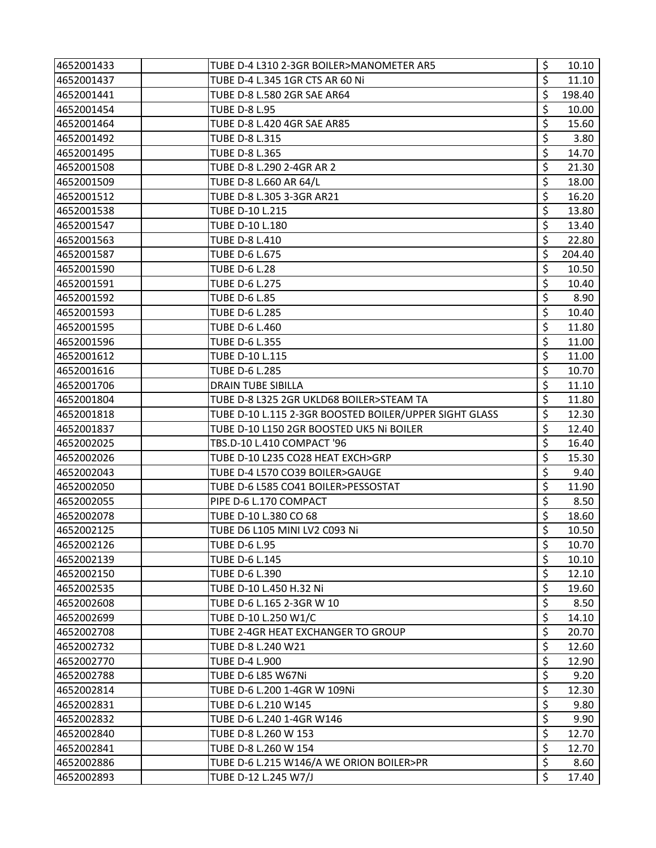| 4652001433 | TUBE D-4 L310 2-3GR BOILER>MANOMETER AR5               | \$<br>10.10  |
|------------|--------------------------------------------------------|--------------|
| 4652001437 | TUBE D-4 L.345 1GR CTS AR 60 Ni                        | \$<br>11.10  |
| 4652001441 | TUBE D-8 L.580 2GR SAE AR64                            | \$<br>198.40 |
| 4652001454 | <b>TUBE D-8 L.95</b>                                   | \$<br>10.00  |
| 4652001464 | TUBE D-8 L.420 4GR SAE AR85                            | \$<br>15.60  |
| 4652001492 | <b>TUBE D-8 L.315</b>                                  | \$<br>3.80   |
| 4652001495 | TUBE D-8 L.365                                         | \$<br>14.70  |
| 4652001508 | TUBE D-8 L.290 2-4GR AR 2                              | \$<br>21.30  |
| 4652001509 | TUBE D-8 L.660 AR 64/L                                 | \$<br>18.00  |
| 4652001512 | TUBE D-8 L.305 3-3GR AR21                              | \$<br>16.20  |
| 4652001538 | TUBE D-10 L.215                                        | \$<br>13.80  |
| 4652001547 | TUBE D-10 L.180                                        | \$<br>13.40  |
| 4652001563 | <b>TUBE D-8 L.410</b>                                  | \$<br>22.80  |
| 4652001587 | TUBE D-6 L.675                                         | \$<br>204.40 |
| 4652001590 | <b>TUBE D-6 L.28</b>                                   | \$<br>10.50  |
| 4652001591 | TUBE D-6 L.275                                         | \$<br>10.40  |
| 4652001592 | <b>TUBE D-6 L.85</b>                                   | \$<br>8.90   |
| 4652001593 | TUBE D-6 L.285                                         | \$<br>10.40  |
| 4652001595 | TUBE D-6 L.460                                         | \$<br>11.80  |
| 4652001596 | TUBE D-6 L.355                                         | \$<br>11.00  |
| 4652001612 | TUBE D-10 L.115                                        | \$<br>11.00  |
| 4652001616 | <b>TUBE D-6 L.285</b>                                  | \$<br>10.70  |
| 4652001706 | DRAIN TUBE SIBILLA                                     | \$<br>11.10  |
| 4652001804 | TUBE D-8 L325 2GR UKLD68 BOILER>STEAM TA               | \$<br>11.80  |
| 4652001818 | TUBE D-10 L.115 2-3GR BOOSTED BOILER/UPPER SIGHT GLASS | \$<br>12.30  |
| 4652001837 | TUBE D-10 L150 2GR BOOSTED UK5 Ni BOILER               | \$<br>12.40  |
| 4652002025 | TBS.D-10 L.410 COMPACT '96                             | \$<br>16.40  |
| 4652002026 | TUBE D-10 L235 CO28 HEAT EXCH>GRP                      | \$<br>15.30  |
| 4652002043 | TUBE D-4 L570 CO39 BOILER>GAUGE                        | \$<br>9.40   |
| 4652002050 | TUBE D-6 L585 CO41 BOILER>PESSOSTAT                    | \$<br>11.90  |
| 4652002055 | PIPE D-6 L.170 COMPACT                                 | \$<br>8.50   |
| 4652002078 | TUBE D-10 L.380 CO 68                                  | \$<br>18.60  |
| 4652002125 | TUBE D6 L105 MINI LV2 C093 Ni                          | \$<br>10.50  |
| 4652002126 | <b>TUBE D-6 L.95</b>                                   | \$<br>10.70  |
| 4652002139 | TUBE D-6 L.145                                         | \$<br>10.10  |
| 4652002150 | TUBE D-6 L.390                                         | \$<br>12.10  |
| 4652002535 | TUBE D-10 L.450 H.32 Ni                                | \$<br>19.60  |
| 4652002608 | TUBE D-6 L.165 2-3GR W 10                              | \$<br>8.50   |
| 4652002699 | TUBE D-10 L.250 W1/C                                   | \$<br>14.10  |
| 4652002708 | TUBE 2-4GR HEAT EXCHANGER TO GROUP                     | \$<br>20.70  |
| 4652002732 | TUBE D-8 L.240 W21                                     | \$<br>12.60  |
| 4652002770 | <b>TUBE D-4 L.900</b>                                  | \$<br>12.90  |
| 4652002788 | TUBE D-6 L85 W67Ni                                     | \$<br>9.20   |
| 4652002814 | TUBE D-6 L.200 1-4GR W 109Ni                           | \$<br>12.30  |
| 4652002831 | TUBE D-6 L.210 W145                                    | \$<br>9.80   |
| 4652002832 | TUBE D-6 L.240 1-4GR W146                              | \$<br>9.90   |
| 4652002840 | TUBE D-8 L.260 W 153                                   | \$<br>12.70  |
| 4652002841 | TUBE D-8 L.260 W 154                                   | \$<br>12.70  |
| 4652002886 | TUBE D-6 L.215 W146/A WE ORION BOILER>PR               | \$<br>8.60   |
| 4652002893 | TUBE D-12 L.245 W7/J                                   | \$<br>17.40  |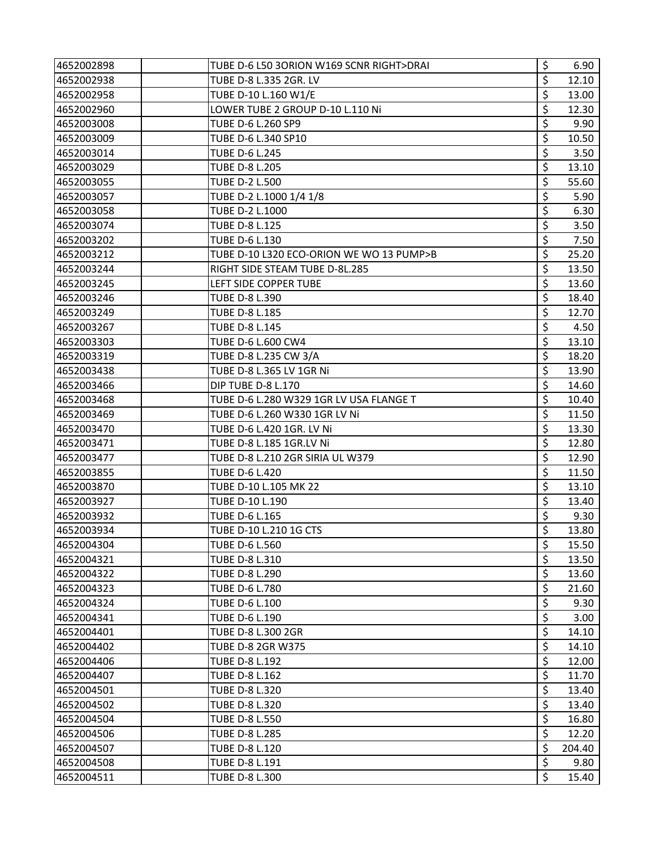| 4652002898 | TUBE D-6 L50 3ORION W169 SCNR RIGHT>DRAI | \$<br>6.90   |
|------------|------------------------------------------|--------------|
| 4652002938 | TUBE D-8 L.335 2GR. LV                   | \$<br>12.10  |
| 4652002958 | TUBE D-10 L.160 W1/E                     | \$<br>13.00  |
| 4652002960 | LOWER TUBE 2 GROUP D-10 L.110 Ni         | \$<br>12.30  |
| 4652003008 | TUBE D-6 L.260 SP9                       | \$<br>9.90   |
| 4652003009 | TUBE D-6 L.340 SP10                      | \$<br>10.50  |
| 4652003014 | <b>TUBE D-6 L.245</b>                    | \$<br>3.50   |
| 4652003029 | <b>TUBE D-8 L.205</b>                    | \$<br>13.10  |
| 4652003055 | <b>TUBE D-2 L.500</b>                    | \$<br>55.60  |
| 4652003057 | TUBE D-2 L.1000 1/4 1/8                  | \$<br>5.90   |
| 4652003058 | TUBE D-2 L.1000                          | \$<br>6.30   |
| 4652003074 | <b>TUBE D-8 L.125</b>                    | \$<br>3.50   |
| 4652003202 | TUBE D-6 L.130                           | \$<br>7.50   |
| 4652003212 | TUBE D-10 L320 ECO-ORION WE WO 13 PUMP>B | \$<br>25.20  |
| 4652003244 | RIGHT SIDE STEAM TUBE D-8L.285           | \$<br>13.50  |
| 4652003245 | LEFT SIDE COPPER TUBE                    | \$<br>13.60  |
| 4652003246 | TUBE D-8 L.390                           | \$<br>18.40  |
| 4652003249 | TUBE D-8 L.185                           | \$<br>12.70  |
| 4652003267 | TUBE D-8 L.145                           | \$<br>4.50   |
| 4652003303 | TUBE D-6 L.600 CW4                       | \$<br>13.10  |
| 4652003319 | TUBE D-8 L.235 CW 3/A                    | \$<br>18.20  |
| 4652003438 | TUBE D-8 L.365 LV 1GR Ni                 | \$<br>13.90  |
| 4652003466 | <b>DIP TUBE D-8 L.170</b>                | \$<br>14.60  |
| 4652003468 | TUBE D-6 L.280 W329 1GR LV USA FLANGE T  | \$<br>10.40  |
| 4652003469 | TUBE D-6 L.260 W330 1GR LV Ni            | \$<br>11.50  |
| 4652003470 | TUBE D-6 L.420 1GR. LV Ni                | \$<br>13.30  |
| 4652003471 | TUBE D-8 L.185 1GR.LV Ni                 | \$<br>12.80  |
| 4652003477 | TUBE D-8 L.210 2GR SIRIA UL W379         | \$<br>12.90  |
| 4652003855 | TUBE D-6 L.420                           | \$<br>11.50  |
| 4652003870 | TUBE D-10 L.105 MK 22                    | \$<br>13.10  |
| 4652003927 | TUBE D-10 L.190                          | \$<br>13.40  |
| 4652003932 | TUBE D-6 L.165                           | \$<br>9.30   |
| 4652003934 | TUBE D-10 L.210 1G CTS                   | \$<br>13.80  |
| 4652004304 | <b>TUBE D-6 L.560</b>                    | \$<br>15.50  |
| 4652004321 | <b>TUBE D-8 L.310</b>                    | \$<br>13.50  |
| 4652004322 | TUBE D-8 L.290                           | \$<br>13.60  |
| 4652004323 | TUBE D-6 L.780                           | \$<br>21.60  |
| 4652004324 | TUBE D-6 L.100                           | \$<br>9.30   |
| 4652004341 | TUBE D-6 L.190                           | \$<br>3.00   |
| 4652004401 | TUBE D-8 L.300 2GR                       | \$<br>14.10  |
| 4652004402 | TUBE D-8 2GR W375                        | \$<br>14.10  |
| 4652004406 | <b>TUBE D-8 L.192</b>                    | \$<br>12.00  |
| 4652004407 | <b>TUBE D-8 L.162</b>                    | \$<br>11.70  |
| 4652004501 | <b>TUBE D-8 L.320</b>                    | \$<br>13.40  |
| 4652004502 | <b>TUBE D-8 L.320</b>                    | \$<br>13.40  |
| 4652004504 | <b>TUBE D-8 L.550</b>                    | \$<br>16.80  |
| 4652004506 | <b>TUBE D-8 L.285</b>                    | \$<br>12.20  |
| 4652004507 | <b>TUBE D-8 L.120</b>                    | \$<br>204.40 |
| 4652004508 | TUBE D-8 L.191                           | \$<br>9.80   |
| 4652004511 | TUBE D-8 L.300                           | Ś<br>15.40   |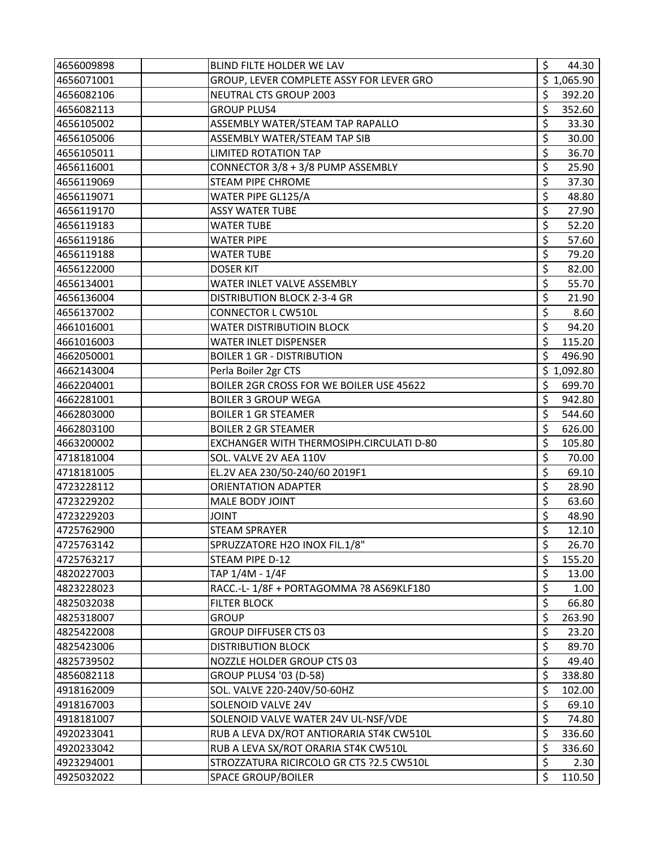| 4656009898 | BLIND FILTE HOLDER WE LAV                  | \$<br>44.30  |
|------------|--------------------------------------------|--------------|
| 4656071001 | GROUP, LEVER COMPLETE ASSY FOR LEVER GRO   | \$1,065.90   |
| 4656082106 | NEUTRAL CTS GROUP 2003                     | \$<br>392.20 |
| 4656082113 | <b>GROUP PLUS4</b>                         | \$<br>352.60 |
| 4656105002 | ASSEMBLY WATER/STEAM TAP RAPALLO           | \$<br>33.30  |
| 4656105006 | ASSEMBLY WATER/STEAM TAP SIB               | \$<br>30.00  |
| 4656105011 | <b>LIMITED ROTATION TAP</b>                | \$<br>36.70  |
| 4656116001 | CONNECTOR 3/8 + 3/8 PUMP ASSEMBLY          | \$<br>25.90  |
| 4656119069 | STEAM PIPE CHROME                          | \$<br>37.30  |
| 4656119071 | WATER PIPE GL125/A                         | \$<br>48.80  |
| 4656119170 | <b>ASSY WATER TUBE</b>                     | \$<br>27.90  |
| 4656119183 | <b>WATER TUBE</b>                          | \$<br>52.20  |
| 4656119186 | <b>WATER PIPE</b>                          | \$<br>57.60  |
| 4656119188 | <b>WATER TUBE</b>                          | \$<br>79.20  |
| 4656122000 | <b>DOSER KIT</b>                           | \$<br>82.00  |
| 4656134001 | WATER INLET VALVE ASSEMBLY                 | \$<br>55.70  |
| 4656136004 | DISTRIBUTION BLOCK 2-3-4 GR                | \$<br>21.90  |
| 4656137002 | <b>CONNECTOR L CW510L</b>                  | \$<br>8.60   |
| 4661016001 | <b>WATER DISTRIBUTIOIN BLOCK</b>           | \$<br>94.20  |
| 4661016003 | <b>WATER INLET DISPENSER</b>               | \$<br>115.20 |
| 4662050001 | <b>BOILER 1 GR - DISTRIBUTION</b>          | \$<br>496.90 |
| 4662143004 | Perla Boiler 2gr CTS                       | \$1,092.80   |
| 4662204001 | BOILER 2GR CROSS FOR WE BOILER USE 45622   | \$<br>699.70 |
| 4662281001 | <b>BOILER 3 GROUP WEGA</b>                 | \$<br>942.80 |
| 4662803000 | <b>BOILER 1 GR STEAMER</b>                 | \$<br>544.60 |
| 4662803100 | <b>BOILER 2 GR STEAMER</b>                 | \$<br>626.00 |
| 4663200002 | EXCHANGER WITH THERMOSIPH.CIRCULATI D-80   | \$<br>105.80 |
| 4718181004 | SOL. VALVE 2V AEA 110V                     | \$<br>70.00  |
| 4718181005 | EL.2V AEA 230/50-240/60 2019F1             | \$<br>69.10  |
| 4723228112 | <b>ORIENTATION ADAPTER</b>                 | \$<br>28.90  |
| 4723229202 | <b>MALE BODY JOINT</b>                     | \$<br>63.60  |
| 4723229203 | <b>JOINT</b>                               | \$<br>48.90  |
| 4725762900 | <b>STEAM SPRAYER</b>                       | \$<br>12.10  |
| 4725763142 | SPRUZZATORE H2O INOX FIL.1/8"              | \$<br>26.70  |
| 4725763217 | STEAM PIPE D-12                            | \$<br>155.20 |
| 4820227003 | TAP 1/4M - 1/4F                            | \$<br>13.00  |
| 4823228023 | RACC .- L- 1/8F + PORTAGOMMA ?8 AS69KLF180 | \$<br>1.00   |
| 4825032038 | <b>FILTER BLOCK</b>                        | \$<br>66.80  |
| 4825318007 | <b>GROUP</b>                               | \$<br>263.90 |
| 4825422008 | <b>GROUP DIFFUSER CTS 03</b>               | \$<br>23.20  |
| 4825423006 | <b>DISTRIBUTION BLOCK</b>                  | \$<br>89.70  |
| 4825739502 | NOZZLE HOLDER GROUP CTS 03                 | \$<br>49.40  |
| 4856082118 | <b>GROUP PLUS4 '03 (D-58)</b>              | \$<br>338.80 |
| 4918162009 | SOL. VALVE 220-240V/50-60HZ                | \$<br>102.00 |
| 4918167003 | SOLENOID VALVE 24V                         | \$<br>69.10  |
| 4918181007 | SOLENOID VALVE WATER 24V UL-NSF/VDE        | \$<br>74.80  |
| 4920233041 | RUB A LEVA DX/ROT ANTIORARIA ST4K CW510L   | \$<br>336.60 |
| 4920233042 | RUB A LEVA SX/ROT ORARIA ST4K CW510L       | \$<br>336.60 |
| 4923294001 | STROZZATURA RICIRCOLO GR CTS ?2.5 CW510L   | \$<br>2.30   |
| 4925032022 | <b>SPACE GROUP/BOILER</b>                  | \$<br>110.50 |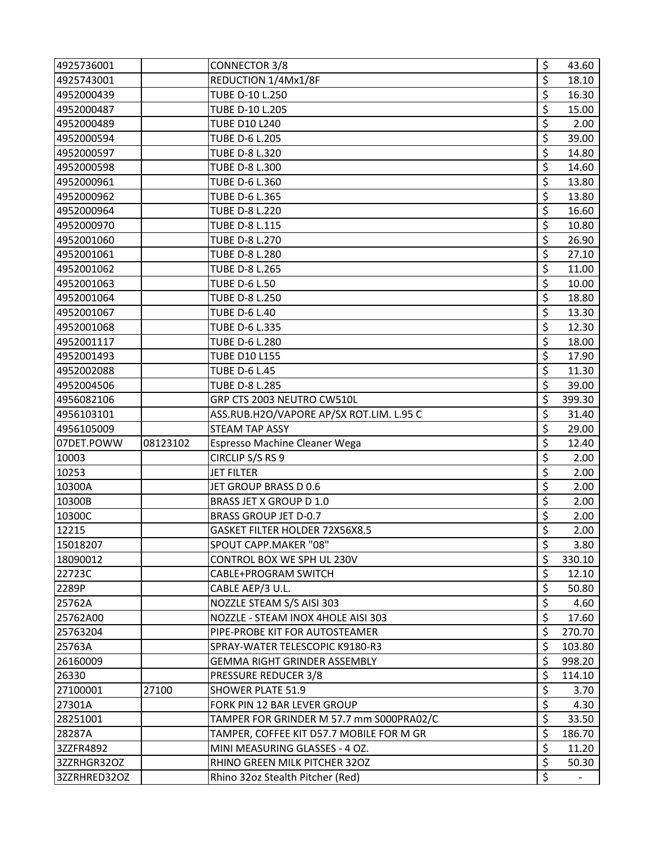| 4925736001  |          | <b>CONNECTOR 3/8</b>                     | \$       | 43.60  |
|-------------|----------|------------------------------------------|----------|--------|
| 4925743001  |          | REDUCTION 1/4Mx1/8F                      | \$       | 18.10  |
| 4952000439  |          | TUBE D-10 L.250                          | \$       | 16.30  |
| 4952000487  |          | TUBE D-10 L.205                          | \$       | 15.00  |
| 4952000489  |          | <b>TUBE D10 L240</b>                     | \$       | 2.00   |
| 4952000594  |          | TUBE D-6 L.205                           | \$       | 39.00  |
| 4952000597  |          | TUBE D-8 L.320                           | \$       | 14.80  |
| 4952000598  |          | TUBE D-8 L.300                           | \$       | 14.60  |
| 4952000961  |          | TUBE D-6 L.360                           | \$       | 13.80  |
| 4952000962  |          | TUBE D-6 L.365                           | \$       | 13.80  |
| 4952000964  |          | <b>TUBE D-8 L.220</b>                    | \$       | 16.60  |
| 4952000970  |          | TUBE D-8 L.115                           | \$       | 10.80  |
| 4952001060  |          | TUBE D-8 L.270                           | \$       | 26.90  |
| 4952001061  |          | <b>TUBE D-8 L.280</b>                    | \$       | 27.10  |
| 4952001062  |          | <b>TUBE D-8 L.265</b>                    | \$       | 11.00  |
| 4952001063  |          | <b>TUBE D-6 L.50</b>                     | \$       | 10.00  |
| 4952001064  |          | TUBE D-8 L.250                           | \$       | 18.80  |
| 4952001067  |          | <b>TUBE D-6 L.40</b>                     | \$       | 13.30  |
| 4952001068  |          | TUBE D-6 L.335                           | \$       | 12.30  |
| 4952001117  |          | TUBE D-6 L.280                           | \$       | 18.00  |
| 4952001493  |          | <b>TUBE D10 L155</b>                     | \$       | 17.90  |
| 4952002088  |          | <b>TUBE D-6 L.45</b>                     | \$       | 11.30  |
| 4952004506  |          | <b>TUBE D-8 L.285</b>                    | \$       | 39.00  |
| 4956082106  |          | GRP CTS 2003 NEUTRO CW510L               | \$       | 399.30 |
| 4956103101  |          | ASS.RUB.H2O/VAPORE AP/SX ROT.LIM. L.95 C | \$       | 31.40  |
| 4956105009  |          | <b>STEAM TAP ASSY</b>                    | \$       | 29.00  |
| 07DET.POWW  | 08123102 | Espresso Machine Cleaner Wega            | \$       | 12.40  |
| 10003       |          | CIRCLIP S/S RS 9                         | \$       | 2.00   |
| 10253       |          | <b>JET FILTER</b>                        | \$       | 2.00   |
| 10300A      |          | JET GROUP BRASS D 0.6                    | \$       | 2.00   |
| 10300B      |          | <b>BRASS JET X GROUP D 1.0</b>           |          | 2.00   |
| 10300C      |          |                                          | \$       |        |
|             |          | <b>BRASS GROUP JET D-0.7</b>             | \$       | 2.00   |
| 12215       |          | GASKET FILTER HOLDER 72X56X8.5           | \$       | 2.00   |
| 15018207    |          | SPOUT CAPP.MAKER "08"                    | \$       | 3.80   |
| 18090012    |          | CONTROL BOX WE SPH UL 230V               | \$       | 330.10 |
| 22723C      |          | CABLE+PROGRAM SWITCH                     | \$       | 12.10  |
| 2289P       |          | CABLE AEP/3 U.L.                         | \$       | 50.80  |
| 25762A      |          | NOZZLE STEAM S/S AISI 303                | \$       | 4.60   |
| 25762A00    |          | NOZZLE - STEAM INOX 4HOLE AISI 303       | \$       | 17.60  |
| 25763204    |          | PIPE-PROBE KIT FOR AUTOSTEAMER           | \$       | 270.70 |
| 25763A      |          | SPRAY-WATER TELESCOPIC K9180-R3          | \$       | 103.80 |
| 26160009    |          | GEMMA RIGHT GRINDER ASSEMBLY             | \$       | 998.20 |
| 26330       |          | PRESSURE REDUCER 3/8                     | \$       | 114.10 |
| 27100001    | 27100    | <b>SHOWER PLATE 51.9</b>                 | \$       | 3.70   |
| 27301A      |          | FORK PIN 12 BAR LEVER GROUP              | \$       | 4.30   |
| 28251001    |          | TAMPER FOR GRINDER M 57.7 mm S000PRA02/C | \$       | 33.50  |
| 28287A      |          | TAMPER, COFFEE KIT D57.7 MOBILE FOR M GR | \$       | 186.70 |
| 3ZZFR4892   |          | MINI MEASURING GLASSES - 4 OZ.           | \$       | 11.20  |
| 3ZZRHGR32OZ |          | RHINO GREEN MILK PITCHER 32OZ            | \$<br>\$ | 50.30  |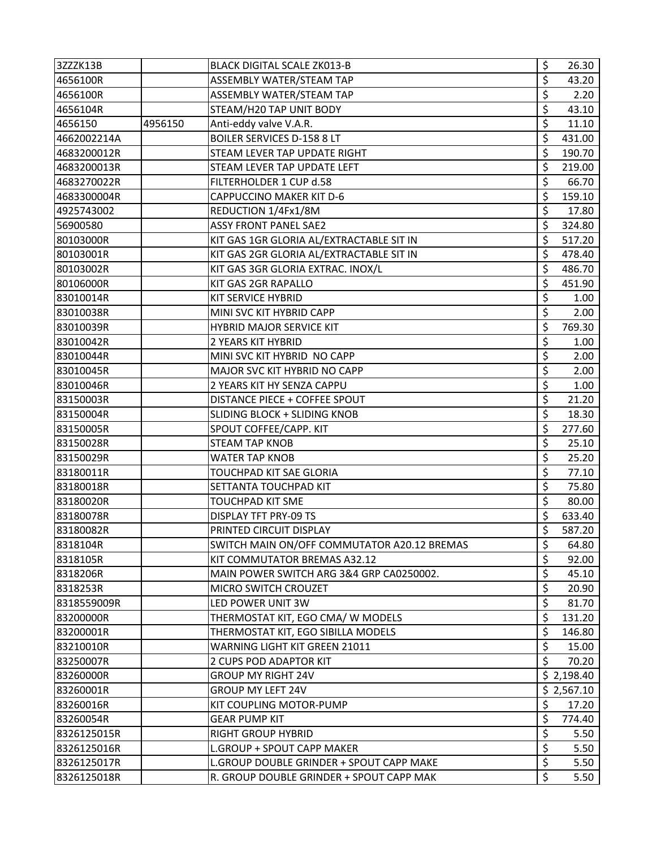| 3ZZZK13B    |         | <b>BLACK DIGITAL SCALE ZK013-B</b>          | \$                       | 26.30      |
|-------------|---------|---------------------------------------------|--------------------------|------------|
| 4656100R    |         | ASSEMBLY WATER/STEAM TAP                    | \$                       | 43.20      |
| 4656100R    |         | ASSEMBLY WATER/STEAM TAP                    | \$                       | 2.20       |
| 4656104R    |         | STEAM/H20 TAP UNIT BODY                     | \$                       | 43.10      |
| 4656150     | 4956150 | Anti-eddy valve V.A.R.                      | \$                       | 11.10      |
| 4662002214A |         | <b>BOILER SERVICES D-158 8 LT</b>           | \$                       | 431.00     |
| 4683200012R |         | STEAM LEVER TAP UPDATE RIGHT                | \$                       | 190.70     |
| 4683200013R |         | STEAM LEVER TAP UPDATE LEFT                 | \$                       | 219.00     |
| 4683270022R |         | FILTERHOLDER 1 CUP d.58                     | \$                       | 66.70      |
| 4683300004R |         | <b>CAPPUCCINO MAKER KIT D-6</b>             | \$                       | 159.10     |
| 4925743002  |         | REDUCTION 1/4Fx1/8M                         | \$                       | 17.80      |
| 56900580    |         | <b>ASSY FRONT PANEL SAE2</b>                | \$                       | 324.80     |
| 80103000R   |         | KIT GAS 1GR GLORIA AL/EXTRACTABLE SIT IN    | \$                       | 517.20     |
| 80103001R   |         | KIT GAS 2GR GLORIA AL/EXTRACTABLE SIT IN    | \$                       | 478.40     |
| 80103002R   |         | KIT GAS 3GR GLORIA EXTRAC. INOX/L           | \$                       | 486.70     |
| 80106000R   |         | KIT GAS 2GR RAPALLO                         | \$                       | 451.90     |
| 83010014R   |         | KIT SERVICE HYBRID                          | \$                       | 1.00       |
| 83010038R   |         | MINI SVC KIT HYBRID CAPP                    | \$                       | 2.00       |
| 83010039R   |         | HYBRID MAJOR SERVICE KIT                    | \$                       | 769.30     |
| 83010042R   |         | 2 YEARS KIT HYBRID                          | \$                       | 1.00       |
| 83010044R   |         | MINI SVC KIT HYBRID NO CAPP                 | \$                       | 2.00       |
| 83010045R   |         | MAJOR SVC KIT HYBRID NO CAPP                | \$                       | 2.00       |
| 83010046R   |         | 2 YEARS KIT HY SENZA CAPPU                  | \$                       | 1.00       |
| 83150003R   |         | DISTANCE PIECE + COFFEE SPOUT               | \$                       | 21.20      |
| 83150004R   |         | SLIDING BLOCK + SLIDING KNOB                | \$                       | 18.30      |
| 83150005R   |         | SPOUT COFFEE/CAPP. KIT                      | \$                       | 277.60     |
| 83150028R   |         | STEAM TAP KNOB                              | \$                       | 25.10      |
| 83150029R   |         | <b>WATER TAP KNOB</b>                       | $\overline{\mathsf{S}}$  | 25.20      |
| 83180011R   |         | TOUCHPAD KIT SAE GLORIA                     | \$                       | 77.10      |
| 83180018R   |         | SETTANTA TOUCHPAD KIT                       | \$                       | 75.80      |
| 83180020R   |         | <b>TOUCHPAD KIT SME</b>                     | \$                       | 80.00      |
| 83180078R   |         | DISPLAY TFT PRY-09 TS                       | \$                       | 633.40     |
| 83180082R   |         | PRINTED CIRCUIT DISPLAY                     | Ś                        | 587.20     |
| 8318104R    |         | SWITCH MAIN ON/OFF COMMUTATOR A20.12 BREMAS | \$                       | 64.80      |
| 8318105R    |         | KIT COMMUTATOR BREMAS A32.12                | \$                       | 92.00      |
| 8318206R    |         | MAIN POWER SWITCH ARG 3&4 GRP CA0250002.    | \$                       | 45.10      |
| 8318253R    |         | MICRO SWITCH CROUZET                        | \$                       | 20.90      |
| 8318559009R |         | LED POWER UNIT 3W                           | \$                       | 81.70      |
| 83200000R   |         | THERMOSTAT KIT, EGO CMA/ W MODELS           | \$                       | 131.20     |
| 83200001R   |         | THERMOSTAT KIT, EGO SIBILLA MODELS          | \$                       | 146.80     |
| 83210010R   |         | WARNING LIGHT KIT GREEN 21011               | \$                       | 15.00      |
| 83250007R   |         | 2 CUPS POD ADAPTOR KIT                      | \$                       | 70.20      |
| 83260000R   |         | <b>GROUP MY RIGHT 24V</b>                   |                          | \$2,198.40 |
| 83260001R   |         | <b>GROUP MY LEFT 24V</b>                    |                          | \$2,567.10 |
| 83260016R   |         | KIT COUPLING MOTOR-PUMP                     | \$                       | 17.20      |
| 83260054R   |         | <b>GEAR PUMP KIT</b>                        | \$                       | 774.40     |
| 8326125015R |         | <b>RIGHT GROUP HYBRID</b>                   | \$                       | 5.50       |
| 8326125016R |         | L.GROUP + SPOUT CAPP MAKER                  | \$                       | 5.50       |
| 8326125017R |         | L.GROUP DOUBLE GRINDER + SPOUT CAPP MAKE    | $\overline{\mathcal{S}}$ | 5.50       |
| 8326125018R |         | R. GROUP DOUBLE GRINDER + SPOUT CAPP MAK    | $\zeta$                  | 5.50       |